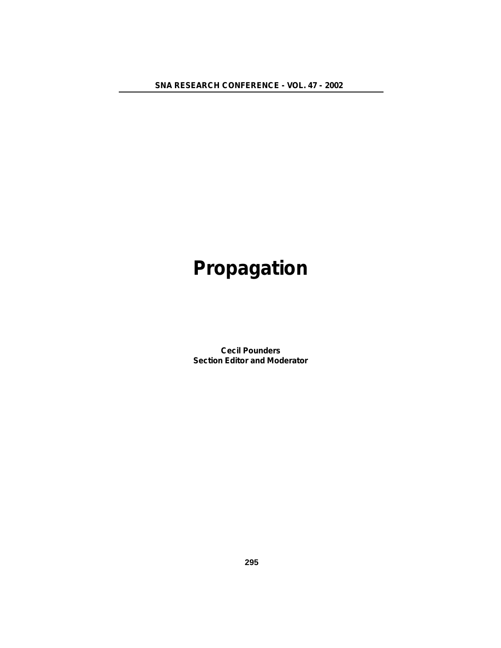**SNA RESEARCH CONFERENCE - VOL. 47 - 2002**

# **Propagation**

**Cecil Pounders Section Editor and Moderator**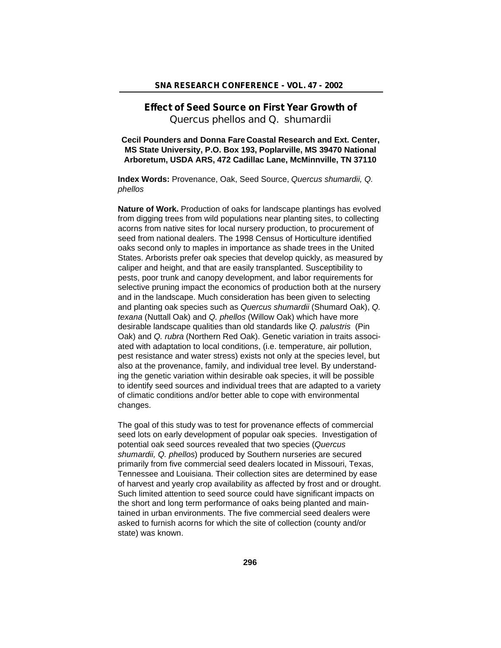# **Effect of Seed Source on First Year Growth of** *Quercus phellos and Q. shumardii*

**Cecil Pounders and Donna Fare Coastal Research and Ext. Center, MS State University, P.O. Box 193, Poplarville, MS 39470 National Arboretum, USDA ARS, 472 Cadillac Lane, McMinnville, TN 37110**

**Index Words:** Provenance, Oak, Seed Source, *Quercus shumardii, Q. phellos*

**Nature of Work.** Production of oaks for landscape plantings has evolved from digging trees from wild populations near planting sites, to collecting acorns from native sites for local nursery production, to procurement of seed from national dealers. The 1998 Census of Horticulture identified oaks second only to maples in importance as shade trees in the United States. Arborists prefer oak species that develop quickly, as measured by caliper and height, and that are easily transplanted. Susceptibility to pests, poor trunk and canopy development, and labor requirements for selective pruning impact the economics of production both at the nursery and in the landscape. Much consideration has been given to selecting and planting oak species such as *Quercus shumardii* (Shumard Oak), *Q. texana* (Nuttall Oak) and *Q. phellos* (Willow Oak) which have more desirable landscape qualities than old standards like *Q. palustris* (Pin Oak) and *Q. rubra* (Northern Red Oak). Genetic variation in traits associated with adaptation to local conditions, (i.e. temperature, air pollution, pest resistance and water stress) exists not only at the species level, but also at the provenance, family, and individual tree level. By understanding the genetic variation within desirable oak species, it will be possible to identify seed sources and individual trees that are adapted to a variety of climatic conditions and/or better able to cope with environmental changes.

The goal of this study was to test for provenance effects of commercial seed lots on early development of popular oak species. Investigation of potential oak seed sources revealed that two species (*Quercus shumardii, Q. phellos*) produced by Southern nurseries are secured primarily from five commercial seed dealers located in Missouri, Texas, Tennessee and Louisiana. Their collection sites are determined by ease of harvest and yearly crop availability as affected by frost and or drought. Such limited attention to seed source could have significant impacts on the short and long term performance of oaks being planted and maintained in urban environments. The five commercial seed dealers were asked to furnish acorns for which the site of collection (county and/or state) was known.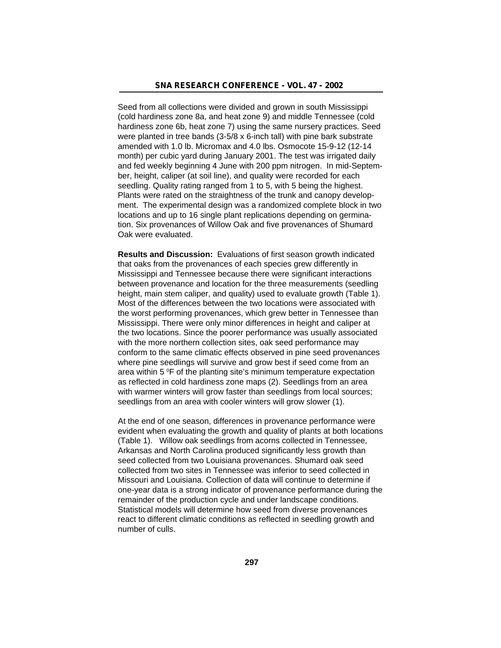Seed from all collections were divided and grown in south Mississippi (cold hardiness zone 8a, and heat zone 9) and middle Tennessee (cold hardiness zone 6b, heat zone 7) using the same nursery practices. Seed were planted in tree bands (3-5/8 x 6-inch tall) with pine bark substrate amended with 1.0 lb. Micromax and 4.0 lbs. Osmocote 15-9-12 (12-14 month) per cubic yard during January 2001. The test was irrigated daily and fed weekly beginning 4 June with 200 ppm nitrogen. In mid-September, height, caliper (at soil line), and quality were recorded for each seedling. Quality rating ranged from 1 to 5, with 5 being the highest. Plants were rated on the straightness of the trunk and canopy development. The experimental design was a randomized complete block in two locations and up to 16 single plant replications depending on germination. Six provenances of Willow Oak and five provenances of Shumard Oak were evaluated.

**Results and Discussion:** Evaluations of first season growth indicated that oaks from the provenances of each species grew differently in Mississippi and Tennessee because there were significant interactions between provenance and location for the three measurements (seedling height, main stem caliper, and quality) used to evaluate growth (Table 1). Most of the differences between the two locations were associated with the worst performing provenances, which grew better in Tennessee than Mississippi. There were only minor differences in height and caliper at the two locations. Since the poorer performance was usually associated with the more northern collection sites, oak seed performance may conform to the same climatic effects observed in pine seed provenances where pine seedlings will survive and grow best if seed come from an area within  $5^{\circ}$ F of the planting site's minimum temperature expectation as reflected in cold hardiness zone maps (2). Seedlings from an area with warmer winters will grow faster than seedlings from local sources; seedlings from an area with cooler winters will grow slower (1).

At the end of one season, differences in provenance performance were evident when evaluating the growth and quality of plants at both locations (Table 1). Willow oak seedlings from acorns collected in Tennessee, Arkansas and North Carolina produced significantly less growth than seed collected from two Louisiana provenances. Shumard oak seed collected from two sites in Tennessee was inferior to seed collected in Missouri and Louisiana. Collection of data will continue to determine if one-year data is a strong indicator of provenance performance during the remainder of the production cycle and under landscape conditions. Statistical models will determine how seed from diverse provenances react to different climatic conditions as reflected in seedling growth and number of culls.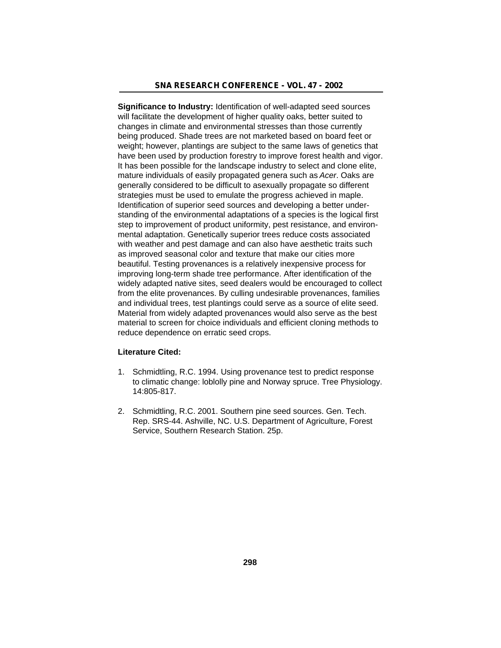**Significance to Industry:** Identification of well-adapted seed sources will facilitate the development of higher quality oaks, better suited to changes in climate and environmental stresses than those currently being produced. Shade trees are not marketed based on board feet or weight; however, plantings are subject to the same laws of genetics that have been used by production forestry to improve forest health and vigor. It has been possible for the landscape industry to select and clone elite, mature individuals of easily propagated genera such as *Acer*. Oaks are generally considered to be difficult to asexually propagate so different strategies must be used to emulate the progress achieved in maple. Identification of superior seed sources and developing a better understanding of the environmental adaptations of a species is the logical first step to improvement of product uniformity, pest resistance, and environmental adaptation. Genetically superior trees reduce costs associated with weather and pest damage and can also have aesthetic traits such as improved seasonal color and texture that make our cities more beautiful. Testing provenances is a relatively inexpensive process for improving long-term shade tree performance. After identification of the widely adapted native sites, seed dealers would be encouraged to collect from the elite provenances. By culling undesirable provenances, families and individual trees, test plantings could serve as a source of elite seed. Material from widely adapted provenances would also serve as the best material to screen for choice individuals and efficient cloning methods to reduce dependence on erratic seed crops.

#### **Literature Cited:**

- 1. Schmidtling, R.C. 1994. Using provenance test to predict response to climatic change: loblolly pine and Norway spruce. Tree Physiology. 14:805-817.
- 2. Schmidtling, R.C. 2001. Southern pine seed sources. Gen. Tech. Rep. SRS-44. Ashville, NC. U.S. Department of Agriculture, Forest Service, Southern Research Station. 25p.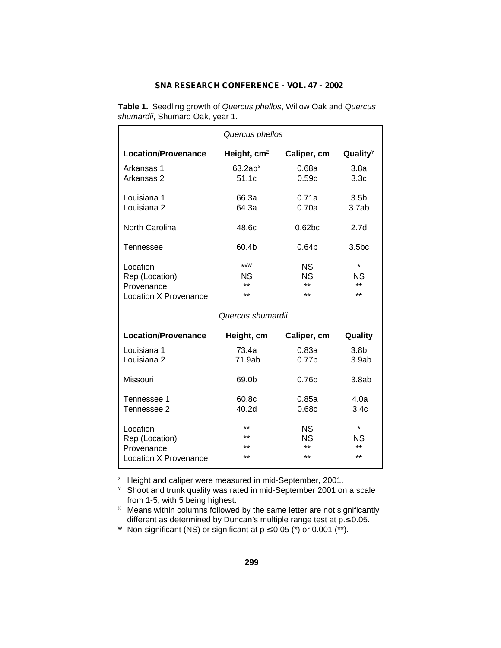# **SNA RESEARCH CONFERENCE - VOL. 47 - 2002**

**Table 1.** Seedling growth of *Quercus phellos*, Willow Oak and *Quercus shumardii*, Shumard Oak, year 1.

| Quercus phellos                                                   |                                  |                                   |                                        |  |
|-------------------------------------------------------------------|----------------------------------|-----------------------------------|----------------------------------------|--|
| <b>Location/Provenance</b>                                        | Height, $cmz$                    | Caliper, cm                       | Quality <sup>Y</sup>                   |  |
| Arkansas 1<br>Arkansas 2                                          | 63.2ab <sup>x</sup><br>51.1c     | 0.68a<br>0.59c                    | 3.8a<br>3.3 <sub>c</sub>               |  |
| Louisiana 1<br>Louisiana <sub>2</sub>                             | 66.3a<br>64.3a                   | 0.71a<br>0.70a                    | 3.5 <sub>b</sub><br>3.7ab              |  |
| <b>North Carolina</b>                                             | 48.6c                            | 0.62 <sub>bc</sub>                | 2.7 <sub>d</sub>                       |  |
| Tennessee                                                         | 60.4b                            | 0.64 <sub>b</sub>                 | 3.5 <sub>bc</sub>                      |  |
| Location<br>Rep (Location)<br>Provenance<br>Location X Provenance | $***W$<br>ΝS<br>$***$<br>$***$   | ΝS<br><b>NS</b><br>$***$<br>نه به | $\star$<br><b>NS</b><br>$***$<br>$***$ |  |
|                                                                   | Quercus shumardii                |                                   |                                        |  |
| <b>Location/Provenance</b>                                        | Height, cm                       | Caliper, cm                       | Quality                                |  |
| Louisiana 1<br>Louisiana <sub>2</sub>                             | 73.4a<br>71.9ab                  | 0.83a<br>0.77 <sub>b</sub>        | 3.8 <sub>b</sub><br>3.9ab              |  |
| Missouri                                                          | 69.0b                            | 0.76 <sub>b</sub>                 | 3.8ab                                  |  |
| Tennessee 1<br>Tennessee 2                                        | 60.8c<br>40.2d                   | 0.85a<br>0.68c                    | 4.0a<br>3.4c                           |  |
| Location<br>Rep (Location)<br>Provenance<br>Location X Provenance | $+ +$<br>$***$<br>$***$<br>$***$ | <b>NS</b><br>ΝS<br>$***$<br>$***$ | $\star$<br><b>NS</b><br>$***$<br>$***$ |  |

<sup>z</sup> Height and caliper were measured in mid-September, 2001.

 $Y$  Shoot and trunk quality was rated in mid-September 2001 on a scale from 1-5, with 5 being highest.

 $\times$  Means within columns followed by the same letter are not significantly different as determined by Duncan's multiple range test at p. 0.05.

W Non-significant (NS) or significant at  $p \quad 0.05$  (\*) or 0.001 (\*\*).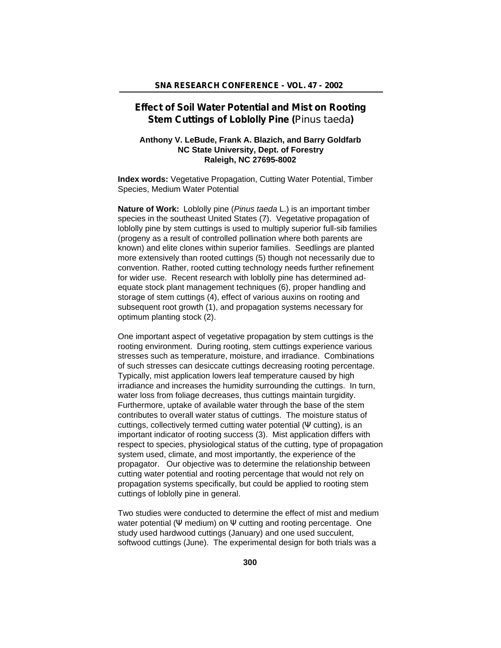# **Effect of Soil Water Potential and Mist on Rooting Stem Cuttings of Loblolly Pine (***Pinus taeda***)**

## **Anthony V. LeBude, Frank A. Blazich, and Barry Goldfarb NC State University, Dept. of Forestry Raleigh, NC 27695-8002**

**Index words:** Vegetative Propagation, Cutting Water Potential, Timber Species, Medium Water Potential

**Nature of Work:** Loblolly pine (*Pinus taeda* L.) is an important timber species in the southeast United States (7). Vegetative propagation of loblolly pine by stem cuttings is used to multiply superior full-sib families (progeny as a result of controlled pollination where both parents are known) and elite clones within superior families. Seedlings are planted more extensively than rooted cuttings (5) though not necessarily due to convention. Rather, rooted cutting technology needs further refinement for wider use. Recent research with loblolly pine has determined adequate stock plant management techniques (6), proper handling and storage of stem cuttings (4), effect of various auxins on rooting and subsequent root growth (1), and propagation systems necessary for optimum planting stock (2).

One important aspect of vegetative propagation by stem cuttings is the rooting environment. During rooting, stem cuttings experience various stresses such as temperature, moisture, and irradiance. Combinations of such stresses can desiccate cuttings decreasing rooting percentage. Typically, mist application lowers leaf temperature caused by high irradiance and increases the humidity surrounding the cuttings. In turn, water loss from foliage decreases, thus cuttings maintain turgidity. Furthermore, uptake of available water through the base of the stem contributes to overall water status of cuttings. The moisture status of cuttings, collectively termed cutting water potential ( cutting), is an important indicator of rooting success (3). Mist application differs with respect to species, physiological status of the cutting, type of propagation system used, climate, and most importantly, the experience of the propagator. Our objective was to determine the relationship between cutting water potential and rooting percentage that would not rely on propagation systems specifically, but could be applied to rooting stem cuttings of loblolly pine in general.

Two studies were conducted to determine the effect of mist and medium water potential ( medium) on cutting and rooting percentage. One study used hardwood cuttings (January) and one used succulent, softwood cuttings (June). The experimental design for both trials was a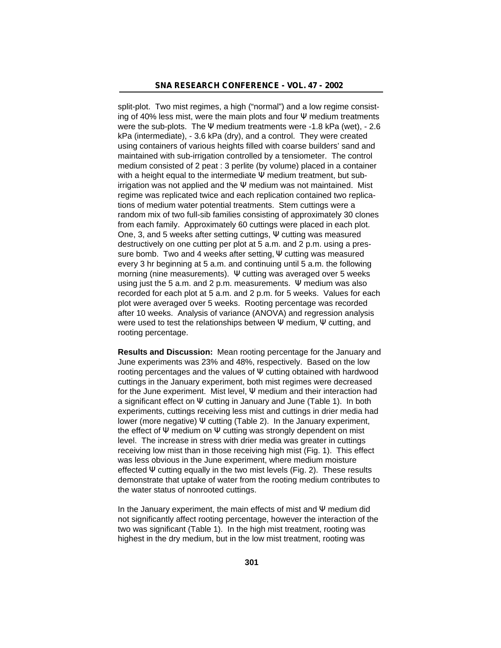split-plot. Two mist regimes, a high ("normal") and a low regime consisting of 40% less mist, were the main plots and four medium treatments were the sub-plots. The medium treatments were -1.8 kPa (wet), - 2.6 kPa (intermediate), - 3.6 kPa (dry), and a control. They were created using containers of various heights filled with coarse builders' sand and maintained with sub-irrigation controlled by a tensiometer. The control medium consisted of 2 peat : 3 perlite (by volume) placed in a container with a height equal to the intermediate medium treatment, but subirrigation was not applied and the medium was not maintained. Mist regime was replicated twice and each replication contained two replications of medium water potential treatments. Stem cuttings were a random mix of two full-sib families consisting of approximately 30 clones from each family. Approximately 60 cuttings were placed in each plot. One, 3, and 5 weeks after setting cuttings, cutting was measured destructively on one cutting per plot at 5 a.m. and 2 p.m. using a pressure bomb. Two and 4 weeks after setting, cutting was measured every 3 hr beginning at 5 a.m. and continuing until 5 a.m. the following morning (nine measurements). cutting was averaged over 5 weeks using just the 5 a.m. and 2 p.m. measurements. medium was also recorded for each plot at 5 a.m. and 2 p.m. for 5 weeks. Values for each plot were averaged over 5 weeks. Rooting percentage was recorded after 10 weeks. Analysis of variance (ANOVA) and regression analysis were used to test the relationships between medium, cutting, and rooting percentage.

**Results and Discussion:** Mean rooting percentage for the January and June experiments was 23% and 48%, respectively. Based on the low rooting percentages and the values of cutting obtained with hardwood cuttings in the January experiment, both mist regimes were decreased for the June experiment. Mist level, medium and their interaction had a significant effect on cutting in January and June (Table 1). In both experiments, cuttings receiving less mist and cuttings in drier media had lower (more negative) cutting (Table 2). In the January experiment, the effect of medium on cutting was strongly dependent on mist level. The increase in stress with drier media was greater in cuttings receiving low mist than in those receiving high mist (Fig. 1). This effect was less obvious in the June experiment, where medium moisture effected cutting equally in the two mist levels (Fig. 2). These results demonstrate that uptake of water from the rooting medium contributes to the water status of nonrooted cuttings.

In the January experiment, the main effects of mist and medium did not significantly affect rooting percentage, however the interaction of the two was significant (Table 1). In the high mist treatment, rooting was highest in the dry medium, but in the low mist treatment, rooting was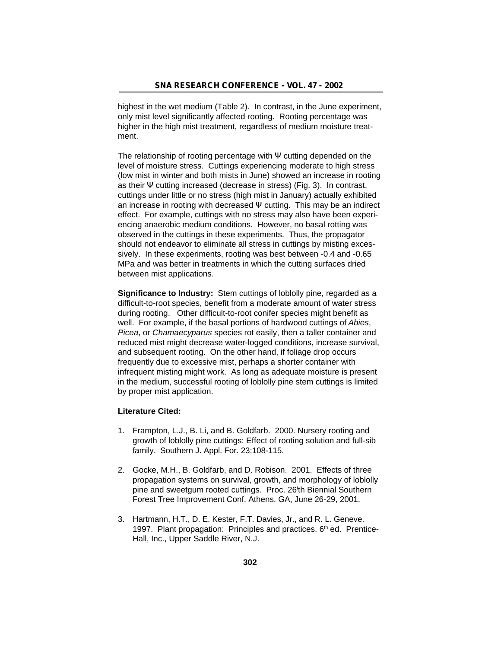highest in the wet medium (Table 2). In contrast, in the June experiment, only mist level significantly affected rooting. Rooting percentage was higher in the high mist treatment, regardless of medium moisture treatment.

The relationship of rooting percentage with cutting depended on the level of moisture stress. Cuttings experiencing moderate to high stress (low mist in winter and both mists in June) showed an increase in rooting as their cutting increased (decrease in stress) (Fig. 3). In contrast, cuttings under little or no stress (high mist in January) actually exhibited an increase in rooting with decreased cutting. This may be an indirect effect. For example, cuttings with no stress may also have been experiencing anaerobic medium conditions. However, no basal rotting was observed in the cuttings in these experiments. Thus, the propagator should not endeavor to eliminate all stress in cuttings by misting excessively. In these experiments, rooting was best between -0.4 and -0.65 MPa and was better in treatments in which the cutting surfaces dried between mist applications.

**Significance to Industry:** Stem cuttings of loblolly pine, regarded as a difficult-to-root species, benefit from a moderate amount of water stress during rooting. Other difficult-to-root conifer species might benefit as well. For example, if the basal portions of hardwood cuttings of *Abies*, *Picea*, or *Chamaecyparus* species rot easily, then a taller container and reduced mist might decrease water-logged conditions, increase survival, and subsequent rooting. On the other hand, if foliage drop occurs frequently due to excessive mist, perhaps a shorter container with infrequent misting might work. As long as adequate moisture is present in the medium, successful rooting of loblolly pine stem cuttings is limited by proper mist application.

#### **Literature Cited:**

- 1. Frampton, L.J., B. Li, and B. Goldfarb. 2000. Nursery rooting and growth of loblolly pine cuttings: Effect of rooting solution and full-sib family. Southern J. Appl. For. 23:108-115.
- 2. Gocke, M.H., B. Goldfarb, and D. Robison. 2001. Effects of three propagation systems on survival, growth, and morphology of loblolly pine and sweetgum rooted cuttings. Proc. 26<sup>t</sup>th Biennial Southern Forest Tree Improvement Conf. Athens, GA, June 26-29, 2001.
- 3. Hartmann, H.T., D. E. Kester, F.T. Davies, Jr., and R. L. Geneve. 1997. Plant propagation: Principles and practices.  $6<sup>th</sup>$  ed. Prentice-Hall, Inc., Upper Saddle River, N.J.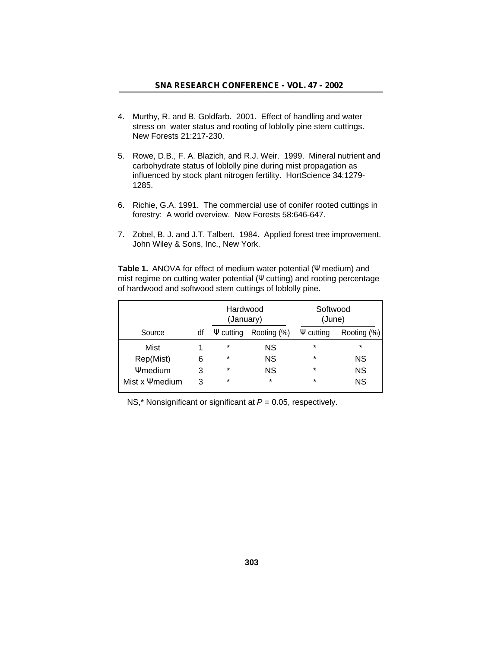- 4. Murthy, R. and B. Goldfarb. 2001. Effect of handling and water stress on water status and rooting of loblolly pine stem cuttings. New Forests 21:217-230.
- 5. Rowe, D.B., F. A. Blazich, and R.J. Weir. 1999. Mineral nutrient and carbohydrate status of loblolly pine during mist propagation as influenced by stock plant nitrogen fertility. HortScience 34:1279- 1285.
- 6. Richie, G.A. 1991. The commercial use of conifer rooted cuttings in forestry: A world overview. New Forests 58:646-647.
- 7. Zobel, B. J. and J.T. Talbert. 1984. Applied forest tree improvement. John Wiley & Sons, Inc., New York.

Table 1. ANOVA for effect of medium water potential (medium) and mist regime on cutting water potential (cutting) and rooting percentage of hardwood and softwood stem cuttings of loblolly pine.

|                  |    | Hardwood<br>(January) |             | Softwood<br>(June) |             |
|------------------|----|-----------------------|-------------|--------------------|-------------|
| Source           | df | cutting               | Rooting (%) | cutting            | Rooting (%) |
| Mist             |    | $\star$               | ΝS          | $\star$            | $\star$     |
| Rep(Mist)        | 6  | $\star$               | <b>NS</b>   | $\star$            | <b>NS</b>   |
| medium           | 3  | $\star$               | ΝS          | $\star$            | <b>NS</b>   |
| Mist x<br>medium | 3  | $\star$               | $\star$     | $\star$            | <b>NS</b>   |

NS,\* Nonsignificant or significant at *P* = 0.05, respectively.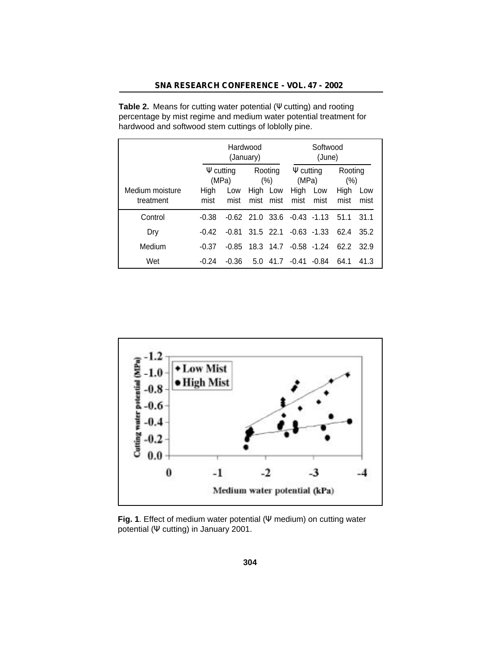|                              | Hardwood<br>(January) |             |  |                                       | Softwood<br>(June)                |                |              |             |
|------------------------------|-----------------------|-------------|--|---------------------------------------|-----------------------------------|----------------|--------------|-------------|
|                              | cutting<br>(MPa)      |             |  | Rooting<br>cutting<br>(MPa)<br>$(\%)$ |                                   | Rooting<br>(%) |              |             |
| Medium moisture<br>treatment | High<br>mist          | Low<br>mist |  | High Low<br>mist mist                 | High<br>mist                      | Low<br>mist    | High<br>mist | Low<br>mist |
| Control                      | $-0.38$               |             |  |                                       | $-0.62$ 21.0 33.6 $-0.43$ $-1.13$ |                | 51.1         | 31.1        |
| Dry                          | $-0.42$               | $-0.81$     |  |                                       | $31.5$ 22.1 $-0.63$ $-1.33$       |                | 62.4         | 35.2        |
| Medium                       | $-0.37$               | $-0.85$     |  |                                       | 18.3 14.7 -0.58 -1.24             |                | 62.2         | 32.9        |
| Wet                          | $-0.24$               | $-0.36$     |  |                                       | $5.0$ 41.7 $-0.41$ $-0.84$        |                | 64.1         | 41.3        |

**Table 2.** Means for cutting water potential ( cutting) and rooting percentage by mist regime and medium water potential treatment for hardwood and softwood stem cuttings of loblolly pine.



**Fig. 1**. Effect of medium water potential ( medium) on cutting water potential ( cutting) in January 2001.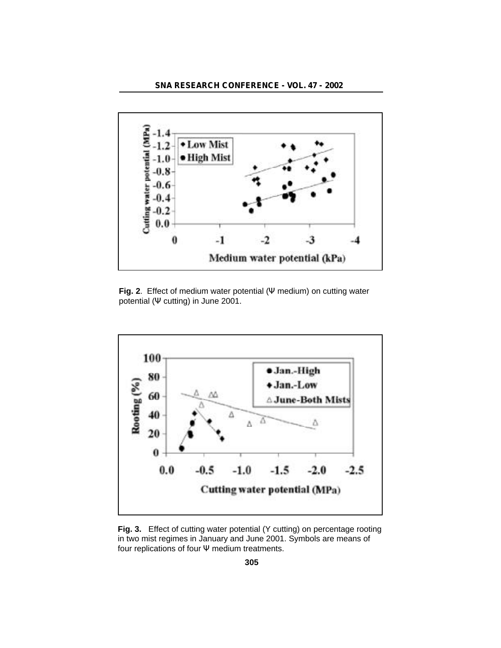

**Fig. 2**. Effect of medium water potential ( medium) on cutting water potential ( cutting) in June 2001.



**Fig. 3.** Effect of cutting water potential (Y cutting) on percentage rooting in two mist regimes in January and June 2001. Symbols are means of four replications of four medium treatments.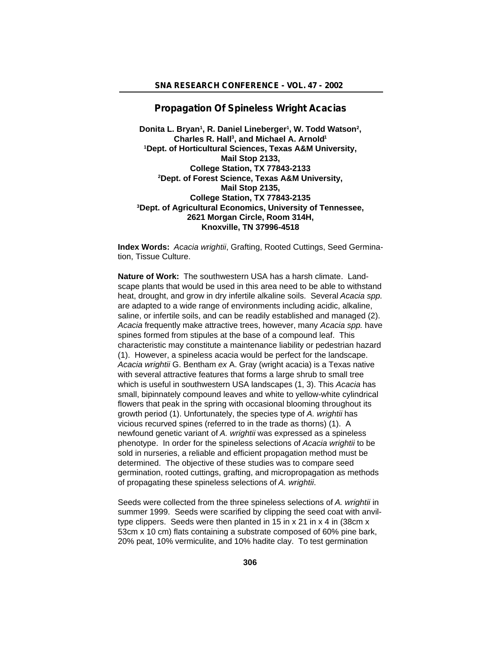# **Propagation Of Spineless Wright Acacias**

Donita L. Bryan<sup>1</sup>, R. Daniel Lineberger<sup>1</sup>, W. Todd Watson<sup>2</sup>, **Charles R. Hall<sup>3</sup> , and Michael A. Arnold<sup>1</sup> <sup>1</sup>Dept. of Horticultural Sciences, Texas A&M University, Mail Stop 2133, College Station, TX 77843-2133 <sup>2</sup>Dept. of Forest Science, Texas A&M University, Mail Stop 2135, College Station, TX 77843-2135 <sup>3</sup>Dept. of Agricultural Economics, University of Tennessee, 2621 Morgan Circle, Room 314H, Knoxville, TN 37996-4518**

**Index Words:** *Acacia wrightii*, Grafting, Rooted Cuttings, Seed Germination, Tissue Culture.

**Nature of Work:** The southwestern USA has a harsh climate. Landscape plants that would be used in this area need to be able to withstand heat, drought, and grow in dry infertile alkaline soils. Several *Acacia spp.* are adapted to a wide range of environments including acidic, alkaline, saline, or infertile soils, and can be readily established and managed (2). *Acacia* frequently make attractive trees, however, many *Acacia spp.* have spines formed from stipules at the base of a compound leaf. This characteristic may constitute a maintenance liability or pedestrian hazard (1). However, a spineless acacia would be perfect for the landscape. *Acacia wrightii* G. Bentham *ex* A. Gray (wright acacia) is a Texas native with several attractive features that forms a large shrub to small tree which is useful in southwestern USA landscapes (1, 3). This *Acacia* has small, bipinnately compound leaves and white to yellow-white cylindrical flowers that peak in the spring with occasional blooming throughout its growth period (1). Unfortunately, the species type of *A. wrightii* has vicious recurved spines (referred to in the trade as thorns) (1). A newfound genetic variant of *A. wrightii* was expressed as a spineless phenotype. In order for the spineless selections of *Acacia wrightii* to be sold in nurseries, a reliable and efficient propagation method must be determined. The objective of these studies was to compare seed germination, rooted cuttings, grafting, and micropropagation as methods of propagating these spineless selections of *A. wrightii*.

Seeds were collected from the three spineless selections of *A. wrightii* in summer 1999. Seeds were scarified by clipping the seed coat with anviltype clippers. Seeds were then planted in 15 in x 21 in x 4 in (38cm x 53cm x 10 cm) flats containing a substrate composed of 60% pine bark, 20% peat, 10% vermiculite, and 10% hadite clay. To test germination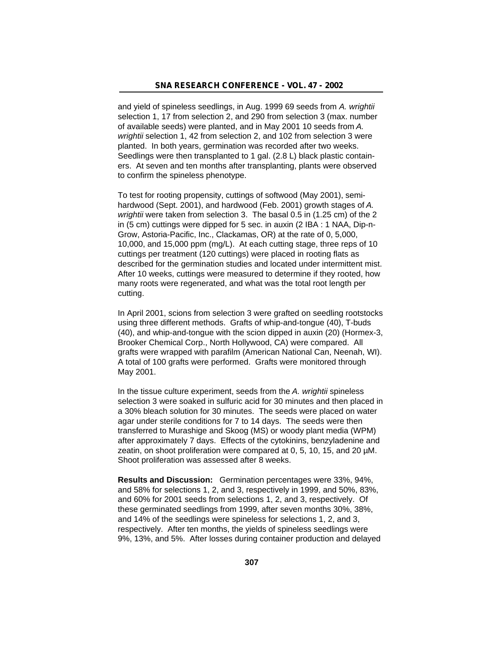and yield of spineless seedlings, in Aug. 1999 69 seeds from *A. wrightii* selection 1, 17 from selection 2, and 290 from selection 3 (max. number of available seeds) were planted, and in May 2001 10 seeds from *A. wrightii* selection 1, 42 from selection 2, and 102 from selection 3 were planted. In both years, germination was recorded after two weeks. Seedlings were then transplanted to 1 gal. (2.8 L) black plastic containers. At seven and ten months after transplanting, plants were observed to confirm the spineless phenotype.

To test for rooting propensity, cuttings of softwood (May 2001), semihardwood (Sept. 2001), and hardwood (Feb. 2001) growth stages of *A. wrightii* were taken from selection 3. The basal 0.5 in (1.25 cm) of the 2 in (5 cm) cuttings were dipped for 5 sec. in auxin (2 IBA : 1 NAA, Dip-n-Grow, Astoria-Pacific, Inc., Clackamas, OR) at the rate of 0, 5,000, 10,000, and 15,000 ppm (mg/L). At each cutting stage, three reps of 10 cuttings per treatment (120 cuttings) were placed in rooting flats as described for the germination studies and located under intermittent mist. After 10 weeks, cuttings were measured to determine if they rooted, how many roots were regenerated, and what was the total root length per cutting.

In April 2001, scions from selection 3 were grafted on seedling rootstocks using three different methods. Grafts of whip-and-tongue (40), T-buds (40), and whip-and-tongue with the scion dipped in auxin (20) (Hormex-3, Brooker Chemical Corp., North Hollywood, CA) were compared. All grafts were wrapped with parafilm (American National Can, Neenah, WI). A total of 100 grafts were performed. Grafts were monitored through May 2001.

In the tissue culture experiment, seeds from the *A. wrightii* spineless selection 3 were soaked in sulfuric acid for 30 minutes and then placed in a 30% bleach solution for 30 minutes. The seeds were placed on water agar under sterile conditions for 7 to 14 days. The seeds were then transferred to Murashige and Skoog (MS) or woody plant media (WPM) after approximately 7 days. Effects of the cytokinins, benzyladenine and zeatin, on shoot proliferation were compared at 0, 5, 10, 15, and 20 µM. Shoot proliferation was assessed after 8 weeks.

**Results and Discussion:** Germination percentages were 33%, 94%, and 58% for selections 1, 2, and 3, respectively in 1999, and 50%, 83%, and 60% for 2001 seeds from selections 1, 2, and 3, respectively. Of these germinated seedlings from 1999, after seven months 30%, 38%, and 14% of the seedlings were spineless for selections 1, 2, and 3, respectively. After ten months, the yields of spineless seedlings were 9%, 13%, and 5%. After losses during container production and delayed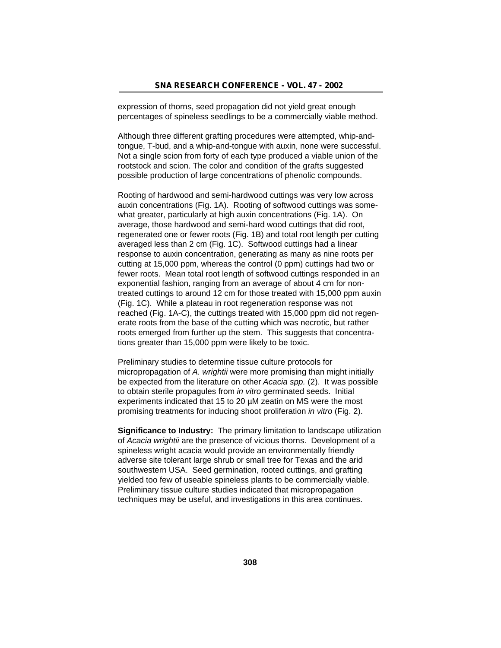expression of thorns, seed propagation did not yield great enough percentages of spineless seedlings to be a commercially viable method.

Although three different grafting procedures were attempted, whip-andtongue, T-bud, and a whip-and-tongue with auxin, none were successful. Not a single scion from forty of each type produced a viable union of the rootstock and scion. The color and condition of the grafts suggested possible production of large concentrations of phenolic compounds.

Rooting of hardwood and semi-hardwood cuttings was very low across auxin concentrations (Fig. 1A). Rooting of softwood cuttings was somewhat greater, particularly at high auxin concentrations (Fig. 1A). On average, those hardwood and semi-hard wood cuttings that did root, regenerated one or fewer roots (Fig. 1B) and total root length per cutting averaged less than 2 cm (Fig. 1C). Softwood cuttings had a linear response to auxin concentration, generating as many as nine roots per cutting at 15,000 ppm, whereas the control (0 ppm) cuttings had two or fewer roots. Mean total root length of softwood cuttings responded in an exponential fashion, ranging from an average of about 4 cm for nontreated cuttings to around 12 cm for those treated with 15,000 ppm auxin (Fig. 1C). While a plateau in root regeneration response was not reached (Fig. 1A-C), the cuttings treated with 15,000 ppm did not regenerate roots from the base of the cutting which was necrotic, but rather roots emerged from further up the stem. This suggests that concentrations greater than 15,000 ppm were likely to be toxic.

Preliminary studies to determine tissue culture protocols for micropropagation of *A. wrightii* were more promising than might initially be expected from the literature on other *Acacia spp.* (2). It was possible to obtain sterile propagules from *in vitro* germinated seeds. Initial experiments indicated that 15 to 20 µM zeatin on MS were the most promising treatments for inducing shoot proliferation *in vitro* (Fig. 2).

**Significance to Industry:** The primary limitation to landscape utilization of *Acacia wrightii* are the presence of vicious thorns. Development of a spineless wright acacia would provide an environmentally friendly adverse site tolerant large shrub or small tree for Texas and the arid southwestern USA. Seed germination, rooted cuttings, and grafting yielded too few of useable spineless plants to be commercially viable. Preliminary tissue culture studies indicated that micropropagation techniques may be useful, and investigations in this area continues.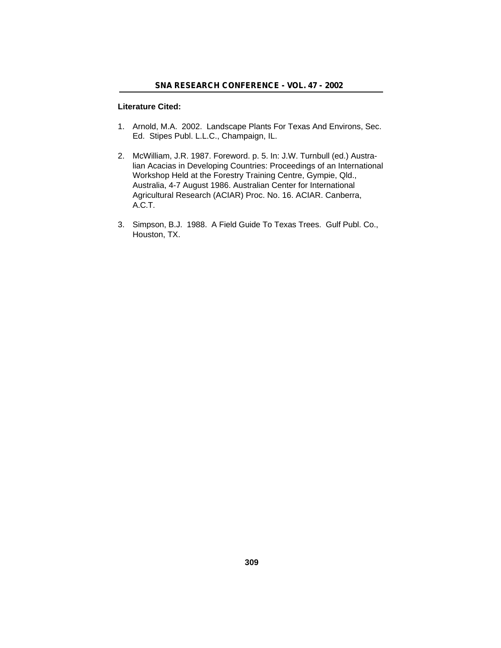## **Literature Cited:**

- 1. Arnold, M.A. 2002. Landscape Plants For Texas And Environs, Sec. Ed. Stipes Publ. L.L.C., Champaign, IL.
- 2. McWilliam, J.R. 1987. Foreword. p. 5. In: J.W. Turnbull (ed.) Australian Acacias in Developing Countries: Proceedings of an International Workshop Held at the Forestry Training Centre, Gympie, Qld., Australia, 4-7 August 1986. Australian Center for International Agricultural Research (ACIAR) Proc. No. 16. ACIAR. Canberra, A.C.T.
- 3. Simpson, B.J. 1988. A Field Guide To Texas Trees. Gulf Publ. Co., Houston, TX.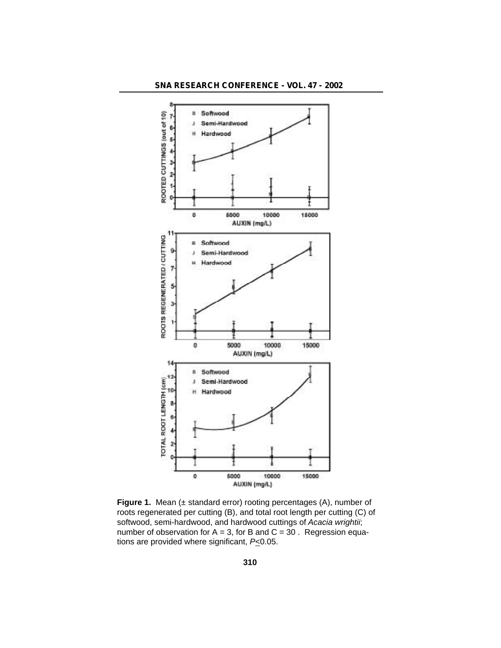

**Figure 1.** Mean (± standard error) rooting percentages (A), number of roots regenerated per cutting (B), and total root length per cutting (C) of softwood, semi-hardwood, and hardwood cuttings of *Acacia wrightii*; number of observation for  $A = 3$ , for B and  $C = 30$ . Regression equations are provided where significant, *P*<0.05.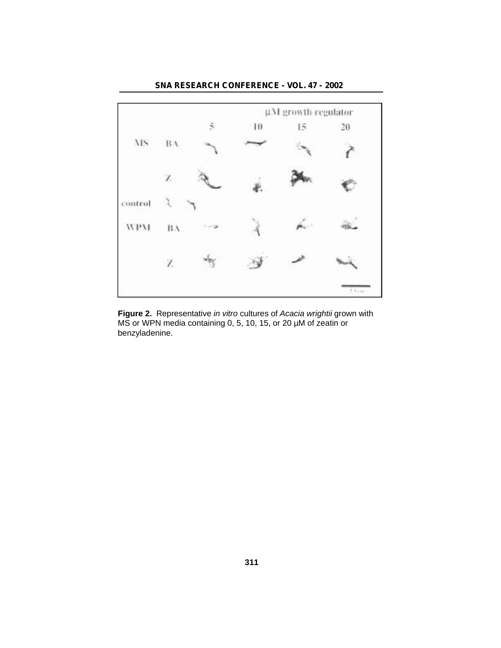

**Figure 2.** Representative *in vitro* cultures of *Acacia wrightii* grown with MS or WPN media containing 0, 5, 10, 15, or 20 µM of zeatin or benzyladenine.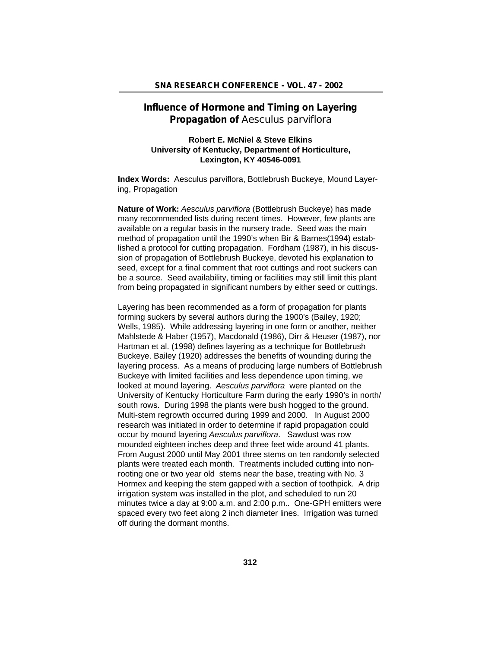# **Influence of Hormone and Timing on Layering Propagation of** *Aesculus parviflora*

# **Robert E. McNiel & Steve Elkins University of Kentucky, Department of Horticulture, Lexington, KY 40546-0091**

**Index Words:** Aesculus parviflora, Bottlebrush Buckeye, Mound Layering, Propagation

**Nature of Work:** *Aesculus parviflora* (Bottlebrush Buckeye) has made many recommended lists during recent times. However, few plants are available on a regular basis in the nursery trade. Seed was the main method of propagation until the 1990's when Bir & Barnes(1994) established a protocol for cutting propagation. Fordham (1987), in his discussion of propagation of Bottlebrush Buckeye, devoted his explanation to seed, except for a final comment that root cuttings and root suckers can be a source. Seed availability, timing or facilities may still limit this plant from being propagated in significant numbers by either seed or cuttings.

Layering has been recommended as a form of propagation for plants forming suckers by several authors during the 1900's (Bailey, 1920; Wells, 1985). While addressing layering in one form or another, neither Mahlstede & Haber (1957), Macdonald (1986), Dirr & Heuser (1987), nor Hartman et al. (1998) defines layering as a technique for Bottlebrush Buckeye. Bailey (1920) addresses the benefits of wounding during the layering process. As a means of producing large numbers of Bottlebrush Buckeye with limited facilities and less dependence upon timing, we looked at mound layering. *Aesculus parviflora* were planted on the University of Kentucky Horticulture Farm during the early 1990's in north/ south rows. During 1998 the plants were bush hogged to the ground. Multi-stem regrowth occurred during 1999 and 2000. In August 2000 research was initiated in order to determine if rapid propagation could occur by mound layering *Aesculus parviflora*. Sawdust was row mounded eighteen inches deep and three feet wide around 41 plants. From August 2000 until May 2001 three stems on ten randomly selected plants were treated each month. Treatments included cutting into nonrooting one or two year old stems near the base, treating with No. 3 Hormex and keeping the stem gapped with a section of toothpick. A drip irrigation system was installed in the plot, and scheduled to run 20 minutes twice a day at 9:00 a.m. and 2:00 p.m.. One-GPH emitters were spaced every two feet along 2 inch diameter lines. Irrigation was turned off during the dormant months.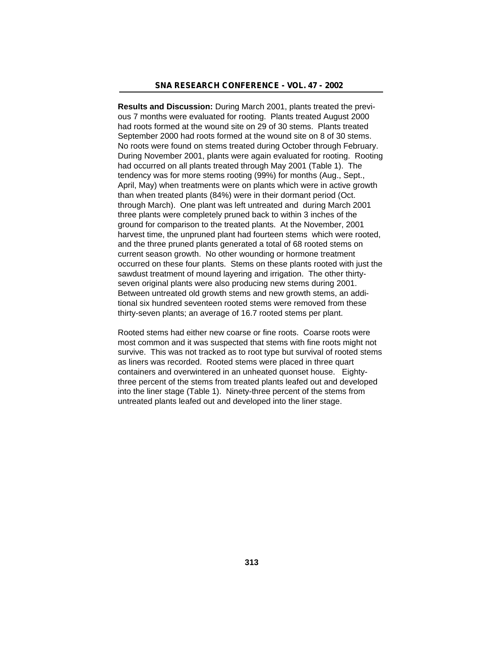**Results and Discussion:** During March 2001, plants treated the previous 7 months were evaluated for rooting. Plants treated August 2000 had roots formed at the wound site on 29 of 30 stems. Plants treated September 2000 had roots formed at the wound site on 8 of 30 stems. No roots were found on stems treated during October through February. During November 2001, plants were again evaluated for rooting. Rooting had occurred on all plants treated through May 2001 (Table 1). The tendency was for more stems rooting (99%) for months (Aug., Sept., April, May) when treatments were on plants which were in active growth than when treated plants (84%) were in their dormant period (Oct. through March). One plant was left untreated and during March 2001 three plants were completely pruned back to within 3 inches of the ground for comparison to the treated plants. At the November, 2001 harvest time, the unpruned plant had fourteen stems which were rooted, and the three pruned plants generated a total of 68 rooted stems on current season growth. No other wounding or hormone treatment occurred on these four plants. Stems on these plants rooted with just the sawdust treatment of mound layering and irrigation. The other thirtyseven original plants were also producing new stems during 2001. Between untreated old growth stems and new growth stems, an additional six hundred seventeen rooted stems were removed from these thirty-seven plants; an average of 16.7 rooted stems per plant.

Rooted stems had either new coarse or fine roots. Coarse roots were most common and it was suspected that stems with fine roots might not survive. This was not tracked as to root type but survival of rooted stems as liners was recorded. Rooted stems were placed in three quart containers and overwintered in an unheated quonset house. Eightythree percent of the stems from treated plants leafed out and developed into the liner stage (Table 1). Ninety-three percent of the stems from untreated plants leafed out and developed into the liner stage.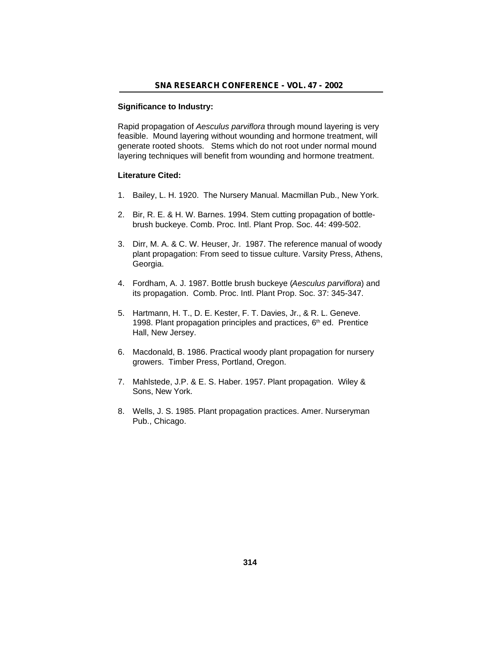#### **Significance to Industry:**

Rapid propagation of *Aesculus parviflora* through mound layering is very feasible. Mound layering without wounding and hormone treatment, will generate rooted shoots. Stems which do not root under normal mound layering techniques will benefit from wounding and hormone treatment.

## **Literature Cited:**

- 1. Bailey, L. H. 1920. The Nursery Manual. Macmillan Pub., New York.
- 2. Bir, R. E. & H. W. Barnes. 1994. Stem cutting propagation of bottlebrush buckeye. Comb. Proc. Intl. Plant Prop. Soc. 44: 499-502.
- 3. Dirr, M. A. & C. W. Heuser, Jr. 1987. The reference manual of woody plant propagation: From seed to tissue culture. Varsity Press, Athens, Georgia.
- 4. Fordham, A. J. 1987. Bottle brush buckeye (*Aesculus parviflora*) and its propagation. Comb. Proc. Intl. Plant Prop. Soc. 37: 345-347.
- 5. Hartmann, H. T., D. E. Kester, F. T. Davies, Jr., & R. L. Geneve. 1998. Plant propagation principles and practices, 6<sup>th</sup> ed. Prentice Hall, New Jersey.
- 6. Macdonald, B. 1986. Practical woody plant propagation for nursery growers. Timber Press, Portland, Oregon.
- 7. Mahlstede, J.P. & E. S. Haber. 1957. Plant propagation. Wiley & Sons, New York.
- 8. Wells, J. S. 1985. Plant propagation practices. Amer. Nurseryman Pub., Chicago.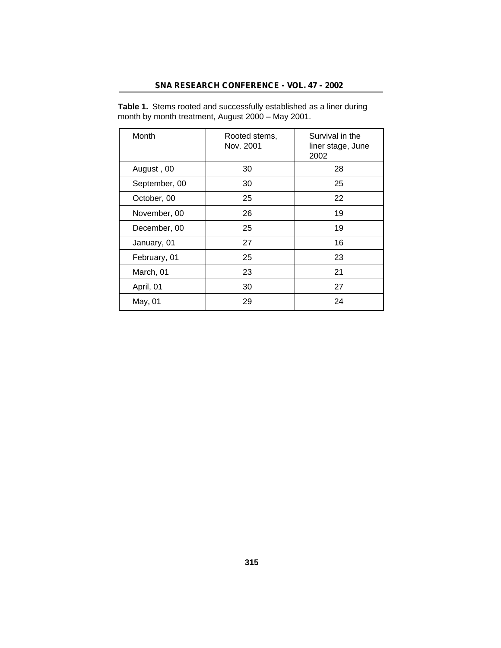| SNA RESEARCH CONFERENCE - VOL. 47 - 2002 |  |  |  |
|------------------------------------------|--|--|--|
|------------------------------------------|--|--|--|

| Month         | Rooted stems,<br>Nov. 2001 | Survival in the<br>liner stage, June<br>2002 |
|---------------|----------------------------|----------------------------------------------|
| August, 00    | 30                         | 28                                           |
| September, 00 | 30                         | 25                                           |
| October, 00   | 25                         | 22                                           |
| November, 00  | 26                         | 19                                           |
| December, 00  | 25                         | 19                                           |
| January, 01   | 27                         | 16                                           |
| February, 01  | 25                         | 23                                           |
| March, 01     | 23                         | 21                                           |
| April, 01     | 30                         | 27                                           |
| May, 01       | 29                         | 24                                           |

**Table 1.** Stems rooted and successfully established as a liner during month by month treatment, August 2000 – May 2001.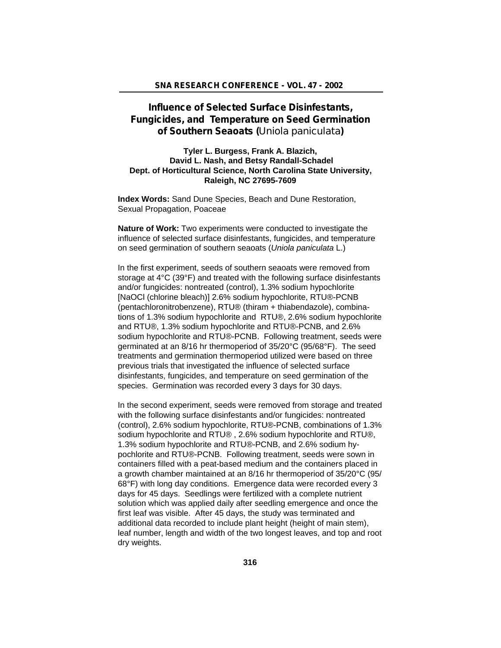# **Influence of Selected Surface Disinfestants, Fungicides, and Temperature on Seed Germination of Southern Seaoats (***Uniola paniculata***)**

## **Tyler L. Burgess, Frank A. Blazich, David L. Nash, and Betsy Randall-Schadel Dept. of Horticultural Science, North Carolina State University, Raleigh, NC 27695-7609**

**Index Words:** Sand Dune Species, Beach and Dune Restoration, Sexual Propagation, Poaceae

**Nature of Work:** Two experiments were conducted to investigate the influence of selected surface disinfestants, fungicides, and temperature on seed germination of southern seaoats (*Uniola paniculata* L.)

In the first experiment, seeds of southern seaoats were removed from storage at 4°C (39°F) and treated with the following surface disinfestants and/or fungicides: nontreated (control), 1.3% sodium hypochlorite [NaOCl (chlorine bleach)] 2.6% sodium hypochlorite, RTU®-PCNB (pentachloronitrobenzene), RTU® (thiram + thiabendazole), combinations of 1.3% sodium hypochlorite and RTU®, 2.6% sodium hypochlorite and RTU®, 1.3% sodium hypochlorite and RTU®-PCNB, and 2.6% sodium hypochlorite and RTU®-PCNB. Following treatment, seeds were germinated at an 8/16 hr thermoperiod of 35/20°C (95/68°F). The seed treatments and germination thermoperiod utilized were based on three previous trials that investigated the influence of selected surface disinfestants, fungicides, and temperature on seed germination of the species. Germination was recorded every 3 days for 30 days.

In the second experiment, seeds were removed from storage and treated with the following surface disinfestants and/or fungicides: nontreated (control), 2.6% sodium hypochlorite, RTU®-PCNB, combinations of 1.3% sodium hypochlorite and RTU® , 2.6% sodium hypochlorite and RTU®, 1.3% sodium hypochlorite and RTU®-PCNB, and 2.6% sodium hypochlorite and RTU®-PCNB. Following treatment, seeds were sown in containers filled with a peat-based medium and the containers placed in a growth chamber maintained at an 8/16 hr thermoperiod of 35/20°C (95/ 68°F) with long day conditions. Emergence data were recorded every 3 days for 45 days. Seedlings were fertilized with a complete nutrient solution which was applied daily after seedling emergence and once the first leaf was visible. After 45 days, the study was terminated and additional data recorded to include plant height (height of main stem), leaf number, length and width of the two longest leaves, and top and root dry weights.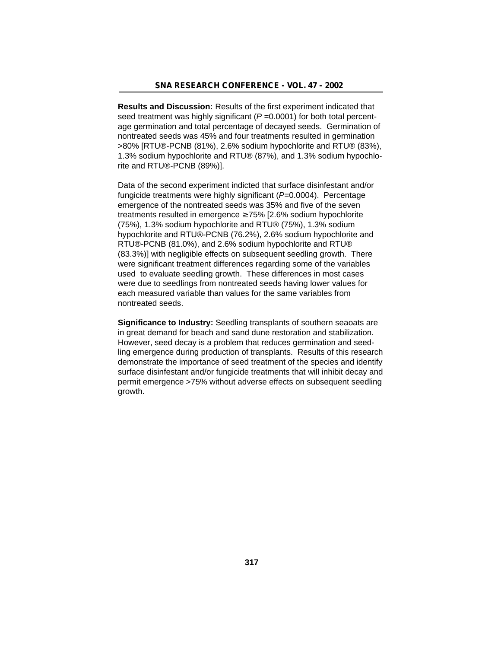**Results and Discussion:** Results of the first experiment indicated that seed treatment was highly significant ( $P = 0.0001$ ) for both total percentage germination and total percentage of decayed seeds. Germination of nontreated seeds was 45% and four treatments resulted in germination >80% [RTU®-PCNB (81%), 2.6% sodium hypochlorite and RTU® (83%), 1.3% sodium hypochlorite and RTU® (87%), and 1.3% sodium hypochlorite and RTU®-PCNB (89%)].

Data of the second experiment indicted that surface disinfestant and/or fungicide treatments were highly significant (*P*=0.0004). Percentage emergence of the nontreated seeds was 35% and five of the seven treatments resulted in emergence 75% [2.6% sodium hypochlorite (75%), 1.3% sodium hypochlorite and RTU® (75%), 1.3% sodium hypochlorite and RTU®-PCNB (76.2%), 2.6% sodium hypochlorite and RTU®-PCNB (81.0%), and 2.6% sodium hypochlorite and RTU® (83.3%)] with negligible effects on subsequent seedling growth. There were significant treatment differences regarding some of the variables used to evaluate seedling growth. These differences in most cases were due to seedlings from nontreated seeds having lower values for each measured variable than values for the same variables from nontreated seeds.

**Significance to Industry:** Seedling transplants of southern seaoats are in great demand for beach and sand dune restoration and stabilization. However, seed decay is a problem that reduces germination and seedling emergence during production of transplants. Results of this research demonstrate the importance of seed treatment of the species and identify surface disinfestant and/or fungicide treatments that will inhibit decay and permit emergence >75% without adverse effects on subsequent seedling growth.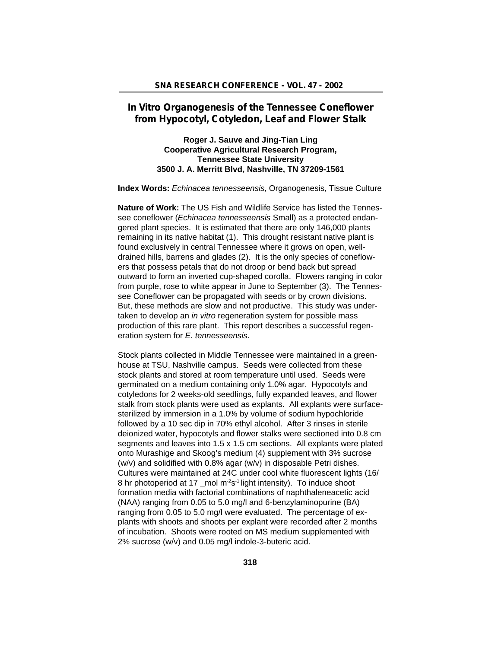# **In Vitro Organogenesis of the Tennessee Coneflower from Hypocotyl, Cotyledon, Leaf and Flower Stalk**

# **Roger J. Sauve and Jing-Tian Ling Cooperative Agricultural Research Program, Tennessee State University 3500 J. A. Merritt Blvd, Nashville, TN 37209-1561**

**Index Words:** *Echinacea tennesseensis*, Organogenesis, Tissue Culture

**Nature of Work:** The US Fish and Wildlife Service has listed the Tennessee coneflower (*Echinacea tennesseensis* Small) as a protected endangered plant species. It is estimated that there are only 146,000 plants remaining in its native habitat (1). This drought resistant native plant is found exclusively in central Tennessee where it grows on open, welldrained hills, barrens and glades (2). It is the only species of coneflowers that possess petals that do not droop or bend back but spread outward to form an inverted cup-shaped corolla. Flowers ranging in color from purple, rose to white appear in June to September (3). The Tennessee Coneflower can be propagated with seeds or by crown divisions. But, these methods are slow and not productive. This study was undertaken to develop an *in vitro* regeneration system for possible mass production of this rare plant. This report describes a successful regeneration system for *E. tennesseensis*.

Stock plants collected in Middle Tennessee were maintained in a greenhouse at TSU, Nashville campus. Seeds were collected from these stock plants and stored at room temperature until used. Seeds were germinated on a medium containing only 1.0% agar. Hypocotyls and cotyledons for 2 weeks-old seedlings, fully expanded leaves, and flower stalk from stock plants were used as explants. All explants were surfacesterilized by immersion in a 1.0% by volume of sodium hypochloride followed by a 10 sec dip in 70% ethyl alcohol. After 3 rinses in sterile deionized water, hypocotyls and flower stalks were sectioned into 0.8 cm segments and leaves into 1.5 x 1.5 cm sections. All explants were plated onto Murashige and Skoog's medium (4) supplement with 3% sucrose (w/v) and solidified with 0.8% agar (w/v) in disposable Petri dishes. Cultures were maintained at 24C under cool white fluorescent lights (16/ 8 hr photoperiod at 17 \_mol m<sup>-2</sup>s<sup>-1</sup> light intensity). To induce shoot formation media with factorial combinations of naphthaleneacetic acid (NAA) ranging from 0.05 to 5.0 mg/l and 6-benzylaminopurine (BA) ranging from 0.05 to 5.0 mg/l were evaluated. The percentage of explants with shoots and shoots per explant were recorded after 2 months of incubation. Shoots were rooted on MS medium supplemented with 2% sucrose (w/v) and 0.05 mg/l indole-3-buteric acid.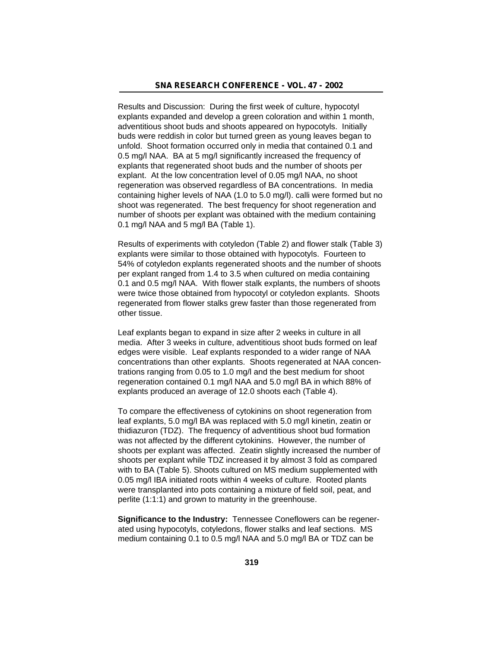Results and Discussion: During the first week of culture, hypocotyl explants expanded and develop a green coloration and within 1 month, adventitious shoot buds and shoots appeared on hypocotyls. Initially buds were reddish in color but turned green as young leaves began to unfold. Shoot formation occurred only in media that contained 0.1 and 0.5 mg/l NAA. BA at 5 mg/l significantly increased the frequency of explants that regenerated shoot buds and the number of shoots per explant. At the low concentration level of 0.05 mg/l NAA, no shoot regeneration was observed regardless of BA concentrations. In media containing higher levels of NAA (1.0 to 5.0 mg/l). calli were formed but no shoot was regenerated. The best frequency for shoot regeneration and number of shoots per explant was obtained with the medium containing 0.1 mg/l NAA and 5 mg/l BA (Table 1).

Results of experiments with cotyledon (Table 2) and flower stalk (Table 3) explants were similar to those obtained with hypocotyls. Fourteen to 54% of cotyledon explants regenerated shoots and the number of shoots per explant ranged from 1.4 to 3.5 when cultured on media containing 0.1 and 0.5 mg/l NAA. With flower stalk explants, the numbers of shoots were twice those obtained from hypocotyl or cotyledon explants. Shoots regenerated from flower stalks grew faster than those regenerated from other tissue.

Leaf explants began to expand in size after 2 weeks in culture in all media. After 3 weeks in culture, adventitious shoot buds formed on leaf edges were visible. Leaf explants responded to a wider range of NAA concentrations than other explants. Shoots regenerated at NAA concentrations ranging from 0.05 to 1.0 mg/l and the best medium for shoot regeneration contained 0.1 mg/l NAA and 5.0 mg/l BA in which 88% of explants produced an average of 12.0 shoots each (Table 4).

To compare the effectiveness of cytokinins on shoot regeneration from leaf explants, 5.0 mg/l BA was replaced with 5.0 mg/l kinetin, zeatin or thidiazuron (TDZ). The frequency of adventitious shoot bud formation was not affected by the different cytokinins. However, the number of shoots per explant was affected. Zeatin slightly increased the number of shoots per explant while TDZ increased it by almost 3 fold as compared with to BA (Table 5). Shoots cultured on MS medium supplemented with 0.05 mg/l IBA initiated roots within 4 weeks of culture. Rooted plants were transplanted into pots containing a mixture of field soil, peat, and perlite (1:1:1) and grown to maturity in the greenhouse.

**Significance to the Industry:** Tennessee Coneflowers can be regenerated using hypocotyls, cotyledons, flower stalks and leaf sections. MS medium containing 0.1 to 0.5 mg/l NAA and 5.0 mg/l BA or TDZ can be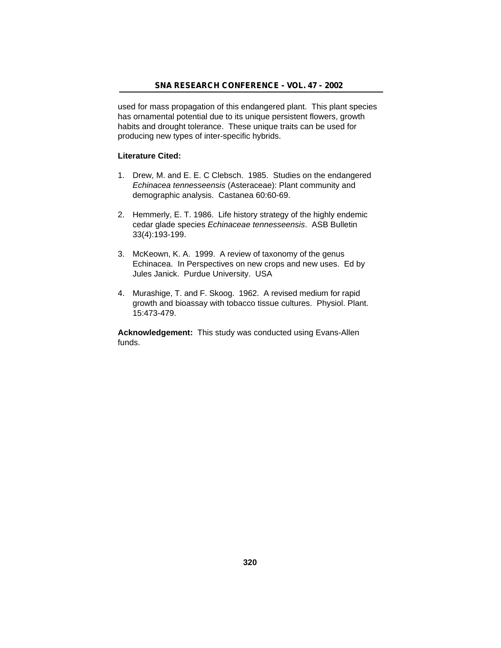used for mass propagation of this endangered plant. This plant species has ornamental potential due to its unique persistent flowers, growth habits and drought tolerance. These unique traits can be used for producing new types of inter-specific hybrids.

#### **Literature Cited:**

- 1. Drew, M. and E. E. C Clebsch. 1985. Studies on the endangered *Echinacea tennesseensis* (Asteraceae): Plant community and demographic analysis. Castanea 60:60-69.
- 2. Hemmerly, E. T. 1986. Life history strategy of the highly endemic cedar glade species *Echinaceae tennesseensis*. ASB Bulletin 33(4):193-199.
- 3. McKeown, K. A. 1999. A review of taxonomy of the genus Echinacea. In Perspectives on new crops and new uses. Ed by Jules Janick. Purdue University. USA
- 4. Murashige, T. and F. Skoog. 1962. A revised medium for rapid growth and bioassay with tobacco tissue cultures. Physiol. Plant. 15:473-479.

**Acknowledgement:** This study was conducted using Evans-Allen funds.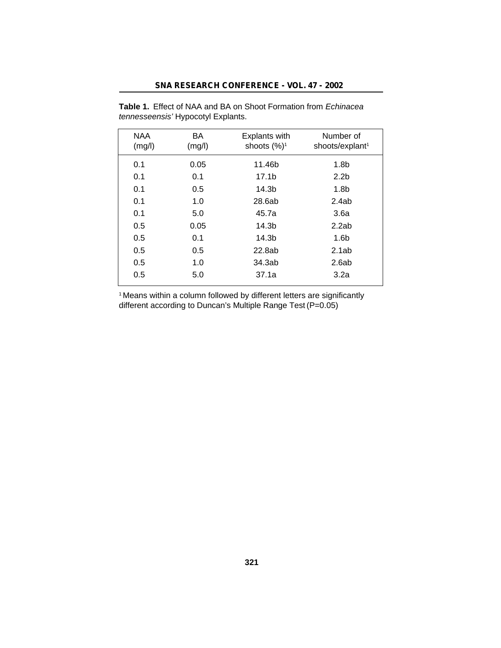## **SNA RESEARCH CONFERENCE - VOL. 47 - 2002**

| <b>NAA</b><br>(mg/l) | BA<br>(mg/l) | <b>Explants with</b><br>shoots $(\%)^1$ | Number of<br>shoots/explant <sup>1</sup> |
|----------------------|--------------|-----------------------------------------|------------------------------------------|
| 0.1                  | 0.05         | 11.46b                                  | 1.8 <sub>b</sub>                         |
| 0.1                  | 0.1          | 17.1 <sub>b</sub>                       | 2.2 <sub>b</sub>                         |
| 0.1                  | 0.5          | 14.3b                                   | 1.8 <sub>b</sub>                         |
| 0.1                  | 1.0          | 28.6ab                                  | 2.4ab                                    |
| 0.1                  | 5.0          | 45.7a                                   | 3.6a                                     |
| 0.5                  | 0.05         | 14.3b                                   | 2.2ab                                    |
| 0.5                  | 0.1          | 14.3b                                   | 1.6 <sub>b</sub>                         |
| 0.5                  | 0.5          | 22.8ab                                  | 2.1ab                                    |
| 0.5                  | 1.0          | 34.3ab                                  | 2.6ab                                    |
| 0.5                  | 5.0          | 37.1a                                   | 3.2a                                     |

**Table 1.** Effect of NAA and BA on Shoot Formation from *Echinacea tennesseensis'* Hypocotyl Explants.

<sup>1</sup>Means within a column followed by different letters are significantly different according to Duncan's Multiple Range Test (P=0.05)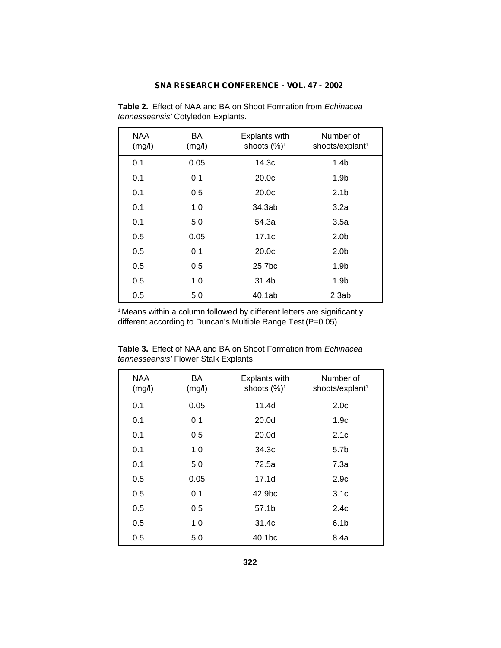| <b>NAA</b><br>(mg/l) | BA<br>(mg/l) | Explants with<br>shoots (%) <sup>1</sup> | Number of<br>shoots/explant <sup>1</sup> |
|----------------------|--------------|------------------------------------------|------------------------------------------|
| 0.1                  | 0.05         | 14.3c                                    | 1.4 <sub>b</sub>                         |
| 0.1                  | 0.1          | 20.0 <sub>c</sub>                        | 1.9 <sub>b</sub>                         |
| 0.1                  | 0.5          | 20.0 <sub>c</sub>                        | 2.1 <sub>b</sub>                         |
| 0.1                  | 1.0          | 34.3ab                                   | 3.2a                                     |
| 0.1                  | 5.0          | 54.3a                                    | 3.5a                                     |
| 0.5                  | 0.05         | 17.1c                                    | 2.0 <sub>b</sub>                         |
| 0.5                  | 0.1          | 20.0 <sub>c</sub>                        | 2.0 <sub>b</sub>                         |
| 0.5                  | 0.5          | 25.7bc                                   | 1.9 <sub>b</sub>                         |
| 0.5                  | 1.0          | 31.4b                                    | 1.9 <sub>b</sub>                         |
| 0.5                  | 5.0          | 40.1ab                                   | 2.3ab                                    |

**Table 2.** Effect of NAA and BA on Shoot Formation from *Echinacea tennesseensis'* Cotyledon Explants.

<sup>1</sup> Means within a column followed by different letters are significantly different according to Duncan's Multiple Range Test (P=0.05)

| <b>NAA</b><br>(mg/l) | BA<br>(mg/l) | Explants with<br>shoots (%) <sup>1</sup> | Number of<br>shoots/explant <sup>1</sup> |
|----------------------|--------------|------------------------------------------|------------------------------------------|
| 0.1                  | 0.05         | 11.4d                                    | 2.0 <sub>c</sub>                         |
| 0.1                  | 0.1          | 20.0d                                    | 1.9c                                     |
| 0.1                  | 0.5          | 20.0d                                    | 2.1c                                     |
| 0.1                  | 1.0          | 34.3c                                    | 5.7b                                     |
| 0.1                  | 5.0          | 72.5a                                    | 7.3а                                     |
| 0.5                  | 0.05         | 17.1d                                    | 2.9c                                     |
| 0.5                  | 0.1          | 42.9 <sub>bc</sub>                       | 3.1 <sub>c</sub>                         |
| 0.5                  | 0.5          | 57.1b                                    | 2.4c                                     |
| 0.5                  | 1.0          | 31.4c                                    | 6.1 <sub>b</sub>                         |
| 0.5                  | 5.0          | 40.1 <sub>bc</sub>                       | 8.4a                                     |

**Table 3.** Effect of NAA and BA on Shoot Formation from *Echinacea tennesseensis'* Flower Stalk Explants.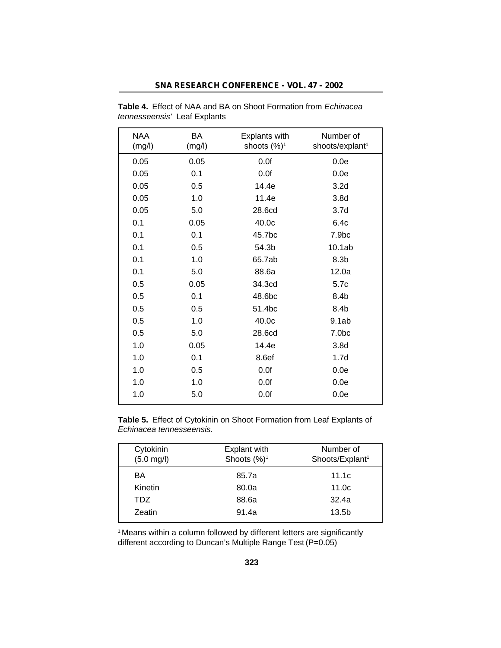| SNA RESEARCH CONFERENCE - VOL. 47 - 2002 |  |
|------------------------------------------|--|
|------------------------------------------|--|

| <b>NAA</b><br>(mg/l) | BA<br>(mg/l) | <b>Explants with</b><br>shoots $(\%)^1$ | Number of<br>shoots/explant <sup>1</sup> |
|----------------------|--------------|-----------------------------------------|------------------------------------------|
| 0.05                 | 0.05         | 0.0f                                    | 0.0e                                     |
| 0.05                 | 0.1          | 0.0f                                    | 0.0e                                     |
| 0.05                 | 0.5          | 14.4e                                   | 3.2 <sub>d</sub>                         |
| 0.05                 | 1.0          | 11.4e                                   | 3.8 <sub>d</sub>                         |
| 0.05                 | 5.0          | 28.6cd                                  | 3.7 <sub>d</sub>                         |
| 0.1                  | 0.05         | 40.0c                                   | 6.4c                                     |
| 0.1                  | 0.1          | 45.7bc                                  | 7.9bc                                    |
| 0.1                  | 0.5          | 54.3b                                   | 10.1ab                                   |
| 0.1                  | 1.0          | 65.7ab                                  | 8.3 <sub>b</sub>                         |
| 0.1                  | 5.0          | 88.6a                                   | 12.0a                                    |
| 0.5                  | 0.05         | 34.3cd                                  | 5.7c                                     |
| 0.5                  | 0.1          | 48.6bc                                  | 8.4b                                     |
| 0.5                  | 0.5          | 51.4bc                                  | 8.4b                                     |
| 0.5                  | 1.0          | 40.0c                                   | 9.1ab                                    |
| 0.5                  | 5.0          | 28.6cd                                  | 7.0bc                                    |
| 1.0                  | 0.05         | 14.4e                                   | 3.8 <sub>d</sub>                         |
| 1.0                  | 0.1          | 8.6ef                                   | 1.7 <sub>d</sub>                         |
| 1.0                  | 0.5          | 0.0f                                    | 0.0e                                     |
| 1.0                  | 1.0          | 0.0f                                    | 0.0e                                     |
| 1.0                  | 5.0          | 0.0f                                    | 0.0e                                     |

**Table 4.** Effect of NAA and BA on Shoot Formation from *Echinacea tennesseensis'* Leaf Explants

**Table 5.** Effect of Cytokinin on Shoot Formation from Leaf Explants of *Echinacea tennesseensis.*

| Cytokinin<br>$(5.0 \text{ mg/l})$ | Explant with<br>Shoots $(\%)^1$ | Number of<br>Shoots/Explant <sup>1</sup> |
|-----------------------------------|---------------------------------|------------------------------------------|
| BA                                | 85.7a                           | 11.1c                                    |
| Kinetin                           | 80.0a                           | 11.0 <sub>c</sub>                        |
| TDZ.                              | 88.6a                           | 32.4a                                    |
| Zeatin                            | 91.4a                           | 13.5 <sub>b</sub>                        |

<sup>1</sup> Means within a column followed by different letters are significantly different according to Duncan's Multiple Range Test (P=0.05)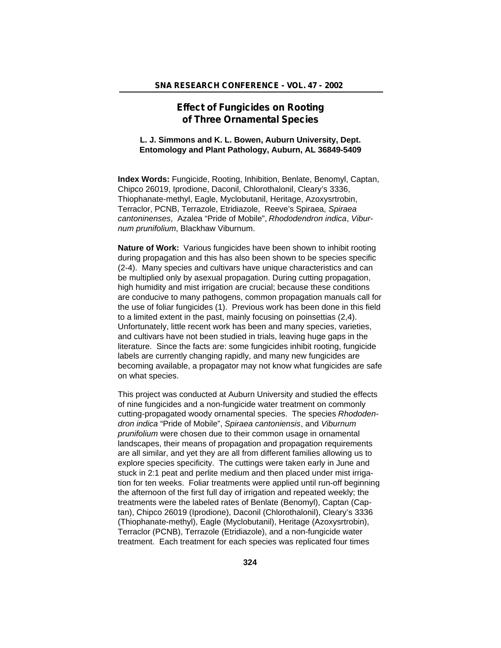# **Effect of Fungicides on Rooting of Three Ornamental Species**

## **L. J. Simmons and K. L. Bowen, Auburn University, Dept. Entomology and Plant Pathology, Auburn, AL 36849-5409**

**Index Words:** Fungicide, Rooting, Inhibition, Benlate, Benomyl, Captan, Chipco 26019, Iprodione, Daconil, Chlorothalonil, Cleary's 3336, Thiophanate-methyl, Eagle, Myclobutanil, Heritage, Azoxysrtrobin, Terraclor, PCNB, Terrazole, Etridiazole, Reeve's Spiraea, *Spiraea cantoninenses*, Azalea "Pride of Mobile", *Rhododendron indica*, *Viburnum prunifolium*, Blackhaw Viburnum.

**Nature of Work:** Various fungicides have been shown to inhibit rooting during propagation and this has also been shown to be species specific (2-4). Many species and cultivars have unique characteristics and can be multiplied only by asexual propagation. During cutting propagation, high humidity and mist irrigation are crucial; because these conditions are conducive to many pathogens, common propagation manuals call for the use of foliar fungicides (1). Previous work has been done in this field to a limited extent in the past, mainly focusing on poinsettias (2,4). Unfortunately, little recent work has been and many species, varieties, and cultivars have not been studied in trials, leaving huge gaps in the literature. Since the facts are: some fungicides inhibit rooting, fungicide labels are currently changing rapidly, and many new fungicides are becoming available, a propagator may not know what fungicides are safe on what species.

This project was conducted at Auburn University and studied the effects of nine fungicides and a non-fungicide water treatment on commonly cutting-propagated woody ornamental species. The species *Rhododendron indica* "Pride of Mobile", *Spiraea cantoniensis*, and *Viburnum prunifolium* were chosen due to their common usage in ornamental landscapes, their means of propagation and propagation requirements are all similar, and yet they are all from different families allowing us to explore species specificity. The cuttings were taken early in June and stuck in 2:1 peat and perlite medium and then placed under mist irrigation for ten weeks. Foliar treatments were applied until run-off beginning the afternoon of the first full day of irrigation and repeated weekly; the treatments were the labeled rates of Benlate (Benomyl), Captan (Captan), Chipco 26019 (Iprodione), Daconil (Chlorothalonil), Cleary's 3336 (Thiophanate-methyl), Eagle (Myclobutanil), Heritage (Azoxysrtrobin), Terraclor (PCNB), Terrazole (Etridiazole), and a non-fungicide water treatment. Each treatment for each species was replicated four times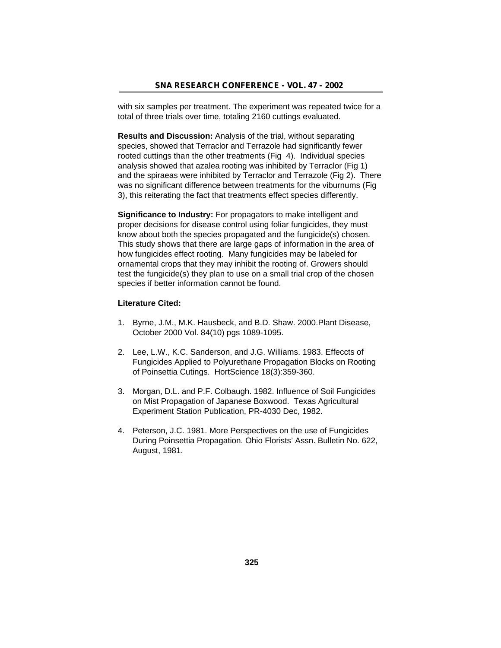with six samples per treatment. The experiment was repeated twice for a total of three trials over time, totaling 2160 cuttings evaluated.

**Results and Discussion:** Analysis of the trial, without separating species, showed that Terraclor and Terrazole had significantly fewer rooted cuttings than the other treatments (Fig 4). Individual species analysis showed that azalea rooting was inhibited by Terraclor (Fig 1) and the spiraeas were inhibited by Terraclor and Terrazole (Fig 2). There was no significant difference between treatments for the viburnums (Fig 3), this reiterating the fact that treatments effect species differently.

**Significance to Industry:** For propagators to make intelligent and proper decisions for disease control using foliar fungicides, they must know about both the species propagated and the fungicide(s) chosen. This study shows that there are large gaps of information in the area of how fungicides effect rooting. Many fungicides may be labeled for ornamental crops that they may inhibit the rooting of. Growers should test the fungicide(s) they plan to use on a small trial crop of the chosen species if better information cannot be found.

#### **Literature Cited:**

- 1. Byrne, J.M., M.K. Hausbeck, and B.D. Shaw. 2000.Plant Disease, October 2000 Vol. 84(10) pgs 1089-1095.
- 2. Lee, L.W., K.C. Sanderson, and J.G. Williams. 1983. Effeccts of Fungicides Applied to Polyurethane Propagation Blocks on Rooting of Poinsettia Cutings. HortScience 18(3):359-360.
- 3. Morgan, D.L. and P.F. Colbaugh. 1982. Influence of Soil Fungicides on Mist Propagation of Japanese Boxwood. Texas Agricultural Experiment Station Publication, PR-4030 Dec, 1982.
- 4. Peterson, J.C. 1981. More Perspectives on the use of Fungicides During Poinsettia Propagation. Ohio Florists' Assn. Bulletin No. 622, August, 1981.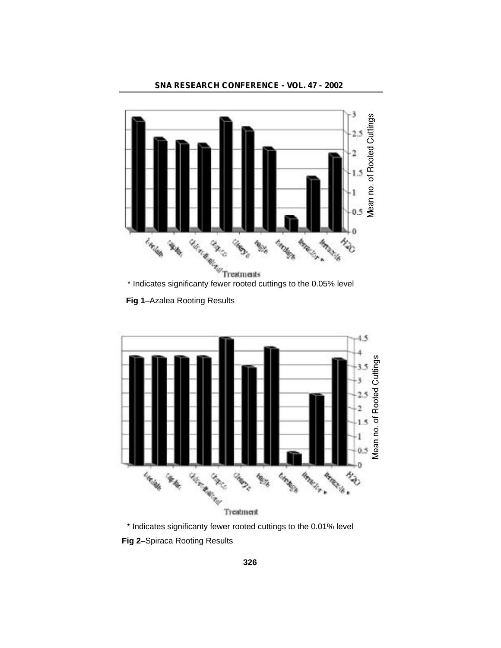



**Fig 1**–Azalea Rooting Results



\* Indicates significanty fewer rooted cuttings to the 0.01% level **Fig 2**–Spiraca Rooting Results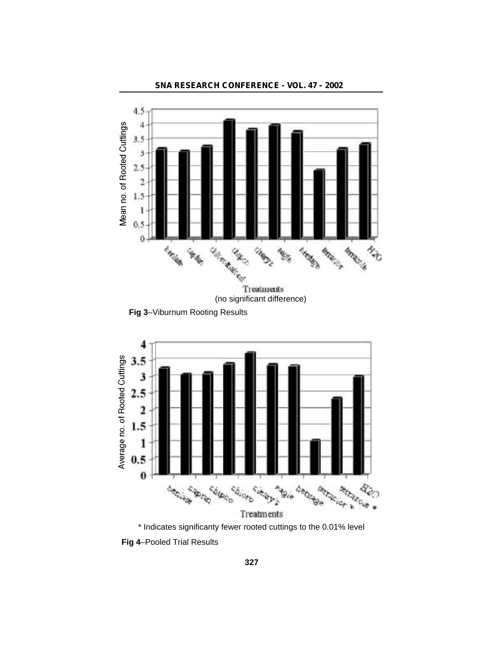

**SNA RESEARCH CONFERENCE - VOL. 47 - 2002**

**Fig 4**–Pooled Trial Results

\* Indicates significanty fewer rooted cuttings to the 0.01% level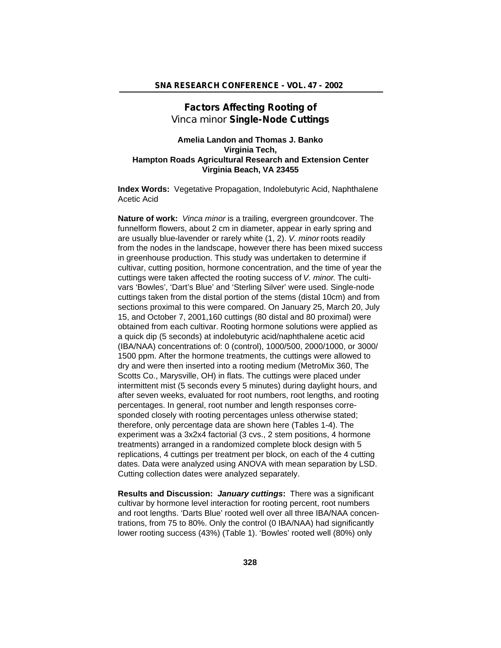# **Factors Affecting Rooting of** *Vinca minor* **Single-Node Cuttings**

# **Amelia Landon and Thomas J. Banko Virginia Tech, Hampton Roads Agricultural Research and Extension Center Virginia Beach, VA 23455**

**Index Words:** Vegetative Propagation, Indolebutyric Acid, Naphthalene Acetic Acid

**Nature of work:** *Vinca minor* is a trailing, evergreen groundcover. The funnelform flowers, about 2 cm in diameter, appear in early spring and are usually blue-lavender or rarely white (1, 2). *V. minor* roots readily from the nodes in the landscape, however there has been mixed success in greenhouse production. This study was undertaken to determine if cultivar, cutting position, hormone concentration, and the time of year the cuttings were taken affected the rooting success of *V. minor*. The cultivars 'Bowles', 'Dart's Blue' and 'Sterling Silver' were used. Single-node cuttings taken from the distal portion of the stems (distal 10cm) and from sections proximal to this were compared. On January 25, March 20, July 15, and October 7, 2001,160 cuttings (80 distal and 80 proximal) were obtained from each cultivar. Rooting hormone solutions were applied as a quick dip (5 seconds) at indolebutyric acid/naphthalene acetic acid (IBA/NAA) concentrations of: 0 (control), 1000/500, 2000/1000, or 3000/ 1500 ppm. After the hormone treatments, the cuttings were allowed to dry and were then inserted into a rooting medium (MetroMix 360, The Scotts Co., Marysville, OH) in flats. The cuttings were placed under intermittent mist (5 seconds every 5 minutes) during daylight hours, and after seven weeks, evaluated for root numbers, root lengths, and rooting percentages. In general, root number and length responses corresponded closely with rooting percentages unless otherwise stated; therefore, only percentage data are shown here (Tables 1-4). The experiment was a 3x2x4 factorial (3 cvs., 2 stem positions, 4 hormone treatments) arranged in a randomized complete block design with 5 replications, 4 cuttings per treatment per block, on each of the 4 cutting dates. Data were analyzed using ANOVA with mean separation by LSD. Cutting collection dates were analyzed separately.

**Results and Discussion:** *January cuttings***:** There was a significant cultivar by hormone level interaction for rooting percent, root numbers and root lengths. 'Darts Blue' rooted well over all three IBA/NAA concentrations, from 75 to 80%. Only the control (0 IBA/NAA) had significantly lower rooting success (43%) (Table 1). 'Bowles' rooted well (80%) only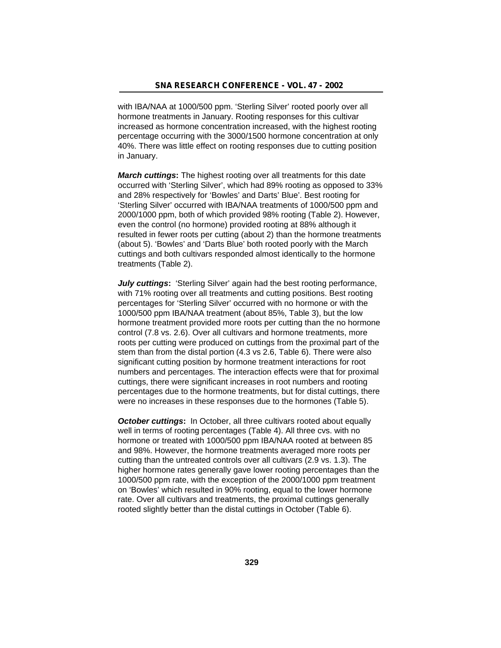with IBA/NAA at 1000/500 ppm. 'Sterling Silver' rooted poorly over all hormone treatments in January. Rooting responses for this cultivar increased as hormone concentration increased, with the highest rooting percentage occurring with the 3000/1500 hormone concentration at only 40%. There was little effect on rooting responses due to cutting position in January.

*March cuttings***:** The highest rooting over all treatments for this date occurred with 'Sterling Silver', which had 89% rooting as opposed to 33% and 28% respectively for 'Bowles' and Darts' Blue'. Best rooting for 'Sterling Silver' occurred with IBA/NAA treatments of 1000/500 ppm and 2000/1000 ppm, both of which provided 98% rooting (Table 2). However, even the control (no hormone) provided rooting at 88% although it resulted in fewer roots per cutting (about 2) than the hormone treatments (about 5). 'Bowles' and 'Darts Blue' both rooted poorly with the March cuttings and both cultivars responded almost identically to the hormone treatments (Table 2).

*July cuttings:* 'Sterling Silver' again had the best rooting performance, with 71% rooting over all treatments and cutting positions. Best rooting percentages for 'Sterling Silver' occurred with no hormone or with the 1000/500 ppm IBA/NAA treatment (about 85%, Table 3), but the low hormone treatment provided more roots per cutting than the no hormone control (7.8 vs. 2.6). Over all cultivars and hormone treatments, more roots per cutting were produced on cuttings from the proximal part of the stem than from the distal portion (4.3 vs 2.6, Table 6). There were also significant cutting position by hormone treatment interactions for root numbers and percentages. The interaction effects were that for proximal cuttings, there were significant increases in root numbers and rooting percentages due to the hormone treatments, but for distal cuttings, there were no increases in these responses due to the hormones (Table 5).

*October cuttings:* In October, all three cultivars rooted about equally well in terms of rooting percentages (Table 4). All three cvs. with no hormone or treated with 1000/500 ppm IBA/NAA rooted at between 85 and 98%. However, the hormone treatments averaged more roots per cutting than the untreated controls over all cultivars (2.9 vs. 1.3). The higher hormone rates generally gave lower rooting percentages than the 1000/500 ppm rate, with the exception of the 2000/1000 ppm treatment on 'Bowles' which resulted in 90% rooting, equal to the lower hormone rate. Over all cultivars and treatments, the proximal cuttings generally rooted slightly better than the distal cuttings in October (Table 6).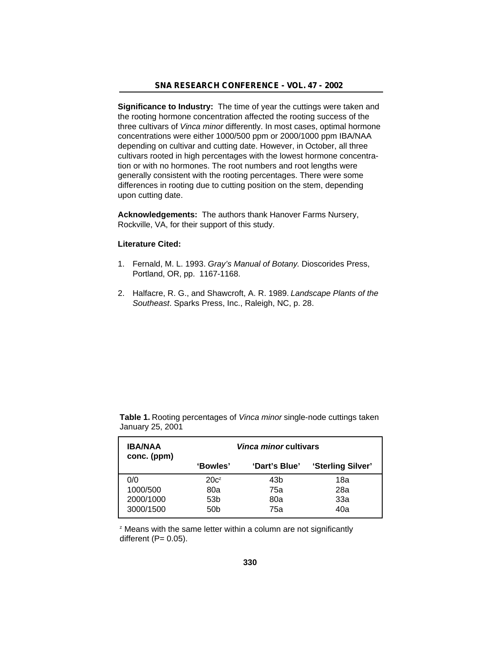**Significance to Industry:** The time of year the cuttings were taken and the rooting hormone concentration affected the rooting success of the three cultivars of *Vinca minor* differently. In most cases, optimal hormone concentrations were either 1000/500 ppm or 2000/1000 ppm IBA/NAA depending on cultivar and cutting date. However, in October, all three cultivars rooted in high percentages with the lowest hormone concentration or with no hormones. The root numbers and root lengths were generally consistent with the rooting percentages. There were some differences in rooting due to cutting position on the stem, depending upon cutting date.

**Acknowledgements:** The authors thank Hanover Farms Nursery, Rockville, VA, for their support of this study.

#### **Literature Cited:**

- 1. Fernald, M. L. 1993. *Gray's Manual of Botany*. Dioscorides Press, Portland, OR, pp. 1167-1168.
- 2. Halfacre, R. G., and Shawcroft, A. R. 1989. *Landscape Plants of the Southeast*. Sparks Press, Inc., Raleigh, NC, p. 28.

| <b>IBA/NAA</b><br>conc. (ppm) | <i>Vinca minor</i> cultivars |               |                   |  |
|-------------------------------|------------------------------|---------------|-------------------|--|
|                               | 'Bowles'                     | 'Dart's Blue' | 'Sterling Silver' |  |
| 0/0                           | $20c^2$                      | 43b           | 18a               |  |
| 1000/500                      | 80a                          | 75a           | 28a               |  |
| 2000/1000                     | 53 <sub>b</sub>              | 80a           | 33a               |  |
| 3000/1500                     | 50b                          | 75a           | 40a               |  |

**Table 1.** Rooting percentages of *Vinca minor* single-node cuttings taken January 25, 2001

<sup>z</sup> Means with the same letter within a column are not significantly different  $(P= 0.05)$ .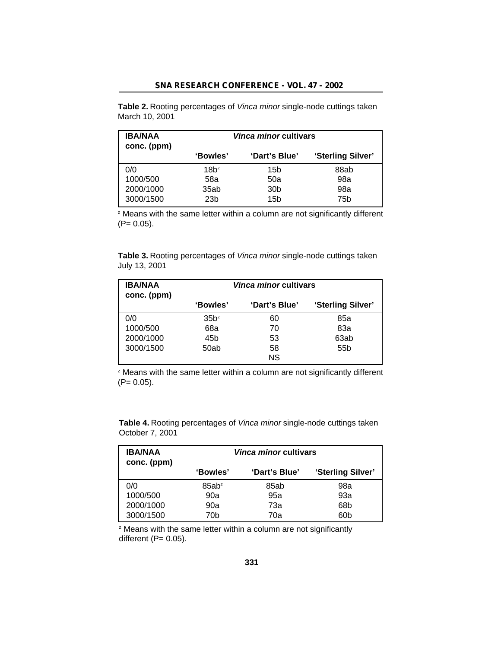**Table 2.** Rooting percentages of *Vinca minor* single-node cuttings taken March 10, 2001

| <b>IBA/NAA</b><br>conc. (ppm) | <i><b>Vinca minor cultivars</b></i> |                 |                   |
|-------------------------------|-------------------------------------|-----------------|-------------------|
|                               | 'Bowles'                            | 'Dart's Blue'   | 'Sterling Silver' |
| 0/0                           | $18h^2$                             | 15b             | 88ab              |
| 1000/500                      | 58a                                 | 50a             | 98a               |
| 2000/1000                     | 35ab                                | 30 <sub>b</sub> | 98a               |
| 3000/1500                     | 23 <sub>b</sub>                     | 15b             | 75b               |

<sup>z</sup> Means with the same letter within a column are not significantly different  $(P= 0.05)$ .

**Table 3.** Rooting percentages of *Vinca minor* single-node cuttings taken July 13, 2001

| <b>IBA/NAA</b><br>conc. (ppm) | Vinca minor cultivars |               |                   |
|-------------------------------|-----------------------|---------------|-------------------|
|                               | 'Bowles'              | 'Dart's Blue' | 'Sterling Silver' |
| 0/0                           | 35b <sup>z</sup>      | 60            | 85a               |
| 1000/500                      | 68a                   | 70            | 83а               |
| 2000/1000                     | 45b                   | 53            | 63ab              |
| 3000/1500                     | 50ab                  | 58            | 55 <sub>b</sub>   |
|                               |                       | <b>NS</b>     |                   |

z Means with the same letter within a column are not significantly different  $(P= 0.05)$ .

| <b>IBA/NAA</b><br>conc. (ppm) |          | <i><b>Vinca minor cultivars</b></i> |                   |
|-------------------------------|----------|-------------------------------------|-------------------|
|                               | 'Bowles' | 'Dart's Blue'                       | 'Sterling Silver' |
| 0/0                           | $85ab^z$ | 85ab                                | 98a               |
| 1000/500                      | 90a      | 95a                                 | 93a               |
| 2000/1000                     | 90a      | 73а                                 | 68b               |
| 3000/1500                     | 70b      | 70a                                 | 60b               |

**Table 4.** Rooting percentages of *Vinca minor* single-node cuttings taken October 7, 2001

<sup>z</sup> Means with the same letter within a column are not significantly different  $(P= 0.05)$ .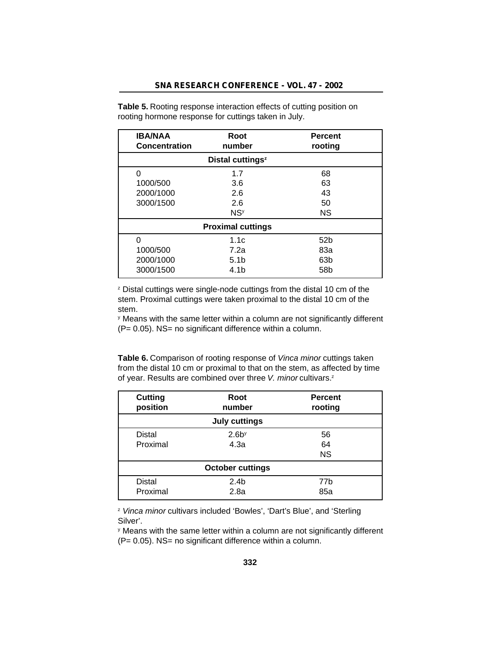| <b>IBA/NAA</b><br><b>Concentration</b> | Root<br>number               | <b>Percent</b><br>rooting |
|----------------------------------------|------------------------------|---------------------------|
|                                        | Distal cuttings <sup>z</sup> |                           |
| 0                                      | 1.7                          | 68                        |
| 1000/500                               | 3.6                          | 63                        |
| 2000/1000                              | 2.6                          | 43                        |
| 3000/1500                              | 2.6                          | 50                        |
|                                        | <b>NS<sup>y</sup></b>        | <b>NS</b>                 |
|                                        | <b>Proximal cuttings</b>     |                           |
| 0                                      | 1.1c                         | 52 <sub>b</sub>           |
| 1000/500                               | 7.2a                         | 83a                       |
| 2000/1000                              | 5.1 <sub>b</sub>             | 63 <sub>b</sub>           |
| 3000/1500                              | 4.1b                         | 58b                       |

**Table 5.** Rooting response interaction effects of cutting position on rooting hormone response for cuttings taken in July.

<sup>z</sup> Distal cuttings were single-node cuttings from the distal 10 cm of the stem. Proximal cuttings were taken proximal to the distal 10 cm of the stem.

y Means with the same letter within a column are not significantly different  $(P= 0.05)$ . NS= no significant difference within a column.

**Table 6.** Comparison of rooting response of *Vinca minor* cuttings taken from the distal 10 cm or proximal to that on the stem, as affected by time of year. Results are combined over three *V. minor* cultivars.<sup>2</sup>

| <b>Cutting</b><br>position | Root<br>number          | <b>Percent</b><br>rooting |
|----------------------------|-------------------------|---------------------------|
|                            | <b>July cuttings</b>    |                           |
| <b>Distal</b>              | 2.6 <sup>y</sup>        | 56                        |
| Proximal                   | 4.3a                    | 64                        |
|                            |                         | <b>NS</b>                 |
|                            | <b>October cuttings</b> |                           |
| <b>Distal</b>              | 2.4 <sub>b</sub>        | 77b                       |
| Proximal                   | 2.8a                    | 85a                       |

<sup>z</sup> *Vinca minor* cultivars included 'Bowles', 'Dart's Blue', and 'Sterling Silver'.

y Means with the same letter within a column are not significantly different  $(P= 0.05)$ . NS= no significant difference within a column.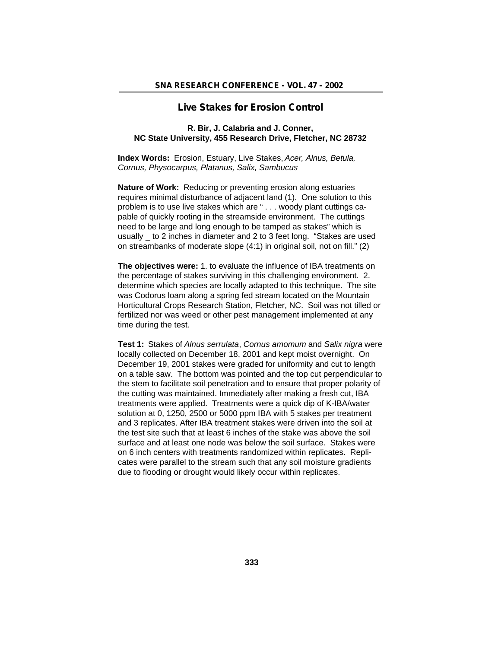## **Live Stakes for Erosion Control**

### **R. Bir, J. Calabria and J. Conner, NC State University, 455 Research Drive, Fletcher, NC 28732**

**Index Words:** Erosion, Estuary, Live Stakes, *Acer, Alnus, Betula, Cornus, Physocarpus, Platanus, Salix, Sambucus*

**Nature of Work:** Reducing or preventing erosion along estuaries requires minimal disturbance of adjacent land (1). One solution to this problem is to use live stakes which are " . . . woody plant cuttings capable of quickly rooting in the streamside environment. The cuttings need to be large and long enough to be tamped as stakes" which is usually \_ to 2 inches in diameter and 2 to 3 feet long. "Stakes are used on streambanks of moderate slope (4:1) in original soil, not on fill." (2)

**The objectives were:** 1. to evaluate the influence of IBA treatments on the percentage of stakes surviving in this challenging environment. 2. determine which species are locally adapted to this technique. The site was Codorus loam along a spring fed stream located on the Mountain Horticultural Crops Research Station, Fletcher, NC. Soil was not tilled or fertilized nor was weed or other pest management implemented at any time during the test.

**Test 1:** Stakes of *Alnus serrulata*, *Cornus amomum* and *Salix nigra* were locally collected on December 18, 2001 and kept moist overnight. On December 19, 2001 stakes were graded for uniformity and cut to length on a table saw. The bottom was pointed and the top cut perpendicular to the stem to facilitate soil penetration and to ensure that proper polarity of the cutting was maintained. Immediately after making a fresh cut, IBA treatments were applied. Treatments were a quick dip of K-IBA/water solution at 0, 1250, 2500 or 5000 ppm IBA with 5 stakes per treatment and 3 replicates. After IBA treatment stakes were driven into the soil at the test site such that at least 6 inches of the stake was above the soil surface and at least one node was below the soil surface. Stakes were on 6 inch centers with treatments randomized within replicates. Replicates were parallel to the stream such that any soil moisture gradients due to flooding or drought would likely occur within replicates.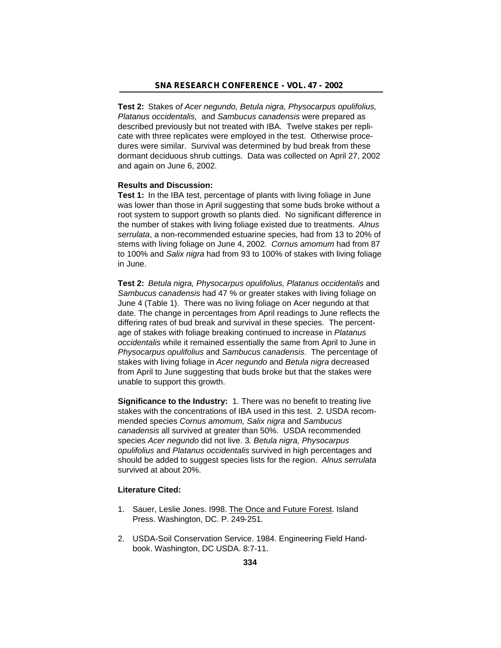**Test 2:** Stakes *of Acer negundo, Betula nigra, Physocarpus opulifolius, Platanus occidentalis,* and *Sambucus canadensis* were prepared as described previously but not treated with IBA. Twelve stakes per replicate with three replicates were employed in the test. Otherwise procedures were similar. Survival was determined by bud break from these dormant deciduous shrub cuttings. Data was collected on April 27, 2002 and again on June 6, 2002.

#### **Results and Discussion:**

**Test 1:** In the IBA test, percentage of plants with living foliage in June was lower than those in April suggesting that some buds broke without a root system to support growth so plants died. No significant difference in the number of stakes with living foliage existed due to treatments. *Alnus serrulata*, a non-recommended estuarine species, had from 13 to 20% of stems with living foliage on June 4, 2002*. Cornus amomum* had from 87 to 100% and *Salix nigra* had from 93 to 100% of stakes with living foliage in June.

**Test 2:** *Betula nigra, Physocarpus opulifolius, Platanus occidentalis* and *Sambucus canadensis* had 47 % or greater stakes with living foliage on June 4 (Table 1). There was no living foliage on Acer negundo at that date. The change in percentages from April readings to June reflects the differing rates of bud break and survival in these species. The percentage of stakes with foliage breaking continued to increase in *Platanus occidentalis* while it remained essentially the same from April to June in *Physocarpus opulifolius* and *Sambucus canadensis*. The percentage of stakes with living foliage in *Acer negundo* and *Betula nigra* decreased from April to June suggesting that buds broke but that the stakes were unable to support this growth.

**Significance to the Industry:** 1. There was no benefit to treating live stakes with the concentrations of IBA used in this test. 2. USDA recommended species *Cornus amomum, Salix nigra* and *Sambucus canadensis* all survived at greater than 50%. USDA recommended species *Acer negundo* did not live. 3*. Betula nigra, Physocarpus opulifolius* and *Platanus occidentalis* survived in high percentages and should be added to suggest species lists for the region. *Alnus serrulata* survived at about 20%.

#### **Literature Cited:**

- 1. Sauer, Leslie Jones. I998. The Once and Future Forest. Island Press. Washington, DC. P. 249-251.
- 2. USDA-Soil Conservation Service. 1984. Engineering Field Handbook. Washington, DC USDA. 8:7-11.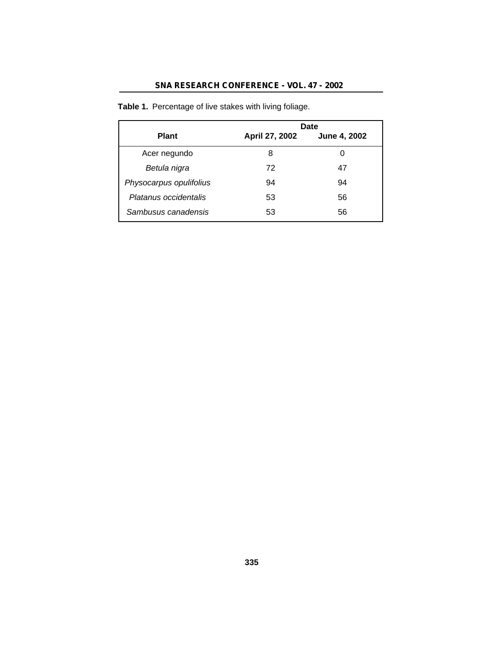# **SNA RESEARCH CONFERENCE - VOL. 47 - 2002**

|                         |                | Date         |
|-------------------------|----------------|--------------|
| <b>Plant</b>            | April 27, 2002 | June 4, 2002 |
| Acer negundo            | 8              | 0            |
| Betula nigra            | 72             | 47           |
| Physocarpus opulifolius | 94             | 94           |
| Platanus occidentalis   | 53             | 56           |
| Sambusus canadensis     | 53             | 56           |

**Table 1.** Percentage of live stakes with living foliage.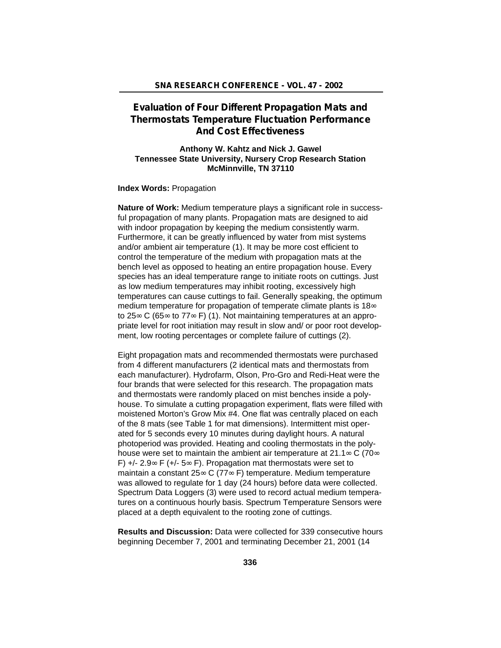# **Evaluation of Four Different Propagation Mats and Thermostats Temperature Fluctuation Performance And Cost Effectiveness**

### **Anthony W. Kahtz and Nick J. Gawel Tennessee State University, Nursery Crop Research Station McMinnville, TN 37110**

**Index Words:** Propagation

**Nature of Work:** Medium temperature plays a significant role in successful propagation of many plants. Propagation mats are designed to aid with indoor propagation by keeping the medium consistently warm. Furthermore, it can be greatly influenced by water from mist systems and/or ambient air temperature (1). It may be more cost efficient to control the temperature of the medium with propagation mats at the bench level as opposed to heating an entire propagation house. Every species has an ideal temperature range to initiate roots on cuttings. Just as low medium temperatures may inhibit rooting, excessively high temperatures can cause cuttings to fail. Generally speaking, the optimum medium temperature for propagation of temperate climate plants is 18 to 25 C (65 to 77 F) (1). Not maintaining temperatures at an appropriate level for root initiation may result in slow and/ or poor root development, low rooting percentages or complete failure of cuttings (2).

Eight propagation mats and recommended thermostats were purchased from 4 different manufacturers (2 identical mats and thermostats from each manufacturer). Hydrofarm, Olson, Pro-Gro and Redi-Heat were the four brands that were selected for this research. The propagation mats and thermostats were randomly placed on mist benches inside a polyhouse. To simulate a cutting propagation experiment, flats were filled with moistened Morton's Grow Mix #4. One flat was centrally placed on each of the 8 mats (see Table 1 for mat dimensions). Intermittent mist operated for 5 seconds every 10 minutes during daylight hours. A natural photoperiod was provided. Heating and cooling thermostats in the polyhouse were set to maintain the ambient air temperature at 21.1 C (70 F)  $+/- 2.9$  F ( $+/- 5$  F). Propagation mat thermostats were set to maintain a constant 25 C (77 F) temperature. Medium temperature was allowed to regulate for 1 day (24 hours) before data were collected. Spectrum Data Loggers (3) were used to record actual medium temperatures on a continuous hourly basis. Spectrum Temperature Sensors were placed at a depth equivalent to the rooting zone of cuttings.

**Results and Discussion:** Data were collected for 339 consecutive hours beginning December 7, 2001 and terminating December 21, 2001 (14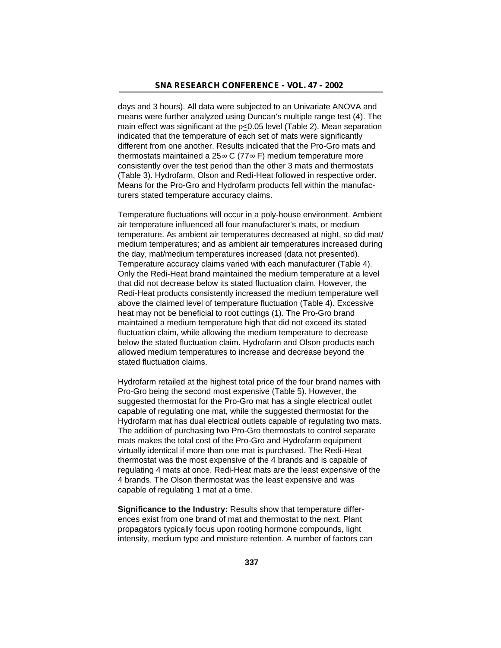days and 3 hours). All data were subjected to an Univariate ANOVA and means were further analyzed using Duncan's multiple range test (4). The main effect was significant at the p<0.05 level (Table 2). Mean separation indicated that the temperature of each set of mats were significantly different from one another. Results indicated that the Pro-Gro mats and thermostats maintained a  $25$  C (77 F) medium temperature more consistently over the test period than the other 3 mats and thermostats (Table 3). Hydrofarm, Olson and Redi-Heat followed in respective order. Means for the Pro-Gro and Hydrofarm products fell within the manufacturers stated temperature accuracy claims.

Temperature fluctuations will occur in a poly-house environment. Ambient air temperature influenced all four manufacturer's mats, or medium temperature. As ambient air temperatures decreased at night, so did mat/ medium temperatures; and as ambient air temperatures increased during the day, mat/medium temperatures increased (data not presented). Temperature accuracy claims varied with each manufacturer (Table 4). Only the Redi-Heat brand maintained the medium temperature at a level that did not decrease below its stated fluctuation claim. However, the Redi-Heat products consistently increased the medium temperature well above the claimed level of temperature fluctuation (Table 4). Excessive heat may not be beneficial to root cuttings (1). The Pro-Gro brand maintained a medium temperature high that did not exceed its stated fluctuation claim, while allowing the medium temperature to decrease below the stated fluctuation claim. Hydrofarm and Olson products each allowed medium temperatures to increase and decrease beyond the stated fluctuation claims.

Hydrofarm retailed at the highest total price of the four brand names with Pro-Gro being the second most expensive (Table 5). However, the suggested thermostat for the Pro-Gro mat has a single electrical outlet capable of regulating one mat, while the suggested thermostat for the Hydrofarm mat has dual electrical outlets capable of regulating two mats. The addition of purchasing two Pro-Gro thermostats to control separate mats makes the total cost of the Pro-Gro and Hydrofarm equipment virtually identical if more than one mat is purchased. The Redi-Heat thermostat was the most expensive of the 4 brands and is capable of regulating 4 mats at once. Redi-Heat mats are the least expensive of the 4 brands. The Olson thermostat was the least expensive and was capable of regulating 1 mat at a time.

**Significance to the Industry:** Results show that temperature differences exist from one brand of mat and thermostat to the next. Plant propagators typically focus upon rooting hormone compounds, light intensity, medium type and moisture retention. A number of factors can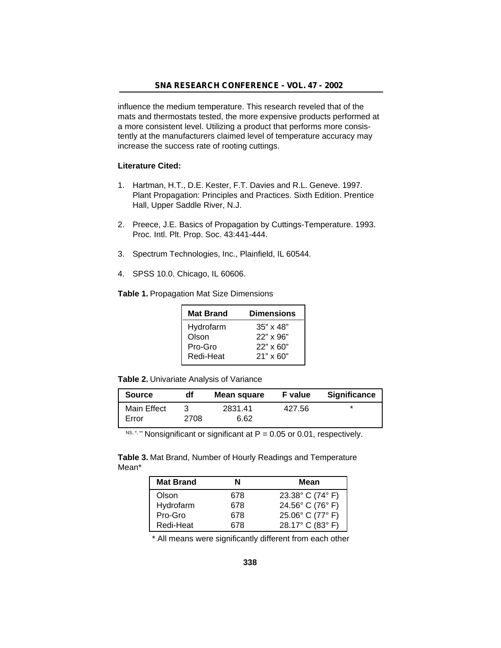influence the medium temperature. This research reveled that of the mats and thermostats tested, the more expensive products performed at a more consistent level. Utilizing a product that performs more consistently at the manufacturers claimed level of temperature accuracy may increase the success rate of rooting cuttings.

### **Literature Cited:**

- 1. Hartman, H.T., D.E. Kester, F.T. Davies and R.L. Geneve. 1997. Plant Propagation: Principles and Practices. Sixth Edition. Prentice Hall, Upper Saddle River, N.J.
- 2. Preece, J.E. Basics of Propagation by Cuttings-Temperature. 1993. Proc. Intl. Plt. Prop. Soc. 43:441-444.
- 3. Spectrum Technologies, Inc., Plainfield, IL 60544.
- 4. SPSS 10.0. Chicago, IL 60606.

**Table 1.** Propagation Mat Size Dimensions

| <b>Mat Brand</b> | <b>Dimensions</b> |
|------------------|-------------------|
| Hydrofarm        | $35" \times 48"$  |
| Olson            | $22" \times 96"$  |
| Pro-Gro          | $22" \times 60"$  |
| Redi-Heat        | $21" \times 60"$  |
|                  |                   |

**Table 2.** Univariate Analysis of Variance

| <b>Source</b> | df   | Mean square | <b>F</b> value | <b>Significance</b> |
|---------------|------|-------------|----------------|---------------------|
| Main Effect   |      | 2831.41     | 427.56         | *                   |
| Error         | 2708 | 6.62        |                |                     |

 $NS, \dot{\gamma}$  \* Nonsignificant or significant at P = 0.05 or 0.01, respectively.

**Table 3.** Mat Brand, Number of Hourly Readings and Temperature Mean\*

| <b>Mat Brand</b> | N   | Mean             |
|------------------|-----|------------------|
| Olson            | 678 | 23.38° C (74° F) |
| Hydrofarm        | 678 | 24.56° C (76° F) |
| Pro-Gro          | 678 | 25.06° C (77° F) |
| Redi-Heat        | 678 | 28.17° C (83° F) |

\* All means were significantly different from each other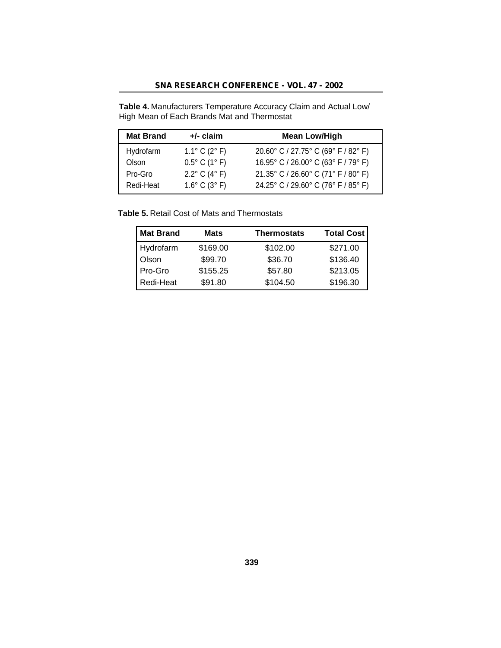**Table 4.** Manufacturers Temperature Accuracy Claim and Actual Low/ High Mean of Each Brands Mat and Thermostat

| <b>Mat Brand</b> | $+/-$ claim                      | <b>Mean Low/High</b>                |
|------------------|----------------------------------|-------------------------------------|
| Hydrofarm        | 1.1 $\degree$ C (2 $\degree$ F)  | 20.60° C / 27.75° C (69° F / 82° F) |
| Olson            | $0.5^{\circ}$ C (1°F)            | 16.95° C / 26.00° C (63° F / 79° F) |
| Pro-Gro          | $2.2^{\circ}$ C (4 $^{\circ}$ F) | 21.35° C / 26.60° C (71° F / 80° F) |
| Redi-Heat        | $1.6^{\circ}$ C (3 $^{\circ}$ F) | 24.25° C / 29.60° C (76° F / 85° F) |

**Table 5.** Retail Cost of Mats and Thermostats

| Mat Brand | <b>Mats</b> | <b>Thermostats</b> | <b>Total Cost</b> |
|-----------|-------------|--------------------|-------------------|
| Hydrofarm | \$169.00    | \$102.00           | \$271.00          |
| Olson     | \$99.70     | \$36.70            | \$136.40          |
| Pro-Gro   | \$155.25    | \$57.80            | \$213.05          |
| Redi-Heat | \$91.80     | \$104.50           | \$196.30          |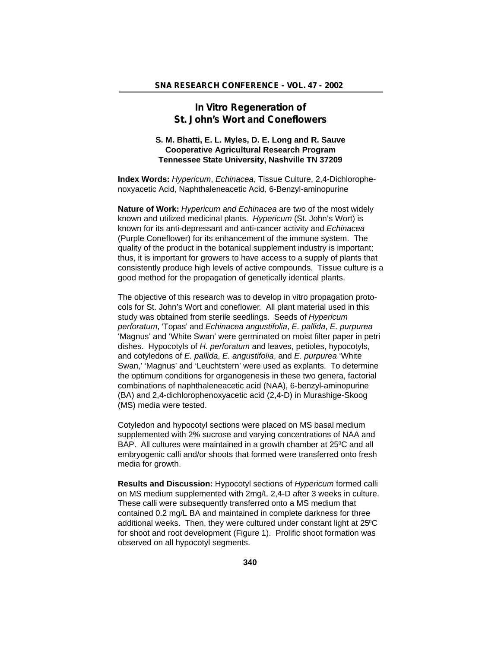## **In Vitro Regeneration of St. John's Wort and Coneflowers**

## **S. M. Bhatti, E. L. Myles, D. E. Long and R. Sauve Cooperative Agricultural Research Program Tennessee State University, Nashville TN 37209**

**Index Words:** *Hypericum*, *Echinacea*, Tissue Culture, 2,4-Dichlorophenoxyacetic Acid, Naphthaleneacetic Acid, 6-Benzyl-aminopurine

**Nature of Work:** *Hypericum and Echinacea* are two of the most widely known and utilized medicinal plants. *Hypericum* (St. John's Wort) is known for its anti-depressant and anti-cancer activity and *Echinacea* (Purple Coneflower) for its enhancement of the immune system. The quality of the product in the botanical supplement industry is important; thus, it is important for growers to have access to a supply of plants that consistently produce high levels of active compounds. Tissue culture is a good method for the propagation of genetically identical plants.

The objective of this research was to develop in vitro propagation protocols for St. John's Wort and coneflower*.* All plant material used in this study was obtained from sterile seedlings. Seeds of *Hypericum perforatum*, 'Topas' and *Echinacea angustifolia*, *E. pallida*, *E. purpurea* 'Magnus' and 'White Swan' were germinated on moist filter paper in petri dishes. Hypocotyls of *H. perforatum* and leaves, petioles, hypocotyls, and cotyledons of *E. pallida*, *E. angustifolia*, and *E. purpurea* 'White Swan,' 'Magnus' and 'Leuchtstern' were used as explants. To determine the optimum conditions for organogenesis in these two genera, factorial combinations of naphthaleneacetic acid (NAA), 6-benzyl-aminopurine (BA) and 2,4-dichlorophenoxyacetic acid (2,4-D) in Murashige-Skoog (MS) media were tested.

Cotyledon and hypocotyl sections were placed on MS basal medium supplemented with 2% sucrose and varying concentrations of NAA and BAP. All cultures were maintained in a growth chamber at 25<sup>°</sup>C and all embryogenic calli and/or shoots that formed were transferred onto fresh media for growth.

**Results and Discussion:** Hypocotyl sections of *Hypericum* formed calli on MS medium supplemented with 2mg/L 2,4-D after 3 weeks in culture. These calli were subsequently transferred onto a MS medium that contained 0.2 mg/L BA and maintained in complete darkness for three additional weeks. Then, they were cultured under constant light at 25°C for shoot and root development (Figure 1). Prolific shoot formation was observed on all hypocotyl segments.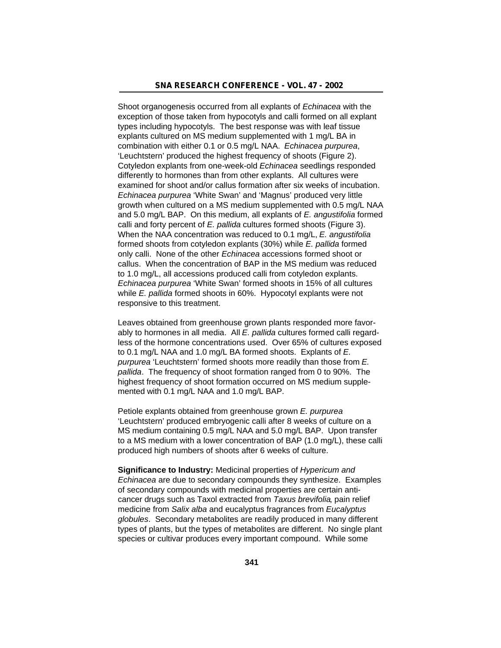Shoot organogenesis occurred from all explants of *Echinacea* with the exception of those taken from hypocotyls and calli formed on all explant types including hypocotyls. The best response was with leaf tissue explants cultured on MS medium supplemented with 1 mg/L BA in combination with either 0.1 or 0.5 mg/L NAA. *Echinacea purpurea*, 'Leuchtstern' produced the highest frequency of shoots (Figure 2). Cotyledon explants from one-week-old *Echinacea* seedlings responded differently to hormones than from other explants. All cultures were examined for shoot and/or callus formation after six weeks of incubation. *Echinacea purpurea* 'White Swan' and 'Magnus' produced very little growth when cultured on a MS medium supplemented with 0.5 mg/L NAA and 5.0 mg/L BAP. On this medium, all explants of *E. angustifolia* formed calli and forty percent of *E. pallida* cultures formed shoots (Figure 3). When the NAA concentration was reduced to 0.1 mg/L, *E. angustifolia* formed shoots from cotyledon explants (30%) while *E. pallida* formed only calli. None of the other *Echinacea* accessions formed shoot or callus. When the concentration of BAP in the MS medium was reduced to 1.0 mg/L, all accessions produced calli from cotyledon explants. *Echinacea purpurea* 'White Swan' formed shoots in 15% of all cultures while *E. pallida* formed shoots in 60%. Hypocotyl explants were not responsive to this treatment.

Leaves obtained from greenhouse grown plants responded more favorably to hormones in all media. All *E. pallida* cultures formed calli regardless of the hormone concentrations used. Over 65% of cultures exposed to 0.1 mg/L NAA and 1.0 mg/L BA formed shoots. Explants of *E. purpurea* 'Leuchtstern' formed shoots more readily than those from *E. pallida*. The frequency of shoot formation ranged from 0 to 90%. The highest frequency of shoot formation occurred on MS medium supplemented with 0.1 mg/L NAA and 1.0 mg/L BAP.

Petiole explants obtained from greenhouse grown *E. purpurea* 'Leuchtstern' produced embryogenic calli after 8 weeks of culture on a MS medium containing 0.5 mg/L NAA and 5.0 mg/L BAP. Upon transfer to a MS medium with a lower concentration of BAP (1.0 mg/L), these calli produced high numbers of shoots after 6 weeks of culture.

**Significance to Industry:** Medicinal properties of *Hypericum and Echinacea* are due to secondary compounds they synthesize. Examples of secondary compounds with medicinal properties are certain anticancer drugs such as Taxol extracted from *Taxus brevifolia*, pain relief medicine from *Salix alba* and eucalyptus fragrances from *Eucalyptus globules*. Secondary metabolites are readily produced in many different types of plants, but the types of metabolites are different. No single plant species or cultivar produces every important compound. While some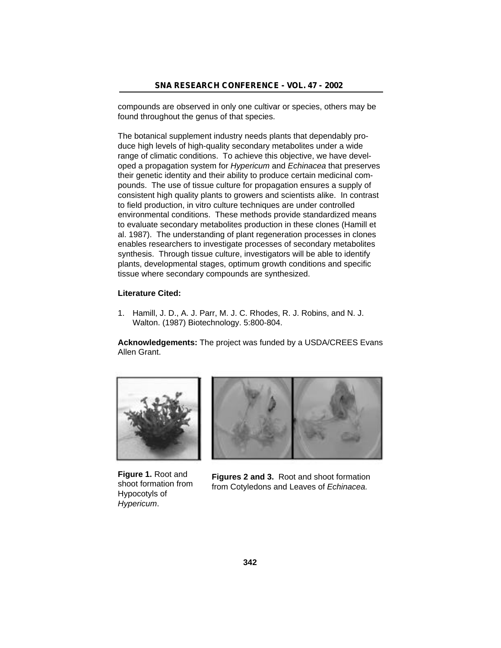compounds are observed in only one cultivar or species, others may be found throughout the genus of that species.

The botanical supplement industry needs plants that dependably produce high levels of high-quality secondary metabolites under a wide range of climatic conditions. To achieve this objective, we have developed a propagation system for *Hypericum* and *Echinacea* that preserves their genetic identity and their ability to produce certain medicinal compounds. The use of tissue culture for propagation ensures a supply of consistent high quality plants to growers and scientists alike. In contrast to field production, in vitro culture techniques are under controlled environmental conditions. These methods provide standardized means to evaluate secondary metabolites production in these clones (Hamill et al. 1987). The understanding of plant regeneration processes in clones enables researchers to investigate processes of secondary metabolites synthesis. Through tissue culture, investigators will be able to identify plants, developmental stages, optimum growth conditions and specific tissue where secondary compounds are synthesized.

### **Literature Cited:**

1. Hamill, J. D., A. J. Parr, M. J. C. Rhodes, R. J. Robins, and N. J. Walton. (1987) Biotechnology. 5:800-804.

**Acknowledgements:** The project was funded by a USDA/CREES Evans Allen Grant.



**Figure 1.** Root and shoot formation from Hypocotyls of *Hypericum*.



**Figures 2 and 3.** Root and shoot formation from Cotyledons and Leaves of *Echinacea.*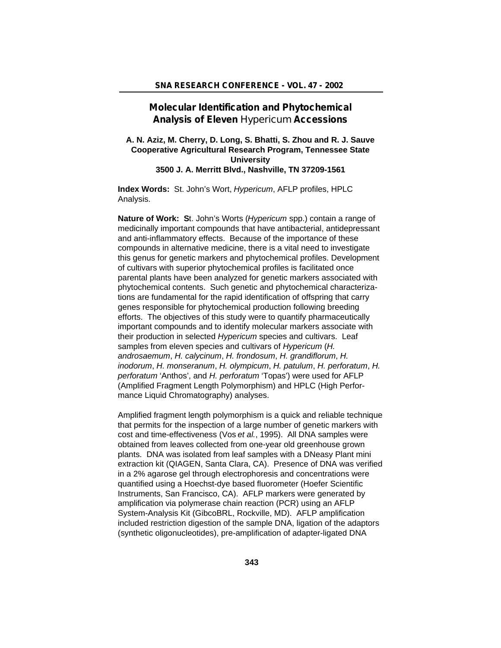## **Molecular Identification and Phytochemical Analysis of Eleven** *Hypericum* **Accessions**

### **A. N. Aziz, M. Cherry, D. Long, S. Bhatti, S. Zhou and R. J. Sauve Cooperative Agricultural Research Program, Tennessee State University 3500 J. A. Merritt Blvd., Nashville, TN 37209-1561**

**Index Words:** St. John's Wort, *Hypericum*, AFLP profiles, HPLC Analysis.

**Nature of Work: S**t. John's Worts (*Hypericum* spp.) contain a range of medicinally important compounds that have antibacterial, antidepressant and anti-inflammatory effects. Because of the importance of these compounds in alternative medicine, there is a vital need to investigate this genus for genetic markers and phytochemical profiles. Development of cultivars with superior phytochemical profiles is facilitated once parental plants have been analyzed for genetic markers associated with phytochemical contents. Such genetic and phytochemical characterizations are fundamental for the rapid identification of offspring that carry genes responsible for phytochemical production following breeding efforts. The objectives of this study were to quantify pharmaceutically important compounds and to identify molecular markers associate with their production in selected *Hypericum* species and cultivars. Leaf samples from eleven species and cultivars of *Hypericum* (*H. androsaemum*, *H. calycinum*, *H. frondosum*, *H. grandiflorum*, *H. inodorum*, *H. monseranum*, *H. olympicum*, *H. patulum*, *H. perforatum*, *H. perforatum* 'Anthos', and *H. perforatum* 'Topas') were used for AFLP (Amplified Fragment Length Polymorphism) and HPLC (High Performance Liquid Chromatography) analyses.

Amplified fragment length polymorphism is a quick and reliable technique that permits for the inspection of a large number of genetic markers with cost and time-effectiveness (Vos *et al.*, 1995). All DNA samples were obtained from leaves collected from one-year old greenhouse grown plants. DNA was isolated from leaf samples with a DNeasy Plant mini extraction kit (QIAGEN, Santa Clara, CA). Presence of DNA was verified in a 2% agarose gel through electrophoresis and concentrations were quantified using a Hoechst-dye based fluorometer (Hoefer Scientific Instruments, San Francisco, CA). AFLP markers were generated by amplification via polymerase chain reaction (PCR) using an AFLP System-Analysis Kit (GibcoBRL, Rockville, MD). AFLP amplification included restriction digestion of the sample DNA, ligation of the adaptors (synthetic oligonucleotides), pre-amplification of adapter-ligated DNA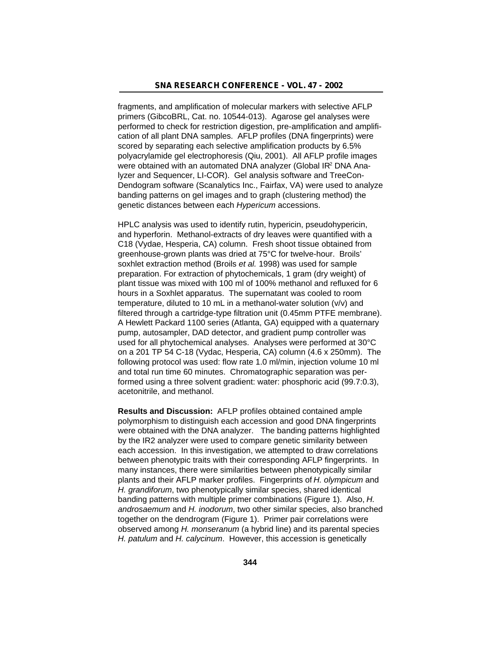fragments, and amplification of molecular markers with selective AFLP primers (GibcoBRL, Cat. no. 10544-013). Agarose gel analyses were performed to check for restriction digestion, pre-amplification and amplification of all plant DNA samples. AFLP profiles (DNA fingerprints) were scored by separating each selective amplification products by 6.5% polyacrylamide gel electrophoresis (Qiu, 2001). All AFLP profile images were obtained with an automated DNA analyzer (Global IR<sup>2</sup> DNA Analyzer and Sequencer, LI-COR). Gel analysis software and TreeCon-Dendogram software (Scanalytics Inc., Fairfax, VA) were used to analyze banding patterns on gel images and to graph (clustering method) the genetic distances between each *Hypericum* accessions.

HPLC analysis was used to identify rutin, hypericin, pseudohypericin, and hyperforin. Methanol-extracts of dry leaves were quantified with a C18 (Vydae, Hesperia, CA) column. Fresh shoot tissue obtained from greenhouse-grown plants was dried at 75°C for twelve-hour. Broils' soxhlet extraction method (Broils *et al.* 1998) was used for sample preparation. For extraction of phytochemicals, 1 gram (dry weight) of plant tissue was mixed with 100 ml of 100% methanol and refluxed for 6 hours in a Soxhlet apparatus. The supernatant was cooled to room temperature, diluted to 10 mL in a methanol-water solution (v/v) and filtered through a cartridge-type filtration unit (0.45mm PTFE membrane). A Hewlett Packard 1100 series (Atlanta, GA) equipped with a quaternary pump, autosampler, DAD detector, and gradient pump controller was used for all phytochemical analyses. Analyses were performed at 30°C on a 201 TP 54 C-18 (Vydac, Hesperia, CA) column (4.6 x 250mm). The following protocol was used: flow rate 1.0 ml/min, injection volume 10 ml and total run time 60 minutes. Chromatographic separation was performed using a three solvent gradient: water: phosphoric acid (99.7:0.3), acetonitrile, and methanol.

**Results and Discussion:** AFLP profiles obtained contained ample polymorphism to distinguish each accession and good DNA fingerprints were obtained with the DNA analyzer. The banding patterns highlighted by the IR2 analyzer were used to compare genetic similarity between each accession. In this investigation, we attempted to draw correlations between phenotypic traits with their corresponding AFLP fingerprints. In many instances, there were similarities between phenotypically similar plants and their AFLP marker profiles. Fingerprints of *H. olympicum* and *H. grandiforum*, two phenotypically similar species, shared identical banding patterns with multiple primer combinations (Figure 1). Also, *H. androsaemum* and *H. inodorum*, two other similar species, also branched together on the dendrogram (Figure 1). Primer pair correlations were observed among *H. monseranum* (a hybrid line) and its parental species *H. patulum* and *H. calycinum*. However, this accession is genetically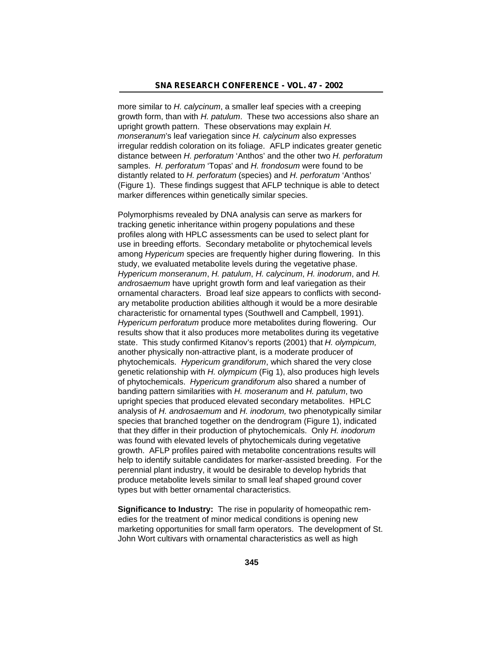more similar to *H. calycinum*, a smaller leaf species with a creeping growth form, than with *H. patulum*. These two accessions also share an upright growth pattern. These observations may explain *H. monseranum*'s leaf variegation since *H. calycinum* also expresses irregular reddish coloration on its foliage. AFLP indicates greater genetic distance between *H. perforatum* 'Anthos' and the other two *H. perforatum* samples. *H. perforatum* 'Topas' and *H. frondosum* were found to be distantly related to *H. perforatum* (species) and *H. perforatum* 'Anthos' (Figure 1). These findings suggest that AFLP technique is able to detect marker differences within genetically similar species.

Polymorphisms revealed by DNA analysis can serve as markers for tracking genetic inheritance within progeny populations and these profiles along with HPLC assessments can be used to select plant for use in breeding efforts. Secondary metabolite or phytochemical levels among *Hypericum* species are frequently higher during flowering. In this study, we evaluated metabolite levels during the vegetative phase. *Hypericum monseranum*, *H. patulum*, *H. calycinum*, *H. inodorum*, and *H. androsaemum* have upright growth form and leaf variegation as their ornamental characters. Broad leaf size appears to conflicts with secondary metabolite production abilities although it would be a more desirable characteristic for ornamental types (Southwell and Campbell, 1991). *Hypericum perforatum* produce more metabolites during flowering. Our results show that it also produces more metabolites during its vegetative state. This study confirmed Kitanov's reports (2001) that *H. olympicum,* another physically non-attractive plant, is a moderate producer of phytochemicals. *Hypericum grandiforum*, which shared the very close genetic relationship with *H. olympicum* (Fig 1), also produces high levels of phytochemicals. *Hypericum grandiforum* also shared a number of banding pattern similarities with *H. moseranum* and *H. patulum*, two upright species that produced elevated secondary metabolites. HPLC analysis of *H. androsaemum* and *H. inodorum,* two phenotypically similar species that branched together on the dendrogram (Figure 1), indicated that they differ in their production of phytochemicals. Only *H. inodorum* was found with elevated levels of phytochemicals during vegetative growth. AFLP profiles paired with metabolite concentrations results will help to identify suitable candidates for marker-assisted breeding. For the perennial plant industry, it would be desirable to develop hybrids that produce metabolite levels similar to small leaf shaped ground cover types but with better ornamental characteristics.

**Significance to Industry:** The rise in popularity of homeopathic remedies for the treatment of minor medical conditions is opening new marketing opportunities for small farm operators. The development of St. John Wort cultivars with ornamental characteristics as well as high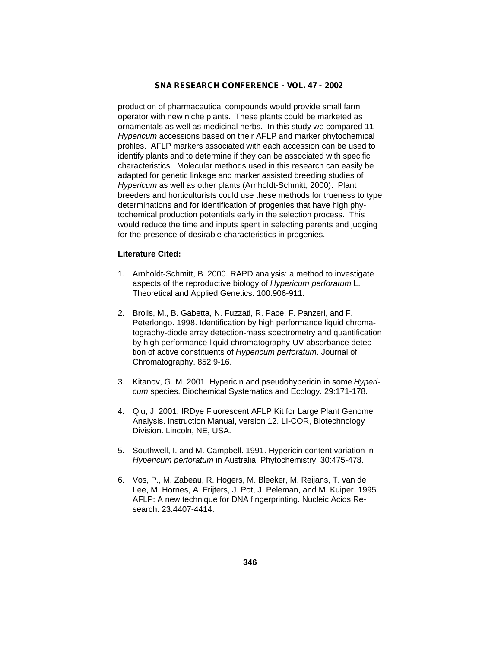production of pharmaceutical compounds would provide small farm operator with new niche plants. These plants could be marketed as ornamentals as well as medicinal herbs. In this study we compared 11 *Hypericum* accessions based on their AFLP and marker phytochemical profiles. AFLP markers associated with each accession can be used to identify plants and to determine if they can be associated with specific characteristics. Molecular methods used in this research can easily be adapted for genetic linkage and marker assisted breeding studies of *Hypericum* as well as other plants (Arnholdt-Schmitt, 2000). Plant breeders and horticulturists could use these methods for trueness to type determinations and for identification of progenies that have high phytochemical production potentials early in the selection process. This would reduce the time and inputs spent in selecting parents and judging for the presence of desirable characteristics in progenies.

#### **Literature Cited:**

- 1. Arnholdt-Schmitt, B. 2000. RAPD analysis: a method to investigate aspects of the reproductive biology of *Hypericum perforatum* L. Theoretical and Applied Genetics. 100:906-911.
- 2. Broils, M., B. Gabetta, N. Fuzzati, R. Pace, F. Panzeri, and F. Peterlongo. 1998. Identification by high performance liquid chromatography-diode array detection-mass spectrometry and quantification by high performance liquid chromatography-UV absorbance detection of active constituents of *Hypericum perforatum*. Journal of Chromatography. 852:9-16.
- 3. Kitanov, G. M. 2001. Hypericin and pseudohypericin in some *Hypericum* species. Biochemical Systematics and Ecology. 29:171-178.
- 4. Qiu, J. 2001. IRDye Fluorescent AFLP Kit for Large Plant Genome Analysis. Instruction Manual, version 12. LI-COR, Biotechnology Division. Lincoln, NE, USA.
- 5. Southwell, I. and M. Campbell. 1991. Hypericin content variation in *Hypericum perforatum* in Australia. Phytochemistry. 30:475-478.
- 6. Vos, P., M. Zabeau, R. Hogers, M. Bleeker, M. Reijans, T. van de Lee, M. Hornes, A. Frijters, J. Pot, J. Peleman, and M. Kuiper. 1995. AFLP: A new technique for DNA fingerprinting. Nucleic Acids Research. 23:4407-4414.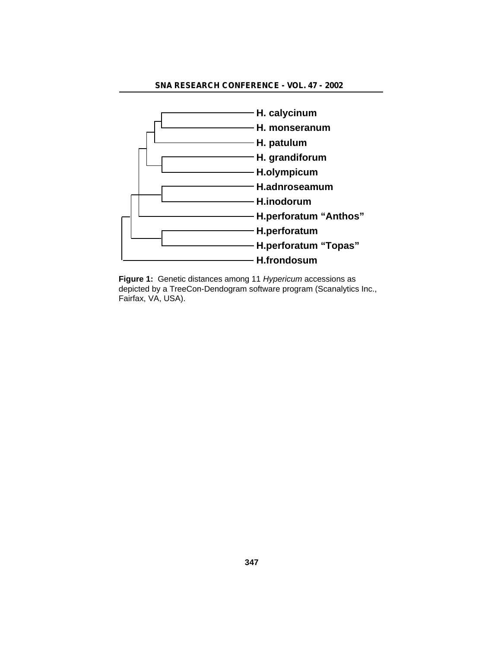## **SNA RESEARCH CONFERENCE - VOL. 47 - 2002**



**Figure 1:** Genetic distances among 11 *Hypericum* accessions as depicted by a TreeCon-Dendogram software program (Scanalytics Inc., Fairfax, VA, USA).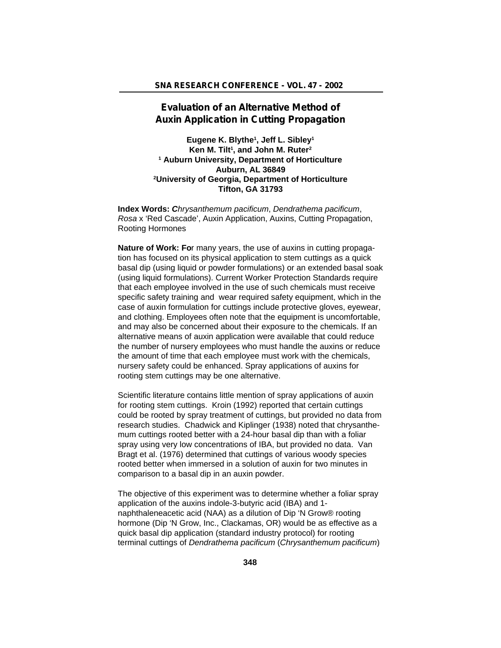# **Evaluation of an Alternative Method of Auxin Application in Cutting Propagation**

**Eugene K. Blythe<sup>1</sup> , Jeff L. Sibley<sup>1</sup> Ken M. Tilt<sup>1</sup> , and John M. Ruter<sup>2</sup> 1 Auburn University, Department of Horticulture Auburn, AL 36849 <sup>2</sup>University of Georgia, Department of Horticulture Tifton, GA 31793**

**Index Words:** *Chrysanthemum pacificum*, *Dendrathema pacificum*, *Rosa* x 'Red Cascade', Auxin Application, Auxins, Cutting Propagation, Rooting Hormones

**Nature of Work: Fo**r many years, the use of auxins in cutting propagation has focused on its physical application to stem cuttings as a quick basal dip (using liquid or powder formulations) or an extended basal soak (using liquid formulations). Current Worker Protection Standards require that each employee involved in the use of such chemicals must receive specific safety training and wear required safety equipment, which in the case of auxin formulation for cuttings include protective gloves, eyewear, and clothing. Employees often note that the equipment is uncomfortable, and may also be concerned about their exposure to the chemicals. If an alternative means of auxin application were available that could reduce the number of nursery employees who must handle the auxins or reduce the amount of time that each employee must work with the chemicals, nursery safety could be enhanced. Spray applications of auxins for rooting stem cuttings may be one alternative.

Scientific literature contains little mention of spray applications of auxin for rooting stem cuttings. Kroin (1992) reported that certain cuttings could be rooted by spray treatment of cuttings, but provided no data from research studies. Chadwick and Kiplinger (1938) noted that chrysanthemum cuttings rooted better with a 24-hour basal dip than with a foliar spray using very low concentrations of IBA, but provided no data. Van Bragt et al. (1976) determined that cuttings of various woody species rooted better when immersed in a solution of auxin for two minutes in comparison to a basal dip in an auxin powder.

The objective of this experiment was to determine whether a foliar spray application of the auxins indole-3-butyric acid (IBA) and 1 naphthaleneacetic acid (NAA) as a dilution of Dip 'N Grow® rooting hormone (Dip 'N Grow, Inc., Clackamas, OR) would be as effective as a quick basal dip application (standard industry protocol) for rooting terminal cuttings of *Dendrathema pacificum* (*Chrysanthemum pacificum*)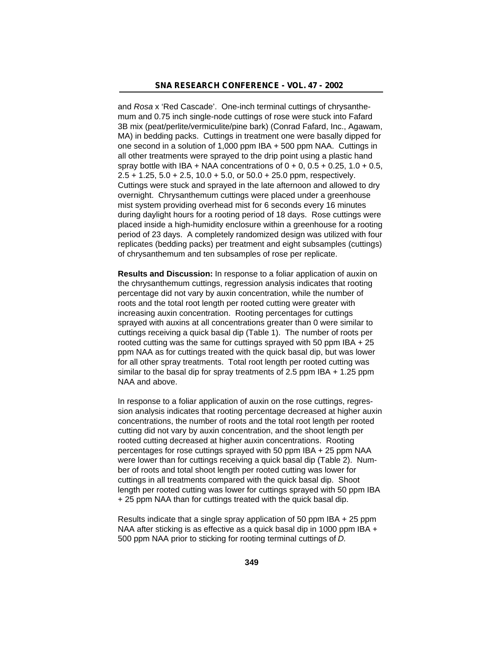and *Rosa* x 'Red Cascade'. One-inch terminal cuttings of chrysanthemum and 0.75 inch single-node cuttings of rose were stuck into Fafard 3B mix (peat/perlite/vermiculite/pine bark) (Conrad Fafard, Inc., Agawam, MA) in bedding packs. Cuttings in treatment one were basally dipped for one second in a solution of 1,000 ppm IBA + 500 ppm NAA. Cuttings in all other treatments were sprayed to the drip point using a plastic hand spray bottle with IBA + NAA concentrations of  $0 + 0$ ,  $0.5 + 0.25$ ,  $1.0 + 0.5$ ,  $2.5 + 1.25$ ,  $5.0 + 2.5$ ,  $10.0 + 5.0$ , or  $50.0 + 25.0$  ppm, respectively. Cuttings were stuck and sprayed in the late afternoon and allowed to dry overnight. Chrysanthemum cuttings were placed under a greenhouse mist system providing overhead mist for 6 seconds every 16 minutes during daylight hours for a rooting period of 18 days. Rose cuttings were placed inside a high-humidity enclosure within a greenhouse for a rooting period of 23 days. A completely randomized design was utilized with four replicates (bedding packs) per treatment and eight subsamples (cuttings) of chrysanthemum and ten subsamples of rose per replicate.

**Results and Discussion:** In response to a foliar application of auxin on the chrysanthemum cuttings, regression analysis indicates that rooting percentage did not vary by auxin concentration, while the number of roots and the total root length per rooted cutting were greater with increasing auxin concentration. Rooting percentages for cuttings sprayed with auxins at all concentrations greater than 0 were similar to cuttings receiving a quick basal dip (Table 1). The number of roots per rooted cutting was the same for cuttings sprayed with 50 ppm IBA + 25 ppm NAA as for cuttings treated with the quick basal dip, but was lower for all other spray treatments. Total root length per rooted cutting was similar to the basal dip for spray treatments of 2.5 ppm IBA + 1.25 ppm NAA and above.

In response to a foliar application of auxin on the rose cuttings, regression analysis indicates that rooting percentage decreased at higher auxin concentrations, the number of roots and the total root length per rooted cutting did not vary by auxin concentration, and the shoot length per rooted cutting decreased at higher auxin concentrations. Rooting percentages for rose cuttings sprayed with 50 ppm IBA + 25 ppm NAA were lower than for cuttings receiving a quick basal dip (Table 2). Number of roots and total shoot length per rooted cutting was lower for cuttings in all treatments compared with the quick basal dip. Shoot length per rooted cutting was lower for cuttings sprayed with 50 ppm IBA + 25 ppm NAA than for cuttings treated with the quick basal dip.

Results indicate that a single spray application of 50 ppm IBA + 25 ppm NAA after sticking is as effective as a quick basal dip in 1000 ppm IBA + 500 ppm NAA prior to sticking for rooting terminal cuttings of *D.*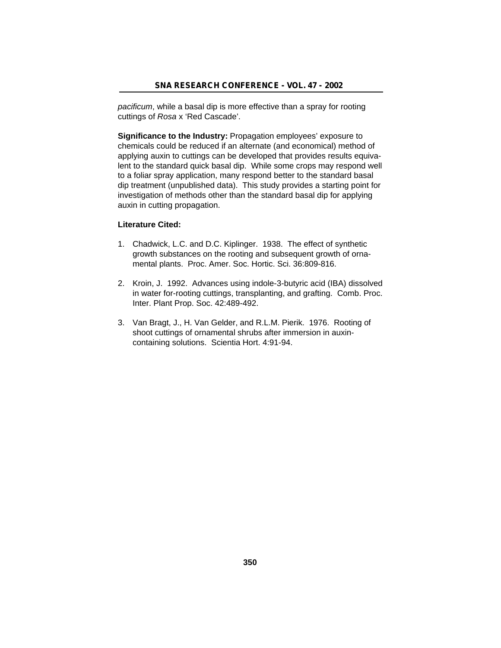*pacificum*, while a basal dip is more effective than a spray for rooting cuttings of *Rosa* x 'Red Cascade'.

**Significance to the Industry:** Propagation employees' exposure to chemicals could be reduced if an alternate (and economical) method of applying auxin to cuttings can be developed that provides results equivalent to the standard quick basal dip. While some crops may respond well to a foliar spray application, many respond better to the standard basal dip treatment (unpublished data). This study provides a starting point for investigation of methods other than the standard basal dip for applying auxin in cutting propagation.

## **Literature Cited:**

- 1. Chadwick, L.C. and D.C. Kiplinger. 1938. The effect of synthetic growth substances on the rooting and subsequent growth of ornamental plants. Proc. Amer. Soc. Hortic. Sci. 36:809-816.
- 2. Kroin, J. 1992. Advances using indole-3-butyric acid (IBA) dissolved in water for-rooting cuttings, transplanting, and grafting. Comb. Proc. Inter. Plant Prop. Soc. 42:489-492.
- 3. Van Bragt, J., H. Van Gelder, and R.L.M. Pierik. 1976. Rooting of shoot cuttings of ornamental shrubs after immersion in auxincontaining solutions. Scientia Hort. 4:91-94.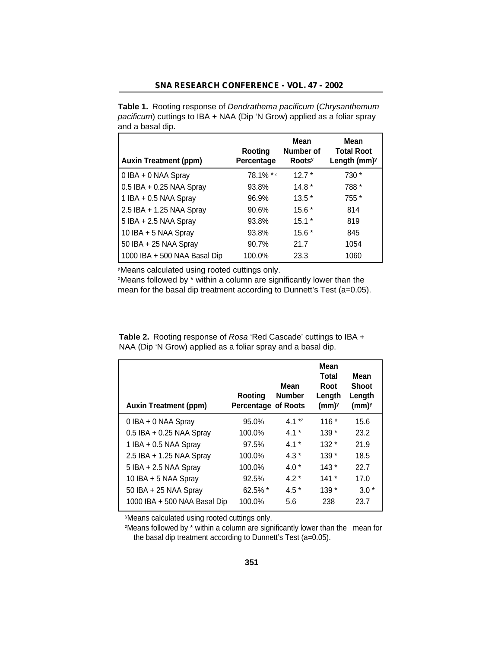| <b>Table 1.</b> Rooting response of <i>Dendrathema pacificum</i> ( <i>Chrysanthemum</i> |
|-----------------------------------------------------------------------------------------|
| <i>pacificum</i> ) cuttings to IBA + NAA (Dip 'N Grow) applied as a foliar spray        |
| and a basal dip.                                                                        |

| <b>Auxin Treatment (ppm)</b> | Rooting<br>Percentage | Mean<br>Number of<br><b>Roots</b> <sup>y</sup> | Mean<br><b>Total Root</b><br>Length $(mm)y$ |
|------------------------------|-----------------------|------------------------------------------------|---------------------------------------------|
| 0 IBA + 0 NAA Spray          | 78.1% **              | $12.7*$                                        | 730 *                                       |
| $0.5$ IBA + 0.25 NAA Spray   | 93.8%                 | $14.8*$                                        | 788 *                                       |
| 1 IBA + 0.5 NAA Spray        | 96.9%                 | $13.5*$                                        | 755 *                                       |
| 2.5 IBA + 1.25 NAA Spray     | 90.6%                 | $15.6*$                                        | 814                                         |
| 5 IBA + 2.5 NAA Spray        | 93.8%                 | $15.1*$                                        | 819                                         |
| 10 IBA + 5 NAA Spray         | 93.8%                 | $15.6*$                                        | 845                                         |
| 50 IBA + 25 NAA Spray        | 90.7%                 | 21.7                                           | 1054                                        |
| 1000 IBA + 500 NAA Basal Dip | 100.0%                | 23.3                                           | 1060                                        |

<sup>y</sup>Means calculated using rooted cuttings only.

<sup>z</sup>Means followed by \* within a column are significantly lower than the mean for the basal dip treatment according to Dunnett's Test (a=0.05).

| <b>Table 2.</b> Rooting response of <i>Rosa</i> 'Red Cascade' cuttings to IBA + |
|---------------------------------------------------------------------------------|
| NAA (Dip 'N Grow) applied as a foliar spray and a basal dip.                    |

| <b>Auxin Treatment (ppm)</b> | Rooting<br><b>Percentage of Roots</b> | Mean<br><b>Number</b> | Mean<br>Total<br>Root<br>Length<br>(mm) <sup>y</sup> | Mean<br><b>Shoot</b><br>Length<br>(mm) <sup>y</sup> |
|------------------------------|---------------------------------------|-----------------------|------------------------------------------------------|-----------------------------------------------------|
| 0 IBA + 0 NAA Spray          | 95.0%                                 | 4.1 $*$               | $116*$                                               | 15.6                                                |
| $0.5$ IBA + 0.25 NAA Spray   | 100.0%                                | $4.1*$                | $139*$                                               | 23.2                                                |
| 1 IBA + $0.5$ NAA Spray      | 97.5%                                 | $4.1*$                | $132*$                                               | 21.9                                                |
| $2.5$ IBA + 1.25 NAA Spray   | 100.0%                                | $4.3*$                | $139*$                                               | 18.5                                                |
| $5$ IBA + 2.5 NAA Spray      | 100.0%                                | $4.0*$                | $143*$                                               | 22.7                                                |
| 10 IBA + 5 NAA Spray         | 92.5%                                 | $4.2*$                | $141*$                                               | 17.0                                                |
| 50 IBA + 25 NAA Spray        | $62.5\%$ *                            | $4.5*$                | $139*$                                               | $3.0*$                                              |
| 1000 IBA + 500 NAA Basal Dip | 100.0%                                | 5.6                   | 238                                                  | 23.7                                                |

<sup>y</sup>Means calculated using rooted cuttings only.

<sup>z</sup>Means followed by \* within a column are significantly lower than the mean for the basal dip treatment according to Dunnett's Test (a=0.05).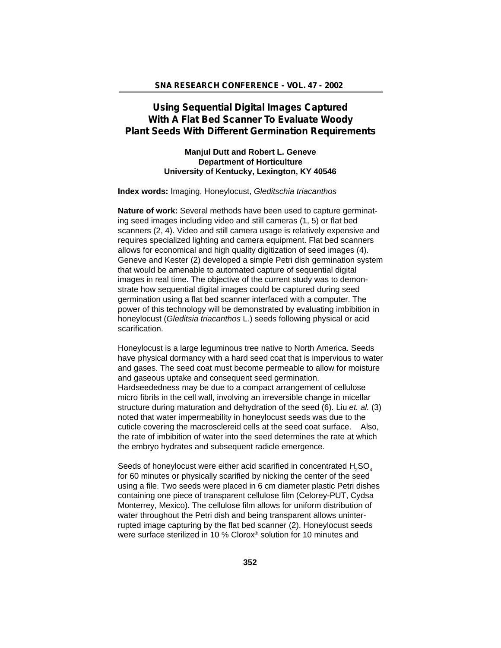# **Using Sequential Digital Images Captured With A Flat Bed Scanner To Evaluate Woody Plant Seeds With Different Germination Requirements**

### **Manjul Dutt and Robert L. Geneve Department of Horticulture University of Kentucky, Lexington, KY 40546**

**Index words:** Imaging, Honeylocust, *Gleditschia triacanthos*

**Nature of work:** Several methods have been used to capture germinating seed images including video and still cameras (1, 5) or flat bed scanners (2, 4). Video and still camera usage is relatively expensive and requires specialized lighting and camera equipment. Flat bed scanners allows for economical and high quality digitization of seed images (4). Geneve and Kester (2) developed a simple Petri dish germination system that would be amenable to automated capture of sequential digital images in real time. The objective of the current study was to demonstrate how sequential digital images could be captured during seed germination using a flat bed scanner interfaced with a computer. The power of this technology will be demonstrated by evaluating imbibition in honeylocust (*Gleditsia triacanthos* L*.*) seeds following physical or acid scarification.

Honeylocust is a large leguminous tree native to North America. Seeds have physical dormancy with a hard seed coat that is impervious to water and gases. The seed coat must become permeable to allow for moisture and gaseous uptake and consequent seed germination. Hardseededness may be due to a compact arrangement of cellulose micro fibrils in the cell wall, involving an irreversible change in micellar structure during maturation and dehydration of the seed (6). Liu *et. al.* (3) noted that water impermeability in honeylocust seeds was due to the cuticle covering the macrosclereid cells at the seed coat surface. Also, the rate of imbibition of water into the seed determines the rate at which the embryo hydrates and subsequent radicle emergence.

Seeds of honeylocust were either acid scarified in concentrated H<sub>2</sub>SO<sub>4</sub> for 60 minutes or physically scarified by nicking the center of the seed using a file. Two seeds were placed in 6 cm diameter plastic Petri dishes containing one piece of transparent cellulose film (Celorey-PUT, Cydsa Monterrey, Mexico). The cellulose film allows for uniform distribution of water throughout the Petri dish and being transparent allows uninterrupted image capturing by the flat bed scanner (2). Honeylocust seeds were surface sterilized in 10 % Clorox® solution for 10 minutes and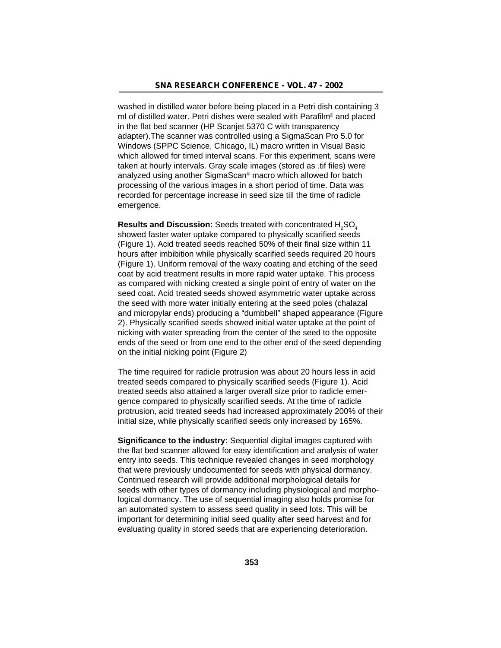washed in distilled water before being placed in a Petri dish containing 3 ml of distilled water. Petri dishes were sealed with Parafilm® and placed in the flat bed scanner (HP Scanjet 5370 C with transparency adapter).The scanner was controlled using a SigmaScan Pro 5.0 for Windows (SPPC Science, Chicago, IL) macro written in Visual Basic which allowed for timed interval scans. For this experiment, scans were taken at hourly intervals. Gray scale images (stored as .tif files) were analyzed using another SigmaScan® macro which allowed for batch processing of the various images in a short period of time. Data was recorded for percentage increase in seed size till the time of radicle emergence.

**Results and Discussion:** Seeds treated with concentrated H<sub>2</sub>SO<sub>4</sub> showed faster water uptake compared to physically scarified seeds (Figure 1). Acid treated seeds reached 50% of their final size within 11 hours after imbibition while physically scarified seeds required 20 hours (Figure 1). Uniform removal of the waxy coating and etching of the seed coat by acid treatment results in more rapid water uptake. This process as compared with nicking created a single point of entry of water on the seed coat. Acid treated seeds showed asymmetric water uptake across the seed with more water initially entering at the seed poles (chalazal and micropylar ends) producing a "dumbbell" shaped appearance (Figure 2). Physically scarified seeds showed initial water uptake at the point of nicking with water spreading from the center of the seed to the opposite ends of the seed or from one end to the other end of the seed depending on the initial nicking point (Figure 2)

The time required for radicle protrusion was about 20 hours less in acid treated seeds compared to physically scarified seeds (Figure 1). Acid treated seeds also attained a larger overall size prior to radicle emergence compared to physically scarified seeds. At the time of radicle protrusion, acid treated seeds had increased approximately 200% of their initial size, while physically scarified seeds only increased by 165%.

**Significance to the industry:** Sequential digital images captured with the flat bed scanner allowed for easy identification and analysis of water entry into seeds. This technique revealed changes in seed morphology that were previously undocumented for seeds with physical dormancy. Continued research will provide additional morphological details for seeds with other types of dormancy including physiological and morphological dormancy. The use of sequential imaging also holds promise for an automated system to assess seed quality in seed lots. This will be important for determining initial seed quality after seed harvest and for evaluating quality in stored seeds that are experiencing deterioration.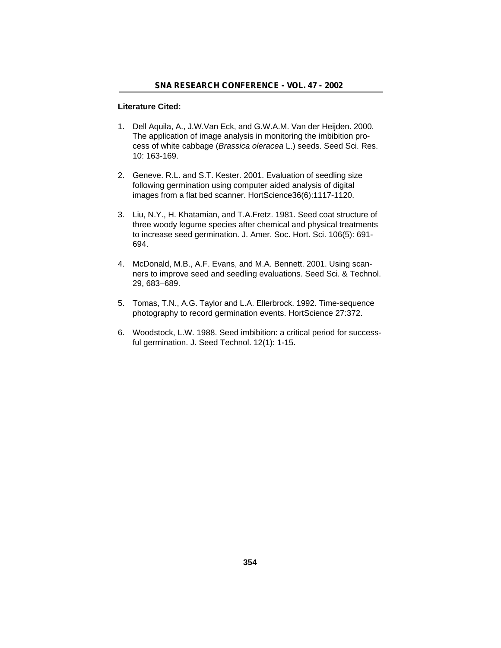### **Literature Cited:**

- 1. Dell Aquila, A., J.W.Van Eck, and G.W.A.M. Van der Heijden. 2000. The application of image analysis in monitoring the imbibition process of white cabbage (*Brassica oleracea* L.) seeds. Seed Sci. Res. 10: 163-169.
- 2. Geneve. R.L. and S.T. Kester. 2001. Evaluation of seedling size following germination using computer aided analysis of digital images from a flat bed scanner. HortScience36(6):1117-1120.
- 3. Liu, N.Y., H. Khatamian, and T.A.Fretz. 1981. Seed coat structure of three woody legume species after chemical and physical treatments to increase seed germination. J. Amer. Soc. Hort. Sci. 106(5): 691- 694.
- 4. McDonald, M.B., A.F. Evans, and M.A. Bennett. 2001. Using scanners to improve seed and seedling evaluations. Seed Sci. & Technol. 29, 683–689.
- 5. Tomas, T.N., A.G. Taylor and L.A. Ellerbrock. 1992. Time-sequence photography to record germination events. HortScience 27:372.
- 6. Woodstock, L.W. 1988. Seed imbibition: a critical period for successful germination. J. Seed Technol. 12(1): 1-15.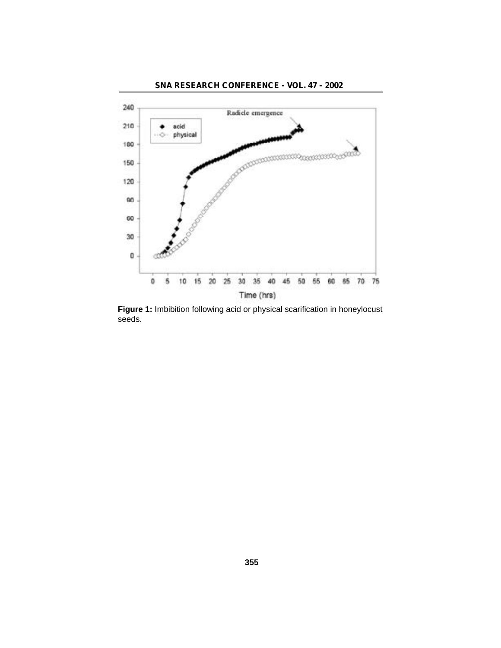

**Figure 1:** Imbibition following acid or physical scarification in honeylocust seeds.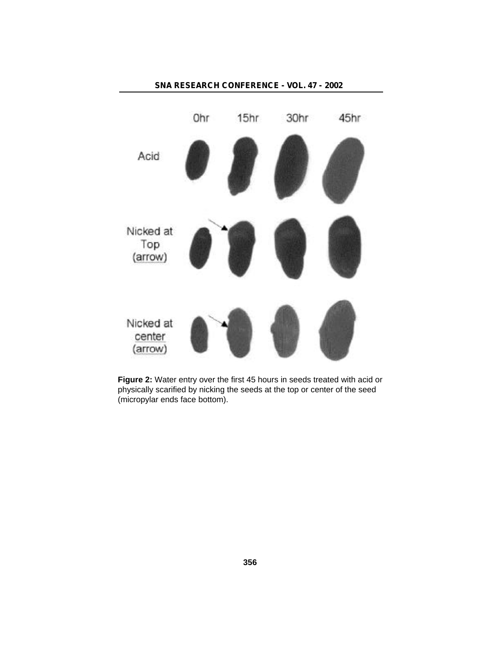

**Figure 2:** Water entry over the first 45 hours in seeds treated with acid or physically scarified by nicking the seeds at the top or center of the seed (micropylar ends face bottom).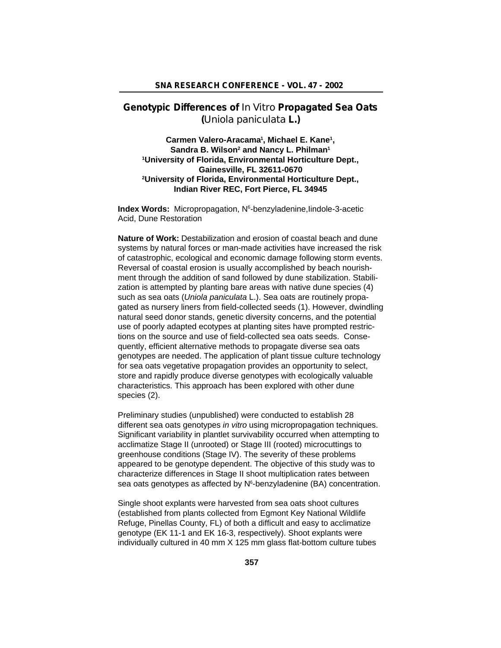## **Genotypic Differences of** *In Vitro* **Propagated Sea Oats (***Uniola paniculata* **L.)**

**Carmen Valero-Aracama<sup>1</sup> , Michael E. Kane<sup>1</sup> , Sandra B. Wilson<sup>2</sup> and Nancy L. Philman<sup>1</sup> <sup>1</sup>University of Florida, Environmental Horticulture Dept., Gainesville, FL 32611-0670 <sup>2</sup>University of Florida, Environmental Horticulture Dept., Indian River REC, Fort Pierce, FL 34945**

Index Words: Micropropagation, N<sup>6</sup>-benzyladenine, lindole-3-acetic Acid, Dune Restoration

**Nature of Work:** Destabilization and erosion of coastal beach and dune systems by natural forces or man-made activities have increased the risk of catastrophic, ecological and economic damage following storm events. Reversal of coastal erosion is usually accomplished by beach nourishment through the addition of sand followed by dune stabilization. Stabilization is attempted by planting bare areas with native dune species (4) such as sea oats (*Uniola paniculata* L.). Sea oats are routinely propagated as nursery liners from field-collected seeds (1). However, dwindling natural seed donor stands, genetic diversity concerns, and the potential use of poorly adapted ecotypes at planting sites have prompted restrictions on the source and use of field-collected sea oats seeds. Consequently, efficient alternative methods to propagate diverse sea oats genotypes are needed. The application of plant tissue culture technology for sea oats vegetative propagation provides an opportunity to select, store and rapidly produce diverse genotypes with ecologically valuable characteristics. This approach has been explored with other dune species (2).

Preliminary studies (unpublished) were conducted to establish 28 different sea oats genotypes *in vitro* using micropropagation techniques. Significant variability in plantlet survivability occurred when attempting to acclimatize Stage II (unrooted) or Stage III (rooted) microcuttings to greenhouse conditions (Stage IV). The severity of these problems appeared to be genotype dependent. The objective of this study was to characterize differences in Stage II shoot multiplication rates between sea oats genotypes as affected by N<sup>6</sup>-benzyladenine (BA) concentration.

Single shoot explants were harvested from sea oats shoot cultures (established from plants collected from Egmont Key National Wildlife Refuge, Pinellas County, FL) of both a difficult and easy to acclimatize genotype (EK 11-1 and EK 16-3, respectively). Shoot explants were individually cultured in 40 mm X 125 mm glass flat-bottom culture tubes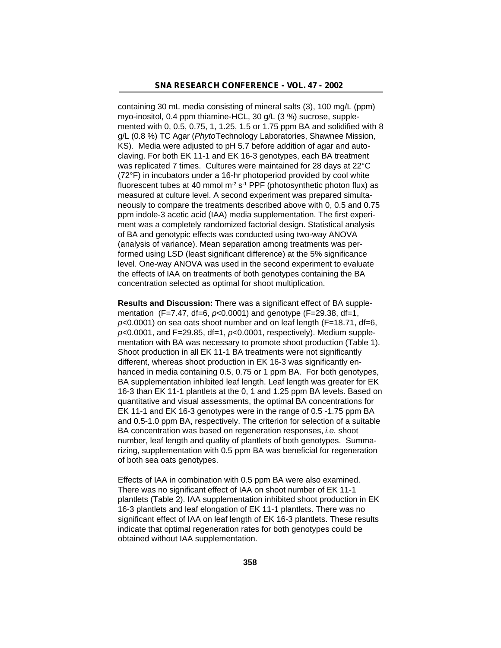containing 30 mL media consisting of mineral salts (3), 100 mg/L (ppm) myo-inositol, 0.4 ppm thiamine-HCL, 30 g/L (3 %) sucrose, supplemented with 0, 0.5, 0.75, 1, 1.25, 1.5 or 1.75 ppm BA and solidified with 8 g/L (0.8 %) TC Agar (*Phyto*Technology Laboratories, Shawnee Mission, KS). Media were adjusted to pH 5.7 before addition of agar and autoclaving. For both EK 11-1 and EK 16-3 genotypes, each BA treatment was replicated 7 times. Cultures were maintained for 28 days at 22°C (72°F) in incubators under a 16-hr photoperiod provided by cool white fluorescent tubes at 40 mmol  $m^2 s^{-1}$  PPF (photosynthetic photon flux) as measured at culture level. A second experiment was prepared simultaneously to compare the treatments described above with 0, 0.5 and 0.75 ppm indole-3 acetic acid (IAA) media supplementation. The first experiment was a completely randomized factorial design. Statistical analysis of BA and genotypic effects was conducted using two-way ANOVA (analysis of variance). Mean separation among treatments was performed using LSD (least significant difference) at the 5% significance level. One-way ANOVA was used in the second experiment to evaluate the effects of IAA on treatments of both genotypes containing the BA concentration selected as optimal for shoot multiplication.

**Results and Discussion:** There was a significant effect of BA supplementation (F=7.47, df=6, *p*<0.0001) and genotype (F=29.38, df=1, *p*<0.0001) on sea oats shoot number and on leaf length (F=18.71, df=6, *p*<0.0001, and F=29.85, df=1, *p*<0.0001, respectively). Medium supplementation with BA was necessary to promote shoot production (Table 1). Shoot production in all EK 11-1 BA treatments were not significantly different, whereas shoot production in EK 16-3 was significantly enhanced in media containing 0.5, 0.75 or 1 ppm BA. For both genotypes, BA supplementation inhibited leaf length. Leaf length was greater for EK 16-3 than EK 11-1 plantlets at the 0, 1 and 1.25 ppm BA levels. Based on quantitative and visual assessments, the optimal BA concentrations for EK 11-1 and EK 16-3 genotypes were in the range of 0.5 -1.75 ppm BA and 0.5-1.0 ppm BA, respectively. The criterion for selection of a suitable BA concentration was based on regeneration responses, *i.e.* shoot number, leaf length and quality of plantlets of both genotypes. Summarizing, supplementation with 0.5 ppm BA was beneficial for regeneration of both sea oats genotypes.

Effects of IAA in combination with 0.5 ppm BA were also examined. There was no significant effect of IAA on shoot number of EK 11-1 plantlets (Table 2). IAA supplementation inhibited shoot production in EK 16-3 plantlets and leaf elongation of EK 11-1 plantlets. There was no significant effect of IAA on leaf length of EK 16-3 plantlets. These results indicate that optimal regeneration rates for both genotypes could be obtained without IAA supplementation.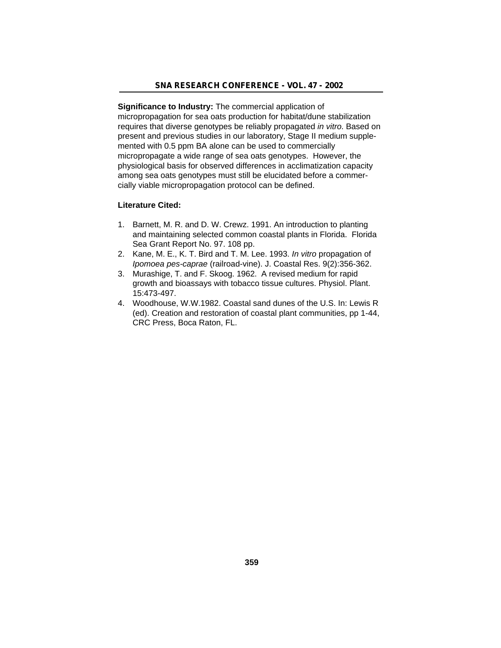**Significance to Industry:** The commercial application of micropropagation for sea oats production for habitat/dune stabilization requires that diverse genotypes be reliably propagated *in vitro*. Based on present and previous studies in our laboratory, Stage II medium supplemented with 0.5 ppm BA alone can be used to commercially micropropagate a wide range of sea oats genotypes. However, the physiological basis for observed differences in acclimatization capacity among sea oats genotypes must still be elucidated before a commercially viable micropropagation protocol can be defined.

### **Literature Cited:**

- 1. Barnett, M. R. and D. W. Crewz. 1991. An introduction to planting and maintaining selected common coastal plants in Florida. Florida Sea Grant Report No. 97. 108 pp.
- 2. Kane, M. E., K. T. Bird and T. M. Lee. 1993. *In vitro* propagation of *Ipomoea pes-caprae* (railroad-vine). J. Coastal Res. 9(2):356-362.
- 3. Murashige, T. and F. Skoog. 1962. A revised medium for rapid growth and bioassays with tobacco tissue cultures. Physiol. Plant. 15:473-497.
- 4. Woodhouse, W.W.1982. Coastal sand dunes of the U.S. In: Lewis R (ed). Creation and restoration of coastal plant communities, pp 1-44, CRC Press, Boca Raton, FL.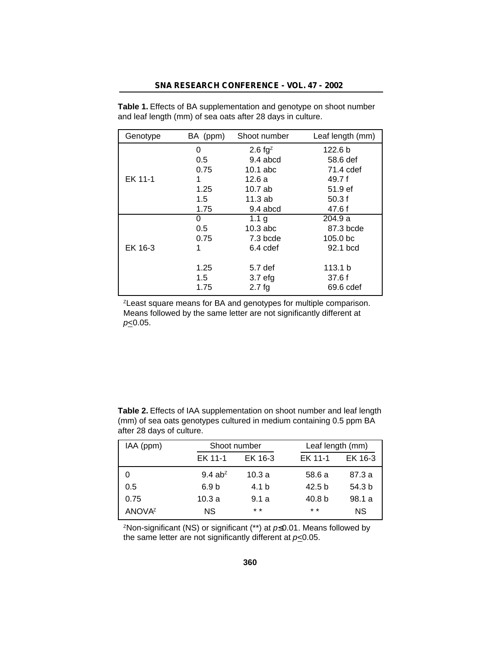| Genotype | BA (ppm) | Shoot number       | Leaf length (mm)    |
|----------|----------|--------------------|---------------------|
|          | 0        | 2.6 $fg^z$         | 122.6 <sub>b</sub>  |
|          | 0.5      | 9.4 abcd           | 58.6 def            |
|          | 0.75     | $10.1$ abc         | 71.4 cdef           |
| EK 11-1  | 1        | 12.6 a             | 49.7f               |
|          | 1.25     | 10.7ab             | 51.9 ef             |
|          | 1.5      | 11.3ab             | 50.3f               |
|          | 1.75     | $9.4$ abcd         | 47.6 f              |
|          | 0        | 1.1 <sub>g</sub>   | 204.9 a             |
|          | 0.5      | $10.3$ abc         | 87.3 bcde           |
|          | 0.75     | 7.3 bcde           | 105.0 <sub>bc</sub> |
| EK 16-3  |          | 6.4 cdef           | 92.1 bcd            |
|          |          |                    |                     |
|          | 1.25     | 5.7 <sub>def</sub> | 113.1 <sub>b</sub>  |
|          | 1.5      | 3.7 <sub>eff</sub> | 37.6f               |
|          | 1.75     | 2.7fg              | 69.6 cdef           |

**Table 1.** Effects of BA supplementation and genotype on shoot number and leaf length (mm) of sea oats after 28 days in culture.

<sup>2</sup> Least square means for BA and genotypes for multiple comparison. Means followed by the same letter are not significantly different at *p*≤0.05.

| after 28 days of culture. |                       |              |                   |                   |  |
|---------------------------|-----------------------|--------------|-------------------|-------------------|--|
| IAA (ppm)                 |                       | Shoot number |                   | Leaf length (mm)  |  |
|                           | EK 11-1               | EK 16-3      | EK 11-1           | EK 16-3           |  |
|                           | $9.4$ ab <sup>z</sup> | 10.3a        | 58.6 a            | 87.3 a            |  |
| 0.5                       | 6.9 <sub>b</sub>      | 4.1 b        | 42.5 <sub>b</sub> | 54.3 <sub>b</sub> |  |
| 0.75                      | 10.3a                 | 9.1a         | 40.8 b            | 98.1 a            |  |

**Table 2.** Effects of IAA supplementation on shoot number and leaf length (mm) of sea oats genotypes cultured in medium containing 0.5 ppm BA after 28 days of culture.

<sup>2</sup>Non-significant (NS) or significant (\*\*) at  $p$  0.01. Means followed by the same letter are not significantly different at *p*<0.05.

 $ANOVA<sup>Z</sup>$  NS \* \* \* \* \* NS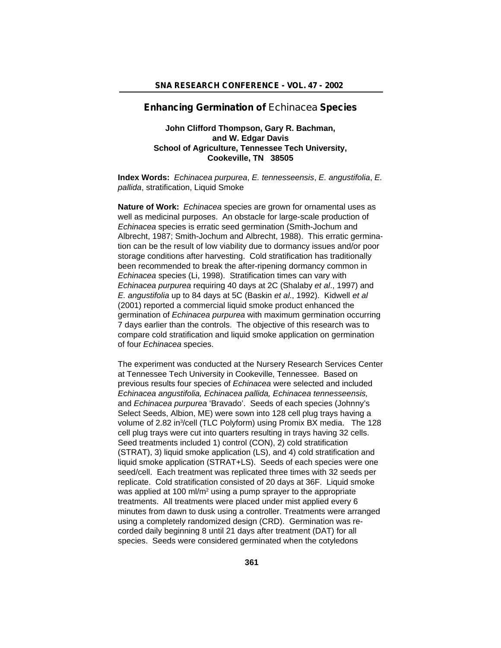### **Enhancing Germination of** *Echinacea* **Species**

### **John Clifford Thompson, Gary R. Bachman, and W. Edgar Davis School of Agriculture, Tennessee Tech University, Cookeville, TN 38505**

**Index Words:** *Echinacea purpurea*, *E. tennesseensis*, *E. angustifolia*, *E. pallida*, stratification, Liquid Smoke

**Nature of Work:** *Echinacea* species are grown for ornamental uses as well as medicinal purposes. An obstacle for large-scale production of *Echinacea* species is erratic seed germination (Smith-Jochum and Albrecht, 1987; Smith-Jochum and Albrecht, 1988). This erratic germination can be the result of low viability due to dormancy issues and/or poor storage conditions after harvesting. Cold stratification has traditionally been recommended to break the after-ripening dormancy common in *Echinacea* species (Li, 1998). Stratification times can vary with *Echinacea purpurea* requiring 40 days at 2C (Shalaby *et al*., 1997) and *E. angustifolia* up to 84 days at 5C (Baskin *et al*., 1992). Kidwell *et al* (2001) reported a commercial liquid smoke product enhanced the germination of *Echinacea purpurea* with maximum germination occurring 7 days earlier than the controls. The objective of this research was to compare cold stratification and liquid smoke application on germination of four *Echinacea* species.

The experiment was conducted at the Nursery Research Services Center at Tennessee Tech University in Cookeville, Tennessee. Based on previous results four species of *Echinacea* were selected and included *Echinacea angustifolia, Echinacea pallida, Echinacea tennesseensis,* and *Echinacea purpurea* 'Bravado'. Seeds of each species (Johnny's Select Seeds, Albion, ME) were sown into 128 cell plug trays having a volume of 2.82 in<sup>3</sup>/cell (TLC Polyform) using Promix BX media. The 128 cell plug trays were cut into quarters resulting in trays having 32 cells. Seed treatments included 1) control (CON), 2) cold stratification (STRAT), 3) liquid smoke application (LS), and 4) cold stratification and liquid smoke application (STRAT+LS). Seeds of each species were one seed/cell. Each treatment was replicated three times with 32 seeds per replicate. Cold stratification consisted of 20 days at 36F. Liquid smoke was applied at 100 ml/m<sup>2</sup> using a pump sprayer to the appropriate treatments. All treatments were placed under mist applied every 6 minutes from dawn to dusk using a controller. Treatments were arranged using a completely randomized design (CRD). Germination was recorded daily beginning 8 until 21 days after treatment (DAT) for all species. Seeds were considered germinated when the cotyledons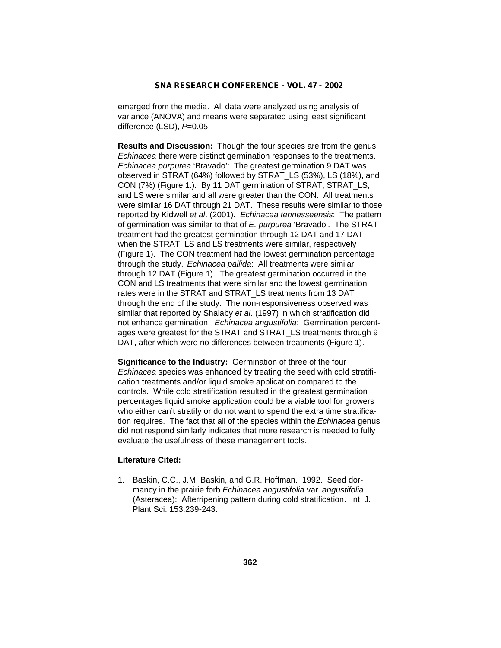emerged from the media. All data were analyzed using analysis of variance (ANOVA) and means were separated using least significant difference (LSD), *P*=0.05.

**Results and Discussion:** Though the four species are from the genus *Echinacea* there were distinct germination responses to the treatments. *Echinacea purpurea* 'Bravado': The greatest germination 9 DAT was observed in STRAT (64%) followed by STRAT\_LS (53%), LS (18%), and CON (7%) (Figure 1.). By 11 DAT germination of STRAT, STRAT\_LS, and LS were similar and all were greater than the CON. All treatments were similar 16 DAT through 21 DAT. These results were similar to those reported by Kidwell *et al*. (2001). *Echinacea tennesseensis*: The pattern of germination was similar to that of *E. purpurea* 'Bravado'. The STRAT treatment had the greatest germination through 12 DAT and 17 DAT when the STRAT\_LS and LS treatments were similar, respectively (Figure 1). The CON treatment had the lowest germination percentage through the study. *Echinacea pallida*: All treatments were similar through 12 DAT (Figure 1). The greatest germination occurred in the CON and LS treatments that were similar and the lowest germination rates were in the STRAT and STRAT\_LS treatments from 13 DAT through the end of the study. The non-responsiveness observed was similar that reported by Shalaby *et al*. (1997) in which stratification did not enhance germination. *Echinacea angustifolia*: Germination percentages were greatest for the STRAT and STRAT\_LS treatments through 9 DAT, after which were no differences between treatments (Figure 1).

**Significance to the Industry:** Germination of three of the four *Echinacea* species was enhanced by treating the seed with cold stratification treatments and/or liquid smoke application compared to the controls. While cold stratification resulted in the greatest germination percentages liquid smoke application could be a viable tool for growers who either can't stratify or do not want to spend the extra time stratification requires. The fact that all of the species within the *Echinacea* genus did not respond similarly indicates that more research is needed to fully evaluate the usefulness of these management tools.

### **Literature Cited:**

1. Baskin, C.C., J.M. Baskin, and G.R. Hoffman. 1992. Seed dormancy in the prairie forb *Echinacea angustifolia* var. *angustifolia* (Asteracea): Afterripening pattern during cold stratification. Int. J. Plant Sci. 153:239-243.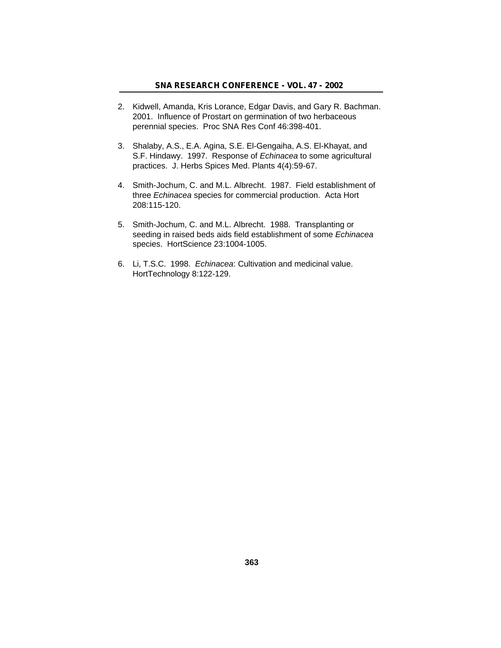- 2. Kidwell, Amanda, Kris Lorance, Edgar Davis, and Gary R. Bachman. 2001. Influence of Prostart on germination of two herbaceous perennial species. Proc SNA Res Conf 46:398-401.
- 3. Shalaby, A.S., E.A. Agina, S.E. El-Gengaiha, A.S. El-Khayat, and S.F. Hindawy. 1997. Response of *Echinacea* to some agricultural practices. J. Herbs Spices Med. Plants 4(4):59-67.
- 4. Smith-Jochum, C. and M.L. Albrecht. 1987. Field establishment of three *Echinacea* species for commercial production. Acta Hort 208:115-120.
- 5. Smith-Jochum, C. and M.L. Albrecht. 1988. Transplanting or seeding in raised beds aids field establishment of some *Echinacea* species. HortScience 23:1004-1005.
- 6. Li, T.S.C. 1998. *Echinacea*: Cultivation and medicinal value. HortTechnology 8:122-129.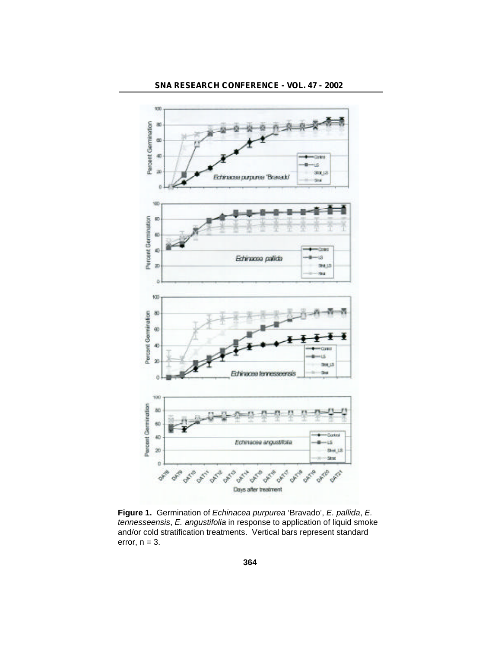

**Figure 1.** Germination of *Echinacea purpurea* 'Bravado', *E. pallida*, *E. tennesseensis*, *E. angustifolia* in response to application of liquid smoke and/or cold stratification treatments. Vertical bars represent standard error,  $n = 3$ .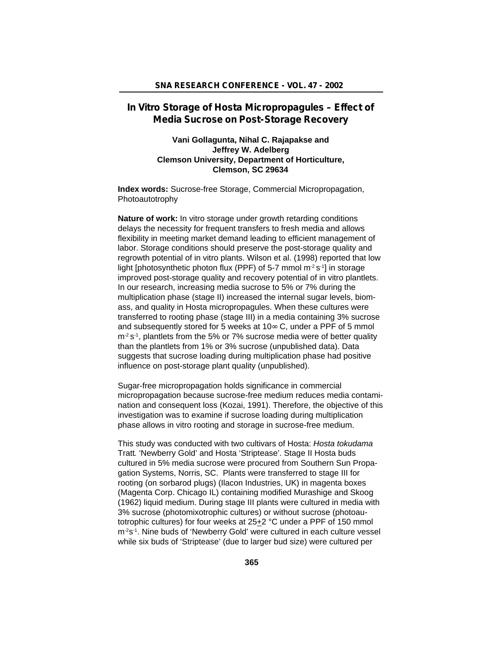## **In Vitro Storage of Hosta Micropropagules – Effect of Media Sucrose on Post-Storage Recovery**

## **Vani Gollagunta, Nihal C. Rajapakse and Jeffrey W. Adelberg Clemson University, Department of Horticulture, Clemson, SC 29634**

**Index words:** Sucrose-free Storage, Commercial Micropropagation, Photoautotrophy

**Nature of work:** In vitro storage under growth retarding conditions delays the necessity for frequent transfers to fresh media and allows flexibility in meeting market demand leading to efficient management of labor. Storage conditions should preserve the post-storage quality and regrowth potential of in vitro plants. Wilson et al. (1998) reported that low light [photosynthetic photon flux (PPF) of 5-7 mmol m<sup>-2</sup> s<sup>-1</sup>] in storage improved post-storage quality and recovery potential of in vitro plantlets. In our research, increasing media sucrose to 5% or 7% during the multiplication phase (stage II) increased the internal sugar levels, biomass, and quality in Hosta micropropagules. When these cultures were transferred to rooting phase (stage III) in a media containing 3% sucrose and subsequently stored for 5 weeks at 10 C, under a PPF of 5 mmol  $m<sup>2</sup> s<sup>-1</sup>$ , plantlets from the 5% or 7% sucrose media were of better quality than the plantlets from 1% or 3% sucrose (unpublished data). Data suggests that sucrose loading during multiplication phase had positive influence on post-storage plant quality (unpublished).

Sugar-free micropropagation holds significance in commercial micropropagation because sucrose-free medium reduces media contamination and consequent loss (Kozai, 1991). Therefore, the objective of this investigation was to examine if sucrose loading during multiplication phase allows in vitro rooting and storage in sucrose-free medium.

This study was conducted with two cultivars of Hosta: *Hosta tokudama* Tratt*.* 'Newberry Gold' and Hosta 'Striptease'. Stage II Hosta buds cultured in 5% media sucrose were procured from Southern Sun Propagation Systems, Norris, SC. Plants were transferred to stage III for rooting (on sorbarod plugs) (Ilacon Industries, UK) in magenta boxes (Magenta Corp. Chicago IL) containing modified Murashige and Skoog (1962) liquid medium. During stage III plants were cultured in media with 3% sucrose (photomixotrophic cultures) or without sucrose (photoautotrophic cultures) for four weeks at 25+2 °C under a PPF of 150 mmol m<sup>-2</sup>s<sup>-1</sup>. Nine buds of 'Newberry Gold' were cultured in each culture vessel while six buds of 'Striptease' (due to larger bud size) were cultured per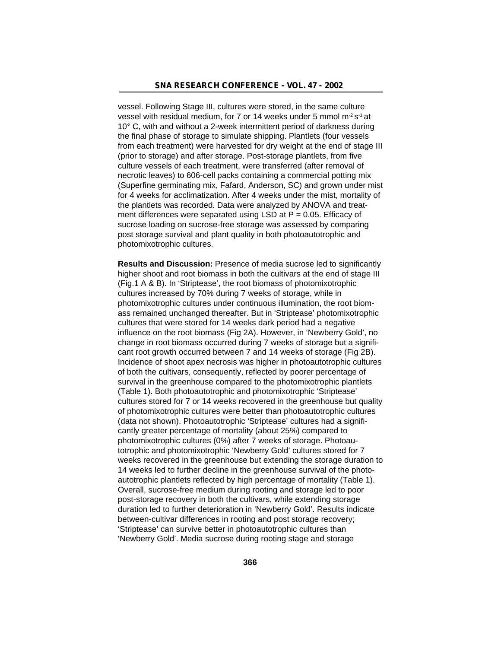vessel. Following Stage III, cultures were stored, in the same culture vessel with residual medium, for 7 or 14 weeks under 5 mmol m $2s<sup>-1</sup>$  at 10° C, with and without a 2-week intermittent period of darkness during the final phase of storage to simulate shipping. Plantlets (four vessels from each treatment) were harvested for dry weight at the end of stage III (prior to storage) and after storage. Post-storage plantlets, from five culture vessels of each treatment, were transferred (after removal of necrotic leaves) to 606-cell packs containing a commercial potting mix (Superfine germinating mix, Fafard, Anderson, SC) and grown under mist for 4 weeks for acclimatization. After 4 weeks under the mist, mortality of the plantlets was recorded. Data were analyzed by ANOVA and treatment differences were separated using LSD at  $P = 0.05$ . Efficacy of sucrose loading on sucrose-free storage was assessed by comparing post storage survival and plant quality in both photoautotrophic and photomixotrophic cultures.

**Results and Discussion:** Presence of media sucrose led to significantly higher shoot and root biomass in both the cultivars at the end of stage III (Fig.1 A & B). In 'Striptease', the root biomass of photomixotrophic cultures increased by 70% during 7 weeks of storage, while in photomixotrophic cultures under continuous illumination, the root biomass remained unchanged thereafter. But in 'Striptease' photomixotrophic cultures that were stored for 14 weeks dark period had a negative influence on the root biomass (Fig 2A). However, in 'Newberry Gold', no change in root biomass occurred during 7 weeks of storage but a significant root growth occurred between 7 and 14 weeks of storage (Fig 2B). Incidence of shoot apex necrosis was higher in photoautotrophic cultures of both the cultivars, consequently, reflected by poorer percentage of survival in the greenhouse compared to the photomixotrophic plantlets (Table 1). Both photoautotrophic and photomixotrophic 'Striptease' cultures stored for 7 or 14 weeks recovered in the greenhouse but quality of photomixotrophic cultures were better than photoautotrophic cultures (data not shown). Photoautotrophic 'Striptease' cultures had a significantly greater percentage of mortality (about 25%) compared to photomixotrophic cultures (0%) after 7 weeks of storage. Photoautotrophic and photomixotrophic 'Newberry Gold' cultures stored for 7 weeks recovered in the greenhouse but extending the storage duration to 14 weeks led to further decline in the greenhouse survival of the photoautotrophic plantlets reflected by high percentage of mortality (Table 1). Overall, sucrose-free medium during rooting and storage led to poor post-storage recovery in both the cultivars, while extending storage duration led to further deterioration in 'Newberry Gold'. Results indicate between-cultivar differences in rooting and post storage recovery; 'Striptease' can survive better in photoautotrophic cultures than 'Newberry Gold'. Media sucrose during rooting stage and storage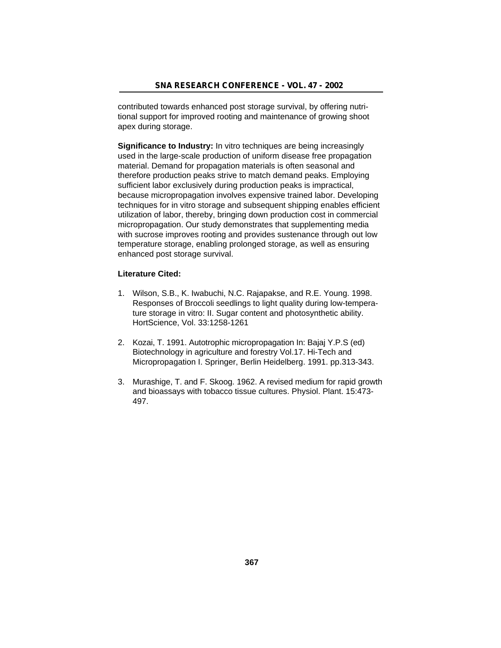contributed towards enhanced post storage survival, by offering nutritional support for improved rooting and maintenance of growing shoot apex during storage.

**Significance to Industry:** In vitro techniques are being increasingly used in the large-scale production of uniform disease free propagation material. Demand for propagation materials is often seasonal and therefore production peaks strive to match demand peaks. Employing sufficient labor exclusively during production peaks is impractical, because micropropagation involves expensive trained labor. Developing techniques for in vitro storage and subsequent shipping enables efficient utilization of labor, thereby, bringing down production cost in commercial micropropagation. Our study demonstrates that supplementing media with sucrose improves rooting and provides sustenance through out low temperature storage, enabling prolonged storage, as well as ensuring enhanced post storage survival.

## **Literature Cited:**

- 1. Wilson, S.B., K. Iwabuchi, N.C. Rajapakse, and R.E. Young. 1998. Responses of Broccoli seedlings to light quality during low-temperature storage in vitro: II. Sugar content and photosynthetic ability. HortScience, Vol. 33:1258-1261
- 2. Kozai, T. 1991. Autotrophic micropropagation In: Bajaj Y.P.S (ed) Biotechnology in agriculture and forestry Vol.17. Hi-Tech and Micropropagation I. Springer, Berlin Heidelberg. 1991. pp.313-343.
- 3. Murashige, T. and F. Skoog. 1962. A revised medium for rapid growth and bioassays with tobacco tissue cultures. Physiol. Plant. 15:473- 497.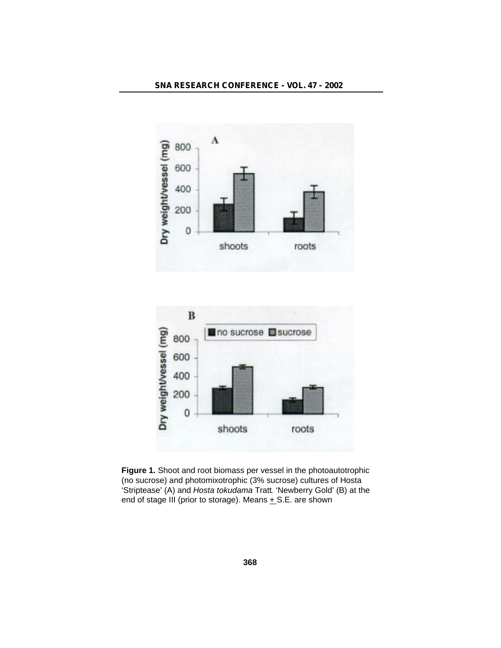



**Figure 1.** Shoot and root biomass per vessel in the photoautotrophic (no sucrose) and photomixotrophic (3% sucrose) cultures of Hosta 'Striptease' (A) and *Hosta tokudama* Tratt*.* 'Newberry Gold' (B) at the end of stage III (prior to storage). Means + S.E. are shown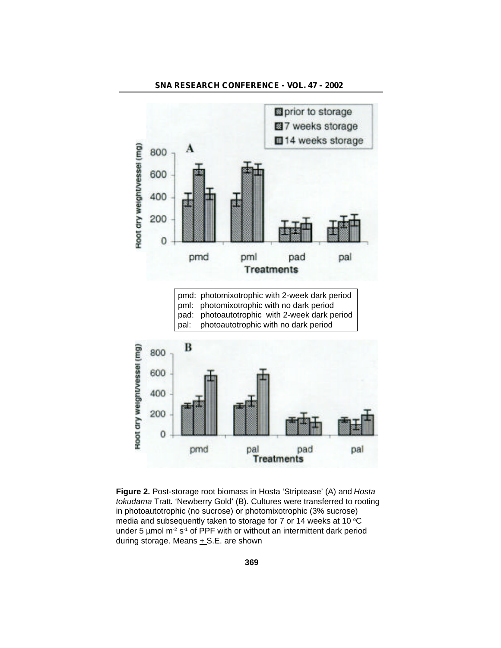

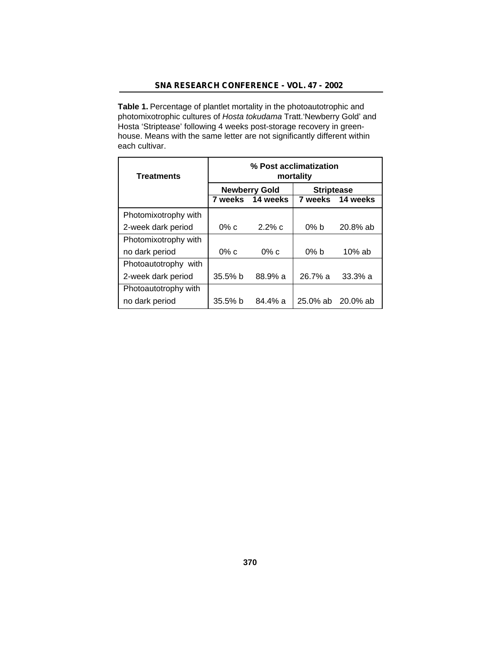Table 1. Percentage of plantlet mortality in the photoautotrophic and photomixotrophic cultures of *Hosta tokudama* Tratt.'Newberry Gold' and Hosta 'Striptease' following 4 weeks post-storage recovery in greenhouse. Means with the same letter are not significantly different within each cultivar.

| <b>Treatments</b>    | % Post acclimatization<br>mortality |                      |                   |                   |  |  |
|----------------------|-------------------------------------|----------------------|-------------------|-------------------|--|--|
|                      |                                     | <b>Newberry Gold</b> | <b>Striptease</b> |                   |  |  |
|                      |                                     | 7 weeks 14 weeks     |                   | 7 weeks 14 weeks  |  |  |
| Photomixotrophy with |                                     |                      |                   |                   |  |  |
| 2-week dark period   | $0\%$ c                             | $2.2\%$ c            | $0\%$ b           | $20.8%$ ab        |  |  |
| Photomixotrophy with |                                     |                      |                   |                   |  |  |
| no dark period       | $0\%$ c                             | $0\%$ c              | $0\%$ b           | $10\%$ ab         |  |  |
| Photoautotrophy with |                                     |                      |                   |                   |  |  |
| 2-week dark period   | $35.5%$ b                           | 88.9%a               | $26.7\%$ a        | 33.3% a           |  |  |
| Photoautotrophy with |                                     |                      |                   |                   |  |  |
| no dark period       | 35.5% b                             | $84.4\%$ a           |                   | 25.0% ab 20.0% ab |  |  |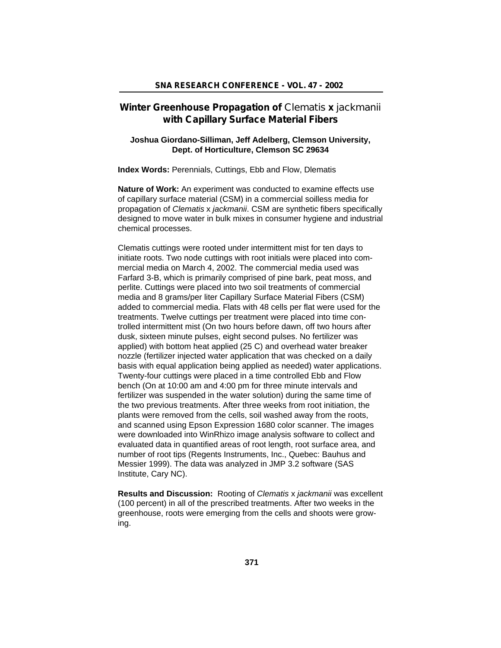## **Winter Greenhouse Propagation of** *Clematis* **x** *jackmanii* **with Capillary Surface Material Fibers**

## **Joshua Giordano-Silliman, Jeff Adelberg, Clemson University, Dept. of Horticulture, Clemson SC 29634**

**Index Words:** Perennials, Cuttings, Ebb and Flow, Dlematis

**Nature of Work:** An experiment was conducted to examine effects use of capillary surface material (CSM) in a commercial soilless media for propagation of *Clematis* x *jackmanii*. CSM are synthetic fibers specifically designed to move water in bulk mixes in consumer hygiene and industrial chemical processes.

Clematis cuttings were rooted under intermittent mist for ten days to initiate roots. Two node cuttings with root initials were placed into commercial media on March 4, 2002. The commercial media used was Farfard 3-B, which is primarily comprised of pine bark, peat moss, and perlite. Cuttings were placed into two soil treatments of commercial media and 8 grams/per liter Capillary Surface Material Fibers (CSM) added to commercial media. Flats with 48 cells per flat were used for the treatments. Twelve cuttings per treatment were placed into time controlled intermittent mist (On two hours before dawn, off two hours after dusk, sixteen minute pulses, eight second pulses. No fertilizer was applied) with bottom heat applied (25 C) and overhead water breaker nozzle (fertilizer injected water application that was checked on a daily basis with equal application being applied as needed) water applications. Twenty-four cuttings were placed in a time controlled Ebb and Flow bench (On at 10:00 am and 4:00 pm for three minute intervals and fertilizer was suspended in the water solution) during the same time of the two previous treatments. After three weeks from root initiation, the plants were removed from the cells, soil washed away from the roots, and scanned using Epson Expression 1680 color scanner. The images were downloaded into WinRhizo image analysis software to collect and evaluated data in quantified areas of root length, root surface area, and number of root tips (Regents Instruments, Inc., Quebec: Bauhus and Messier 1999). The data was analyzed in JMP 3.2 software (SAS Institute, Cary NC).

**Results and Discussion:** Rooting of *Clematis* x *jackmanii* was excellent (100 percent) in all of the prescribed treatments. After two weeks in the greenhouse, roots were emerging from the cells and shoots were growing.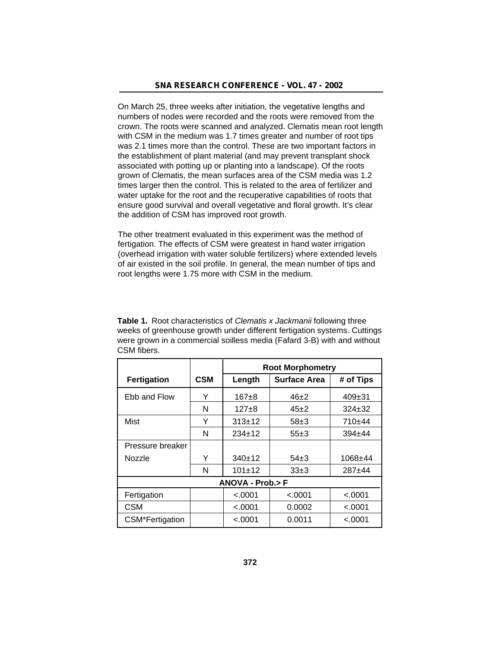On March 25, three weeks after initiation, the vegetative lengths and numbers of nodes were recorded and the roots were removed from the crown. The roots were scanned and analyzed. Clematis mean root length with CSM in the medium was 1.7 times greater and number of root tips was 2.1 times more than the control. These are two important factors in the establishment of plant material (and may prevent transplant shock associated with potting up or planting into a landscape). Of the roots grown of Clematis, the mean surfaces area of the CSM media was 1.2 times larger then the control. This is related to the area of fertilizer and water uptake for the root and the recuperative capabilities of roots that ensure good survival and overall vegetative and floral growth. It's clear the addition of CSM has improved root growth.

The other treatment evaluated in this experiment was the method of fertigation. The effects of CSM were greatest in hand water irrigation (overhead irrigation with water soluble fertilizers) where extended levels of air existed in the soil profile. In general, the mean number of tips and root lengths were 1.75 more with CSM in the medium.

**Table 1.** Root characteristics of *Clematis x Jackmanii* following three weeks of greenhouse growth under different fertigation systems. Cuttings were grown in a commercial soilless media (Fafard 3-B) with and without CSM fibers.

|                    |            | <b>Root Morphometry</b> |                     |              |  |  |
|--------------------|------------|-------------------------|---------------------|--------------|--|--|
| <b>Fertigation</b> | <b>CSM</b> | Length                  | <b>Surface Area</b> | # of Tips    |  |  |
| Ebb and Flow       | Y          | 167±8                   | $46 + 2$            | $409 \pm 31$ |  |  |
|                    | N          | $127+8$                 | $45+2$              | $324 + 32$   |  |  |
| Mist               | Y          | $313+12$                | $58\pm3$            | $710+44$     |  |  |
|                    | N          | $234+12$                | $55+3$              | $394 + 44$   |  |  |
| Pressure breaker   |            |                         |                     |              |  |  |
| Nozzle             | Y          | 340±12                  | $54\pm3$            | $1068 + 44$  |  |  |
|                    | N          | $101 + 12$              | $33\pm3$            | $287 + 44$   |  |  |
| ANOVA - Prob.> F   |            |                         |                     |              |  |  |
| Fertigation        |            | < .0001                 | < .0001             | < .0001      |  |  |
| <b>CSM</b>         |            | < .0001                 | 0.0002              | < 0.001      |  |  |
| CSM*Fertigation    |            | < 0.0001                | 0.0011              | <.0001       |  |  |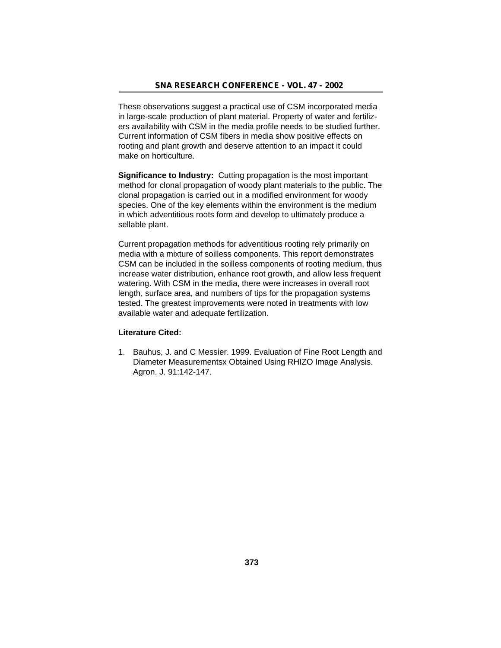These observations suggest a practical use of CSM incorporated media in large-scale production of plant material. Property of water and fertilizers availability with CSM in the media profile needs to be studied further. Current information of CSM fibers in media show positive effects on rooting and plant growth and deserve attention to an impact it could make on horticulture.

**Significance to Industry:** Cutting propagation is the most important method for clonal propagation of woody plant materials to the public. The clonal propagation is carried out in a modified environment for woody species. One of the key elements within the environment is the medium in which adventitious roots form and develop to ultimately produce a sellable plant.

Current propagation methods for adventitious rooting rely primarily on media with a mixture of soilless components. This report demonstrates CSM can be included in the soilless components of rooting medium, thus increase water distribution, enhance root growth, and allow less frequent watering. With CSM in the media, there were increases in overall root length, surface area, and numbers of tips for the propagation systems tested. The greatest improvements were noted in treatments with low available water and adequate fertilization.

## **Literature Cited:**

1. Bauhus, J. and C Messier. 1999. Evaluation of Fine Root Length and Diameter Measurementsx Obtained Using RHIZO Image Analysis. Agron. J. 91:142-147.